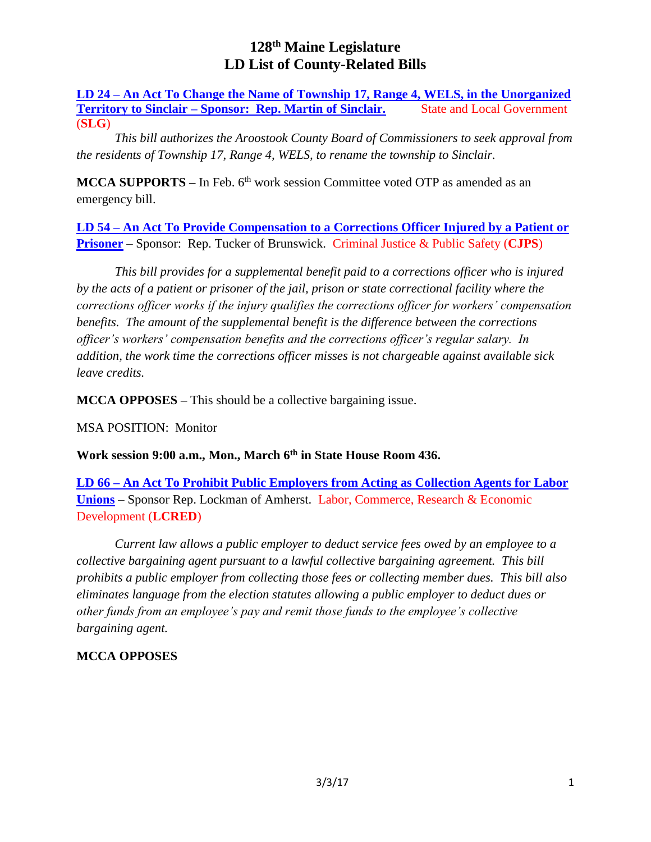**LD 24 – An Act To Change the Name of Township 17, Range 4, WELS, in the Unorganized Territory to Sinclair – Sponsor: Rep. Martin of Sinclair.** State and Local Government (**SLG**)

*This bill authorizes the Aroostook County Board of Commissioners to seek approval from the residents of Township 17, Range 4, WELS, to rename the township to Sinclair.*

**MCCA SUPPORTS –** In Feb. 6<sup>th</sup> work session Committee voted OTP as amended as an emergency bill.

**LD 54 – An Act To Provide Compensation to a Corrections Officer Injured by a Patient or Prisoner** – Sponsor: Rep. Tucker of Brunswick. Criminal Justice & Public Safety (**CJPS**)

*This bill provides for a supplemental benefit paid to a corrections officer who is injured by the acts of a patient or prisoner of the jail, prison or state correctional facility where the corrections officer works if the injury qualifies the corrections officer for workers' compensation benefits. The amount of the supplemental benefit is the difference between the corrections officer's workers' compensation benefits and the corrections officer's regular salary. In addition, the work time the corrections officer misses is not chargeable against available sick leave credits.*

**MCCA OPPOSES –** This should be a collective bargaining issue.

MSA POSITION: Monitor

**Work session 9:00 a.m., Mon., March 6th in State House Room 436.**

**LD 66 – An Act To Prohibit Public Employers from Acting as Collection Agents for Labor Unions** – Sponsor Rep. Lockman of Amherst. Labor, Commerce, Research & Economic Development (**LCRED**)

*Current law allows a public employer to deduct service fees owed by an employee to a collective bargaining agent pursuant to a lawful collective bargaining agreement. This bill prohibits a public employer from collecting those fees or collecting member dues. This bill also eliminates language from the election statutes allowing a public employer to deduct dues or other funds from an employee's pay and remit those funds to the employee's collective bargaining agent.*

# **MCCA OPPOSES**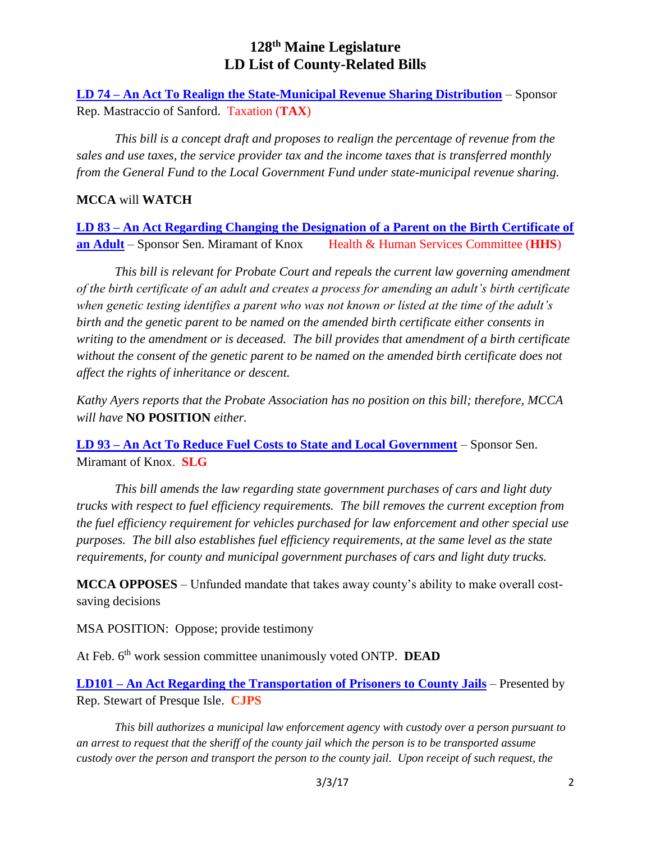**LD 74 – An Act To Realign the State-Municipal Revenue Sharing Distribution** – Sponsor Rep. Mastraccio of Sanford. Taxation (**TAX**)

*This bill is a concept draft and proposes to realign the percentage of revenue from the sales and use taxes, the service provider tax and the income taxes that is transferred monthly from the General Fund to the Local Government Fund under state-municipal revenue sharing.*

## **MCCA** will **WATCH**

**LD 83 – An Act Regarding Changing the Designation of a Parent on the Birth Certificate of an Adult** – Sponsor Sen. Miramant of Knox Health & Human Services Committee (**HHS**)

*This bill is relevant for Probate Court and repeals the current law governing amendment of the birth certificate of an adult and creates a process for amending an adult's birth certificate when genetic testing identifies a parent who was not known or listed at the time of the adult's birth and the genetic parent to be named on the amended birth certificate either consents in writing to the amendment or is deceased. The bill provides that amendment of a birth certificate without the consent of the genetic parent to be named on the amended birth certificate does not affect the rights of inheritance or descent.*

*Kathy Ayers reports that the Probate Association has no position on this bill; therefore, MCCA will have* **NO POSITION** *either.*

**LD 93 – An Act To Reduce Fuel Costs to State and Local Government** – Sponsor Sen. Miramant of Knox. **SLG**

*This bill amends the law regarding state government purchases of cars and light duty trucks with respect to fuel efficiency requirements. The bill removes the current exception from the fuel efficiency requirement for vehicles purchased for law enforcement and other special use purposes. The bill also establishes fuel efficiency requirements, at the same level as the state requirements, for county and municipal government purchases of cars and light duty trucks.*

**MCCA OPPOSES** – Unfunded mandate that takes away county's ability to make overall costsaving decisions

MSA POSITION: Oppose; provide testimony

At Feb. 6th work session committee unanimously voted ONTP. **DEAD**

**LD101 – An Act Regarding the Transportation of Prisoners to County Jails** – Presented by Rep. Stewart of Presque Isle. **CJPS**

*This bill authorizes a municipal law enforcement agency with custody over a person pursuant to an arrest to request that the sheriff of the county jail which the person is to be transported assume custody over the person and transport the person to the county jail. Upon receipt of such request, the*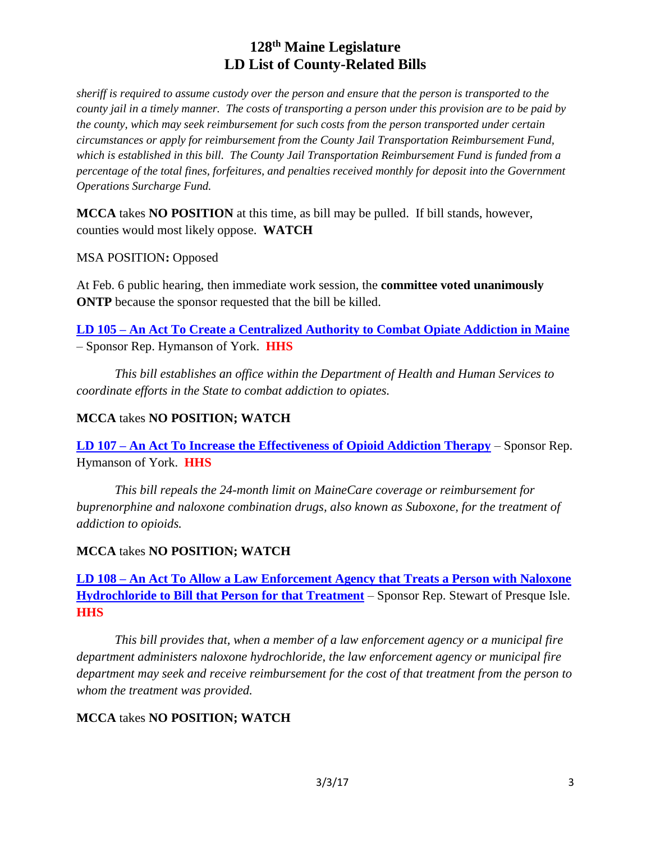*sheriff is required to assume custody over the person and ensure that the person is transported to the county jail in a timely manner. The costs of transporting a person under this provision are to be paid by the county, which may seek reimbursement for such costs from the person transported under certain circumstances or apply for reimbursement from the County Jail Transportation Reimbursement Fund, which is established in this bill. The County Jail Transportation Reimbursement Fund is funded from a percentage of the total fines, forfeitures, and penalties received monthly for deposit into the Government Operations Surcharge Fund.*

**MCCA** takes **NO POSITION** at this time, as bill may be pulled. If bill stands, however, counties would most likely oppose. **WATCH**

MSA POSITION**:** Opposed

At Feb. 6 public hearing, then immediate work session, the **committee voted unanimously ONTP** because the sponsor requested that the bill be killed.

**LD 105 – An Act To Create a Centralized Authority to Combat Opiate Addiction in Maine** – Sponsor Rep. Hymanson of York. **HHS**

*This bill establishes an office within the Department of Health and Human Services to coordinate efforts in the State to combat addiction to opiates.*

# **MCCA** takes **NO POSITION; WATCH**

**LD 107 – An Act To Increase the Effectiveness of Opioid Addiction Therapy** – Sponsor Rep. Hymanson of York. **HHS**

*This bill repeals the 24-month limit on MaineCare coverage or reimbursement for buprenorphine and naloxone combination drugs, also known as Suboxone, for the treatment of addiction to opioids.*

## **MCCA** takes **NO POSITION; WATCH**

**LD 108 – An Act To Allow a Law Enforcement Agency that Treats a Person with Naloxone Hydrochloride to Bill that Person for that Treatment** – Sponsor Rep. Stewart of Presque Isle. **HHS**

*This bill provides that, when a member of a law enforcement agency or a municipal fire department administers naloxone hydrochloride, the law enforcement agency or municipal fire department may seek and receive reimbursement for the cost of that treatment from the person to whom the treatment was provided.*

## **MCCA** takes **NO POSITION; WATCH**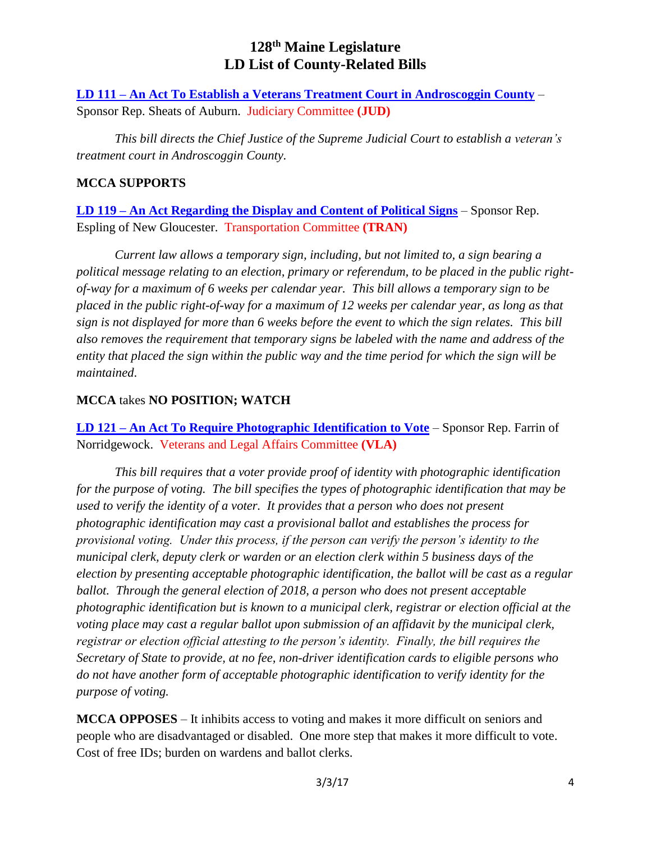**LD 111 – An Act To Establish a Veterans Treatment Court in Androscoggin County** – Sponsor Rep. Sheats of Auburn. Judiciary Committee **(JUD)**

*This bill directs the Chief Justice of the Supreme Judicial Court to establish a veteran's treatment court in Androscoggin County.*

## **MCCA SUPPORTS**

**LD 119 – An Act Regarding the Display and Content of Political Signs** – Sponsor Rep. Espling of New Gloucester. Transportation Committee **(TRAN)**

*Current law allows a temporary sign, including, but not limited to, a sign bearing a political message relating to an election, primary or referendum, to be placed in the public rightof-way for a maximum of 6 weeks per calendar year. This bill allows a temporary sign to be placed in the public right-of-way for a maximum of 12 weeks per calendar year, as long as that sign is not displayed for more than 6 weeks before the event to which the sign relates. This bill also removes the requirement that temporary signs be labeled with the name and address of the entity that placed the sign within the public way and the time period for which the sign will be maintained*.

# **MCCA** takes **NO POSITION; WATCH**

**LD 121 – An Act To Require Photographic Identification to Vote** – Sponsor Rep. Farrin of Norridgewock. Veterans and Legal Affairs Committee **(VLA)**

*This bill requires that a voter provide proof of identity with photographic identification for the purpose of voting. The bill specifies the types of photographic identification that may be used to verify the identity of a voter. It provides that a person who does not present photographic identification may cast a provisional ballot and establishes the process for provisional voting. Under this process, if the person can verify the person's identity to the municipal clerk, deputy clerk or warden or an election clerk within 5 business days of the election by presenting acceptable photographic identification, the ballot will be cast as a regular ballot. Through the general election of 2018, a person who does not present acceptable photographic identification but is known to a municipal clerk, registrar or election official at the voting place may cast a regular ballot upon submission of an affidavit by the municipal clerk, registrar or election official attesting to the person's identity. Finally, the bill requires the Secretary of State to provide, at no fee, non-driver identification cards to eligible persons who do not have another form of acceptable photographic identification to verify identity for the purpose of voting.* 

**MCCA OPPOSES** – It inhibits access to voting and makes it more difficult on seniors and people who are disadvantaged or disabled. One more step that makes it more difficult to vote. Cost of free IDs; burden on wardens and ballot clerks.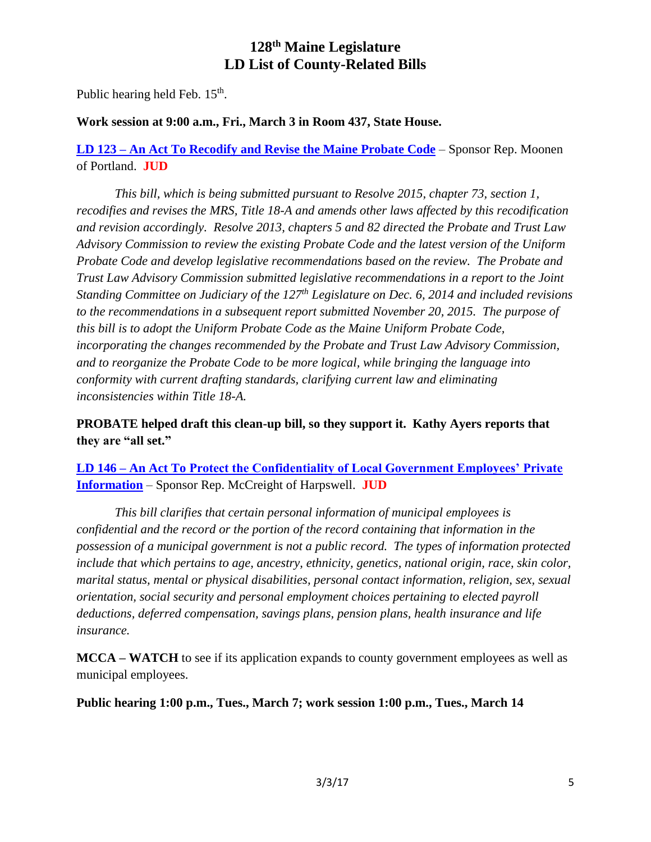Public hearing held Feb. 15<sup>th</sup>.

## **Work session at 9:00 a.m., Fri., March 3 in Room 437, State House.**

**LD 123 – An Act To Recodify and Revise the Maine Probate Code** – Sponsor Rep. Moonen of Portland. **JUD**

*This bill, which is being submitted pursuant to Resolve 2015, chapter 73, section 1, recodifies and revises the MRS, Title 18-A and amends other laws affected by this recodification and revision accordingly. Resolve 2013, chapters 5 and 82 directed the Probate and Trust Law Advisory Commission to review the existing Probate Code and the latest version of the Uniform Probate Code and develop legislative recommendations based on the review. The Probate and Trust Law Advisory Commission submitted legislative recommendations in a report to the Joint Standing Committee on Judiciary of the 127th Legislature on Dec. 6, 2014 and included revisions to the recommendations in a subsequent report submitted November 20, 2015. The purpose of this bill is to adopt the Uniform Probate Code as the Maine Uniform Probate Code, incorporating the changes recommended by the Probate and Trust Law Advisory Commission, and to reorganize the Probate Code to be more logical, while bringing the language into conformity with current drafting standards, clarifying current law and eliminating inconsistencies within Title 18-A.*

**PROBATE helped draft this clean-up bill, so they support it. Kathy Ayers reports that they are "all set."**

**LD 146 – An Act To Protect the Confidentiality of Local Government Employees' Private Information** – Sponsor Rep. McCreight of Harpswell. **JUD**

*This bill clarifies that certain personal information of municipal employees is confidential and the record or the portion of the record containing that information in the possession of a municipal government is not a public record. The types of information protected include that which pertains to age, ancestry, ethnicity, genetics, national origin, race, skin color, marital status, mental or physical disabilities, personal contact information, religion, sex, sexual orientation, social security and personal employment choices pertaining to elected payroll deductions, deferred compensation, savings plans, pension plans, health insurance and life insurance.*

**MCCA – WATCH** to see if its application expands to county government employees as well as municipal employees.

**Public hearing 1:00 p.m., Tues., March 7; work session 1:00 p.m., Tues., March 14**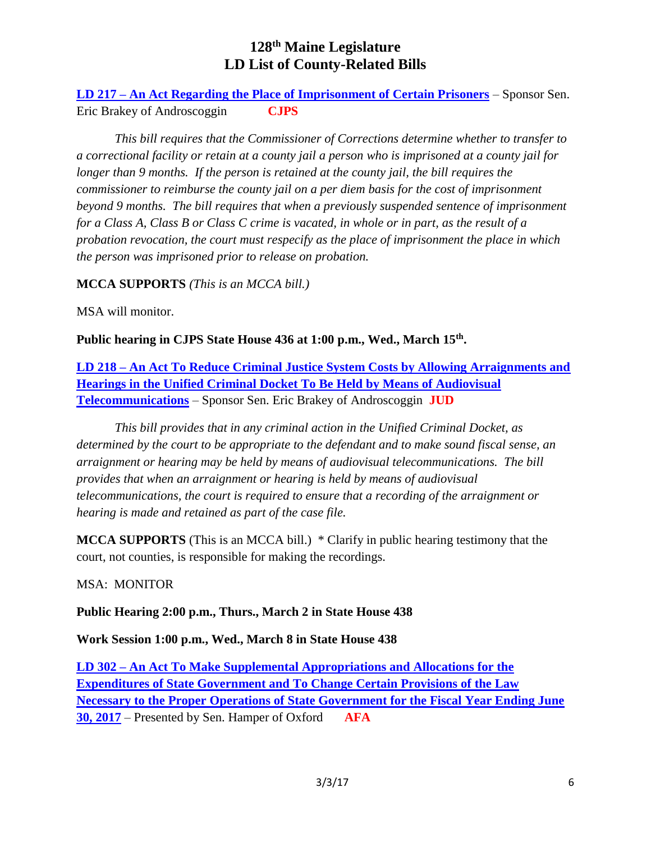**LD 217 – An Act Regarding the Place of Imprisonment of Certain Prisoners** – Sponsor Sen. Eric Brakey of Androscoggin **CJPS**

*This bill requires that the Commissioner of Corrections determine whether to transfer to a correctional facility or retain at a county jail a person who is imprisoned at a county jail for longer than 9 months. If the person is retained at the county jail, the bill requires the commissioner to reimburse the county jail on a per diem basis for the cost of imprisonment beyond 9 months. The bill requires that when a previously suspended sentence of imprisonment for a Class A, Class B or Class C crime is vacated, in whole or in part, as the result of a probation revocation, the court must respecify as the place of imprisonment the place in which the person was imprisoned prior to release on probation.*

**MCCA SUPPORTS** *(This is an MCCA bill.)*

MSA will monitor.

**Public hearing in CJPS State House 436 at 1:00 p.m., Wed., March 15th .**

**LD 218 – An Act To Reduce Criminal Justice System Costs by Allowing Arraignments and Hearings in the Unified Criminal Docket To Be Held by Means of Audiovisual Telecommunications** – Sponsor Sen. Eric Brakey of Androscoggin **JUD**

*This bill provides that in any criminal action in the Unified Criminal Docket, as determined by the court to be appropriate to the defendant and to make sound fiscal sense, an arraignment or hearing may be held by means of audiovisual telecommunications. The bill provides that when an arraignment or hearing is held by means of audiovisual telecommunications, the court is required to ensure that a recording of the arraignment or hearing is made and retained as part of the case file.*

**MCCA SUPPORTS** (This is an MCCA bill.) \* Clarify in public hearing testimony that the court, not counties, is responsible for making the recordings.

# MSA: MONITOR

**Public Hearing 2:00 p.m., Thurs., March 2 in State House 438**

**Work Session 1:00 p.m., Wed., March 8 in State House 438**

**LD 302 – An Act To Make Supplemental Appropriations and Allocations for the Expenditures of State Government and To Change Certain Provisions of the Law Necessary to the Proper Operations of State Government for the Fiscal Year Ending June 30, 2017** – Presented by Sen. Hamper of Oxford **AFA**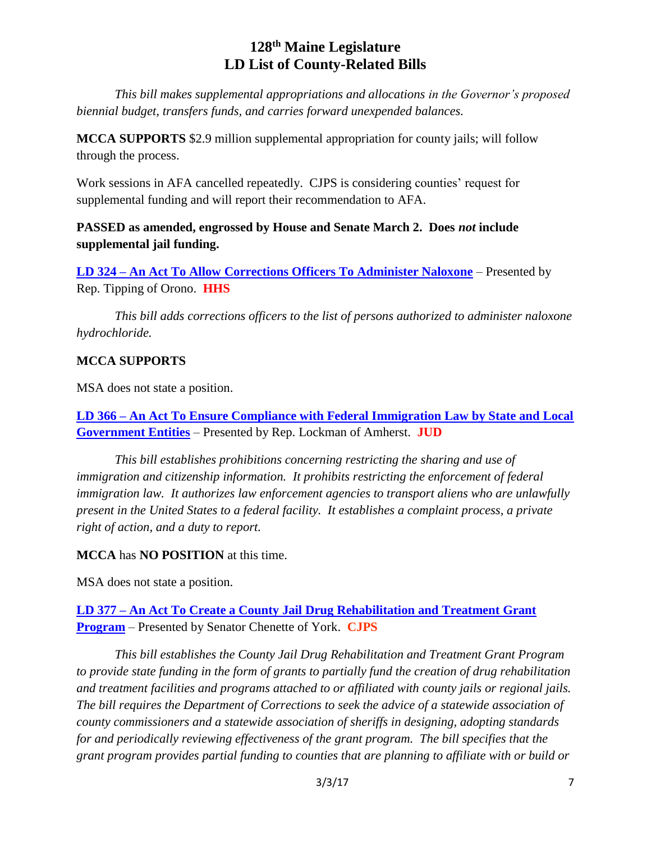*This bill makes supplemental appropriations and allocations in the Governor's proposed biennial budget, transfers funds, and carries forward unexpended balances.*

**MCCA SUPPORTS** \$2.9 million supplemental appropriation for county jails; will follow through the process.

Work sessions in AFA cancelled repeatedly. CJPS is considering counties' request for supplemental funding and will report their recommendation to AFA.

**PASSED as amended, engrossed by House and Senate March 2. Does** *not* **include supplemental jail funding.**

**LD 324 – An Act To Allow Corrections Officers To Administer Naloxone** – Presented by Rep. Tipping of Orono. **HHS**

*This bill adds corrections officers to the list of persons authorized to administer naloxone hydrochloride.*

## **MCCA SUPPORTS**

MSA does not state a position.

**LD 366 – An Act To Ensure Compliance with Federal Immigration Law by State and Local Government Entities** – Presented by Rep. Lockman of Amherst. **JUD**

*This bill establishes prohibitions concerning restricting the sharing and use of immigration and citizenship information. It prohibits restricting the enforcement of federal immigration law. It authorizes law enforcement agencies to transport aliens who are unlawfully present in the United States to a federal facility. It establishes a complaint process, a private right of action, and a duty to report.*

**MCCA** has **NO POSITION** at this time.

MSA does not state a position.

**LD 377 – An Act To Create a County Jail Drug Rehabilitation and Treatment Grant Program** – Presented by Senator Chenette of York. **CJPS**

*This bill establishes the County Jail Drug Rehabilitation and Treatment Grant Program to provide state funding in the form of grants to partially fund the creation of drug rehabilitation and treatment facilities and programs attached to or affiliated with county jails or regional jails. The bill requires the Department of Corrections to seek the advice of a statewide association of county commissioners and a statewide association of sheriffs in designing, adopting standards for and periodically reviewing effectiveness of the grant program. The bill specifies that the grant program provides partial funding to counties that are planning to affiliate with or build or*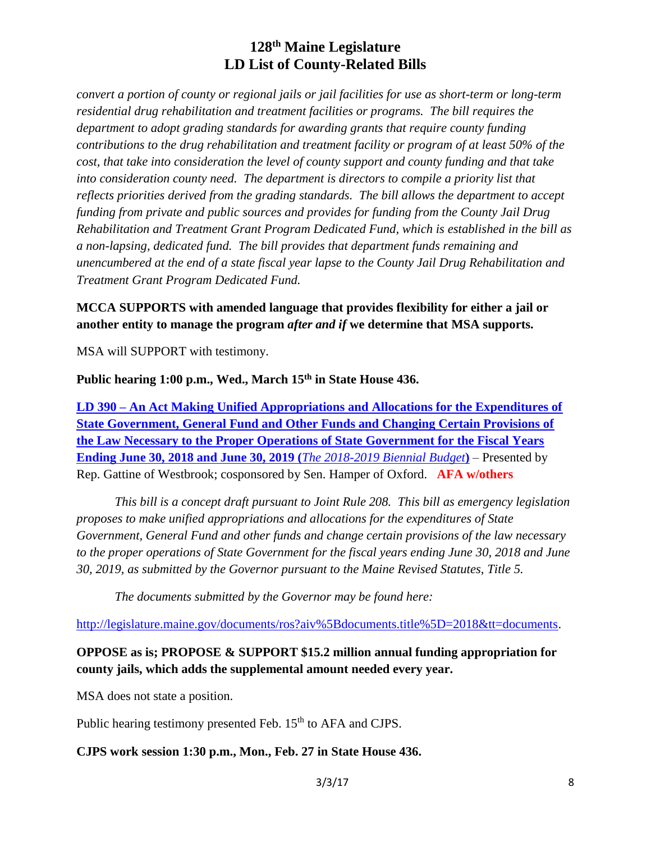*convert a portion of county or regional jails or jail facilities for use as short-term or long-term residential drug rehabilitation and treatment facilities or programs. The bill requires the department to adopt grading standards for awarding grants that require county funding contributions to the drug rehabilitation and treatment facility or program of at least 50% of the cost, that take into consideration the level of county support and county funding and that take into consideration county need. The department is directors to compile a priority list that reflects priorities derived from the grading standards. The bill allows the department to accept funding from private and public sources and provides for funding from the County Jail Drug Rehabilitation and Treatment Grant Program Dedicated Fund, which is established in the bill as a non-lapsing, dedicated fund. The bill provides that department funds remaining and unencumbered at the end of a state fiscal year lapse to the County Jail Drug Rehabilitation and Treatment Grant Program Dedicated Fund.*

# **MCCA SUPPORTS with amended language that provides flexibility for either a jail or another entity to manage the program** *after and if* **we determine that MSA supports.**

MSA will SUPPORT with testimony.

# **Public hearing 1:00 p.m., Wed., March 15th in State House 436.**

**LD 390 – An Act Making Unified Appropriations and Allocations for the Expenditures of State Government, General Fund and Other Funds and Changing Certain Provisions of the Law Necessary to the Proper Operations of State Government for the Fiscal Years Ending June 30, 2018 and June 30, 2019 (***The 2018-2019 Biennial Budget***)** – Presented by Rep. Gattine of Westbrook; cosponsored by Sen. Hamper of Oxford. **AFA w/others**

*This bill is a concept draft pursuant to Joint Rule 208. This bill as emergency legislation proposes to make unified appropriations and allocations for the expenditures of State Government, General Fund and other funds and change certain provisions of the law necessary to the proper operations of State Government for the fiscal years ending June 30, 2018 and June 30, 2019, as submitted by the Governor pursuant to the Maine Revised Statutes, Title 5.*

*The documents submitted by the Governor may be found here:*

[http://legislature.maine.gov/documents/ros?aiv%5Bdocuments.title%5D=2018&tt=documents.](http://legislature.maine.gov/documents/ros?aiv%5Bdocuments.title%5D=2018&tt=documents)

# **OPPOSE as is; PROPOSE & SUPPORT \$15.2 million annual funding appropriation for county jails, which adds the supplemental amount needed every year.**

MSA does not state a position.

Public hearing testimony presented Feb. 15<sup>th</sup> to AFA and CJPS.

# **CJPS work session 1:30 p.m., Mon., Feb. 27 in State House 436.**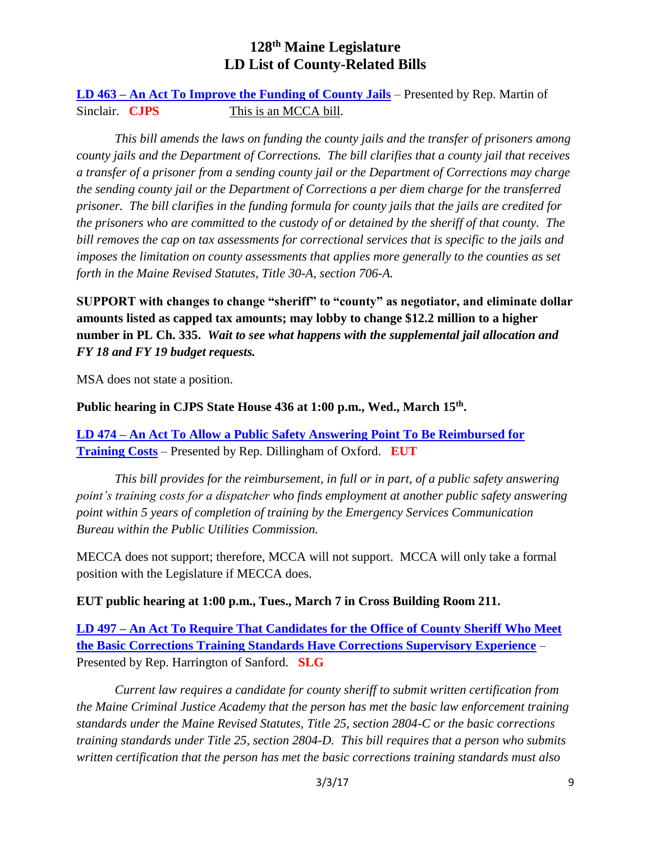**LD 463 – An Act To Improve the Funding of County Jails** – Presented by Rep. Martin of Sinclair. **CJPS** This is an MCCA bill.

*This bill amends the laws on funding the county jails and the transfer of prisoners among county jails and the Department of Corrections. The bill clarifies that a county jail that receives a transfer of a prisoner from a sending county jail or the Department of Corrections may charge the sending county jail or the Department of Corrections a per diem charge for the transferred prisoner. The bill clarifies in the funding formula for county jails that the jails are credited for the prisoners who are committed to the custody of or detained by the sheriff of that county. The bill removes the cap on tax assessments for correctional services that is specific to the jails and imposes the limitation on county assessments that applies more generally to the counties as set forth in the Maine Revised Statutes, Title 30-A, section 706-A.*

**SUPPORT with changes to change "sheriff" to "county" as negotiator, and eliminate dollar amounts listed as capped tax amounts; may lobby to change \$12.2 million to a higher number in PL Ch. 335.** *Wait to see what happens with the supplemental jail allocation and FY 18 and FY 19 budget requests.*

MSA does not state a position.

## **Public hearing in CJPS State House 436 at 1:00 p.m., Wed., March 15th .**

**LD 474 – An Act To Allow a Public Safety Answering Point To Be Reimbursed for Training Costs** – Presented by Rep. Dillingham of Oxford. **EUT**

*This bill provides for the reimbursement, in full or in part, of a public safety answering point's training costs for a dispatcher who finds employment at another public safety answering point within 5 years of completion of training by the Emergency Services Communication Bureau within the Public Utilities Commission.*

MECCA does not support; therefore, MCCA will not support. MCCA will only take a formal position with the Legislature if MECCA does.

## **EUT public hearing at 1:00 p.m., Tues., March 7 in Cross Building Room 211.**

**LD 497 – An Act To Require That Candidates for the Office of County Sheriff Who Meet the Basic Corrections Training Standards Have Corrections Supervisory Experience** – Presented by Rep. Harrington of Sanford. **SLG**

*Current law requires a candidate for county sheriff to submit written certification from the Maine Criminal Justice Academy that the person has met the basic law enforcement training standards under the Maine Revised Statutes, Title 25, section 2804-C or the basic corrections training standards under Title 25, section 2804-D. This bill requires that a person who submits written certification that the person has met the basic corrections training standards must also*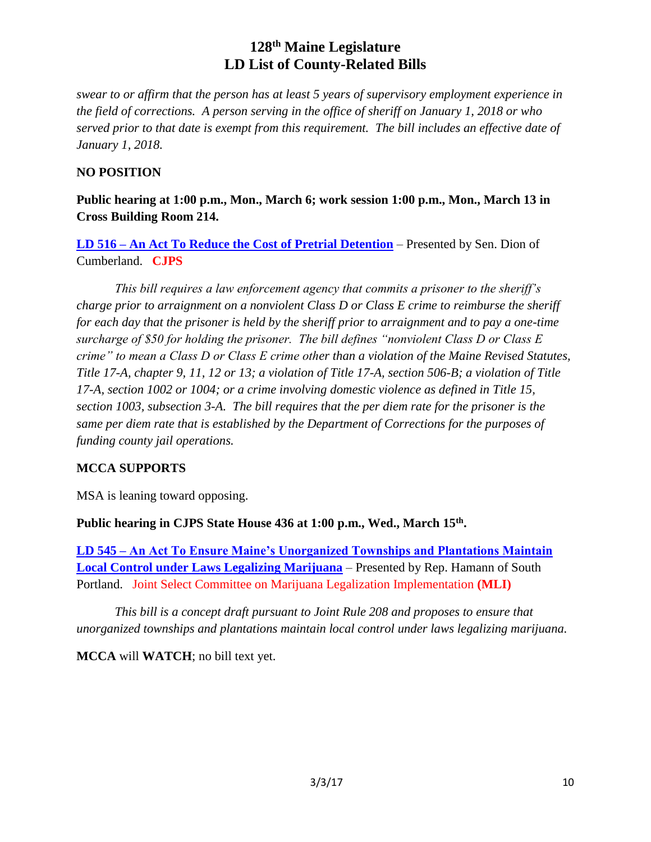*swear to or affirm that the person has at least 5 years of supervisory employment experience in the field of corrections. A person serving in the office of sheriff on January 1, 2018 or who served prior to that date is exempt from this requirement. The bill includes an effective date of January 1, 2018.*

# **NO POSITION**

**Public hearing at 1:00 p.m., Mon., March 6; work session 1:00 p.m., Mon., March 13 in Cross Building Room 214.**

**LD 516 – An Act To Reduce the Cost of Pretrial Detention** – Presented by Sen. Dion of Cumberland. **CJPS**

*This bill requires a law enforcement agency that commits a prisoner to the sheriff's charge prior to arraignment on a nonviolent Class D or Class E crime to reimburse the sheriff for each day that the prisoner is held by the sheriff prior to arraignment and to pay a one-time surcharge of \$50 for holding the prisoner. The bill defines "nonviolent Class D or Class E crime" to mean a Class D or Class E crime other than a violation of the Maine Revised Statutes, Title 17-A, chapter 9, 11, 12 or 13; a violation of Title 17-A, section 506-B; a violation of Title 17-A, section 1002 or 1004; or a crime involving domestic violence as defined in Title 15, section 1003, subsection 3-A. The bill requires that the per diem rate for the prisoner is the same per diem rate that is established by the Department of Corrections for the purposes of funding county jail operations.*

# **MCCA SUPPORTS**

MSA is leaning toward opposing.

**Public hearing in CJPS State House 436 at 1:00 p.m., Wed., March 15th .**

**LD 545 – An Act To Ensure Maine's Unorganized Townships and Plantations Maintain Local Control under Laws Legalizing Marijuana** – Presented by Rep. Hamann of South Portland. Joint Select Committee on Marijuana Legalization Implementation **(MLI)**

*This bill is a concept draft pursuant to Joint Rule 208 and proposes to ensure that unorganized townships and plantations maintain local control under laws legalizing marijuana.*

**MCCA** will **WATCH**; no bill text yet.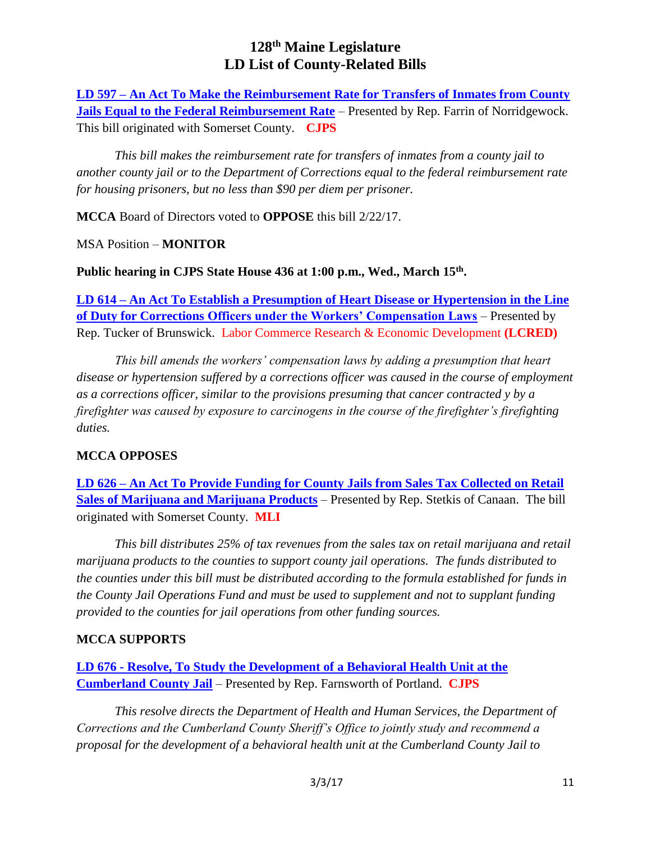**LD 597 – An Act To Make the Reimbursement Rate for Transfers of Inmates from County Jails Equal to the Federal Reimbursement Rate** – Presented by Rep. Farrin of Norridgewock. This bill originated with Somerset County. **CJPS**

*This bill makes the reimbursement rate for transfers of inmates from a county jail to another county jail or to the Department of Corrections equal to the federal reimbursement rate for housing prisoners, but no less than \$90 per diem per prisoner.*

**MCCA** Board of Directors voted to **OPPOSE** this bill 2/22/17.

MSA Position – **MONITOR**

**Public hearing in CJPS State House 436 at 1:00 p.m., Wed., March 15th .**

**LD 614 – An Act To Establish a Presumption of Heart Disease or Hypertension in the Line of Duty for Corrections Officers under the Workers' Compensation Laws** – Presented by Rep. Tucker of Brunswick. Labor Commerce Research & Economic Development **(LCRED)**

*This bill amends the workers' compensation laws by adding a presumption that heart disease or hypertension suffered by a corrections officer was caused in the course of employment as a corrections officer, similar to the provisions presuming that cancer contracted y by a firefighter was caused by exposure to carcinogens in the course of the firefighter's firefighting duties.*

# **MCCA OPPOSES**

**LD 626 – An Act To Provide Funding for County Jails from Sales Tax Collected on Retail Sales of Marijuana and Marijuana Products** – Presented by Rep. Stetkis of Canaan. The bill originated with Somerset County. **MLI**

*This bill distributes 25% of tax revenues from the sales tax on retail marijuana and retail marijuana products to the counties to support county jail operations. The funds distributed to the counties under this bill must be distributed according to the formula established for funds in the County Jail Operations Fund and must be used to supplement and not to supplant funding provided to the counties for jail operations from other funding sources.*

# **MCCA SUPPORTS**

**LD 676 - Resolve, To Study the Development of a Behavioral Health Unit at the Cumberland County Jail** – Presented by Rep. Farnsworth of Portland. **CJPS**

*This resolve directs the Department of Health and Human Services, the Department of Corrections and the Cumberland County Sheriff's Office to jointly study and recommend a proposal for the development of a behavioral health unit at the Cumberland County Jail to*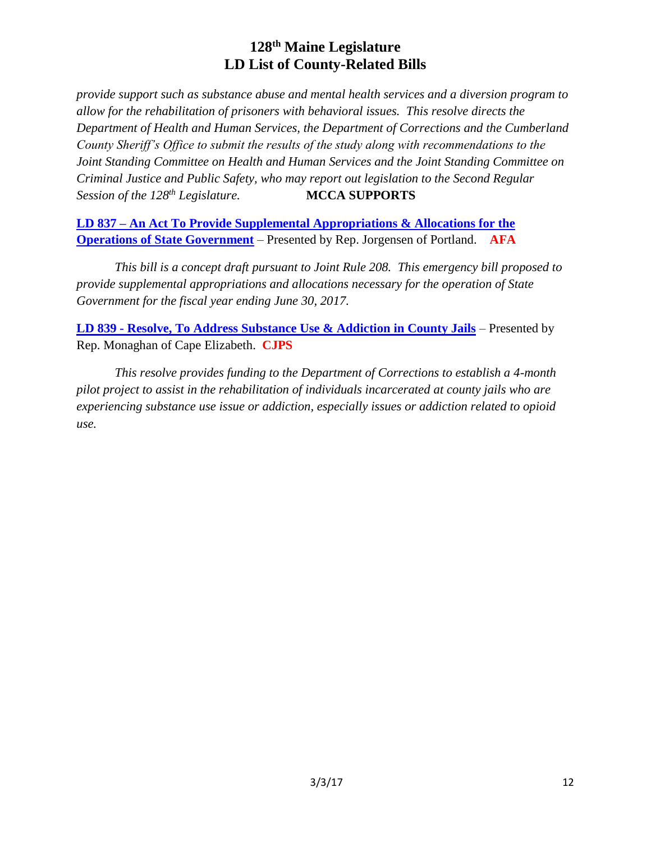*provide support such as substance abuse and mental health services and a diversion program to allow for the rehabilitation of prisoners with behavioral issues. This resolve directs the Department of Health and Human Services, the Department of Corrections and the Cumberland County Sheriff's Office to submit the results of the study along with recommendations to the Joint Standing Committee on Health and Human Services and the Joint Standing Committee on Criminal Justice and Public Safety, who may report out legislation to the Second Regular Session of the 128th Legislature.* **MCCA SUPPORTS**

**LD 837 – An Act To Provide Supplemental Appropriations & Allocations for the Operations of State Government** – Presented by Rep. Jorgensen of Portland. **AFA**

*This bill is a concept draft pursuant to Joint Rule 208. This emergency bill proposed to provide supplemental appropriations and allocations necessary for the operation of State Government for the fiscal year ending June 30, 2017.*

**LD 839 - Resolve, To Address Substance Use & Addiction in County Jails** – Presented by Rep. Monaghan of Cape Elizabeth. **CJPS**

*This resolve provides funding to the Department of Corrections to establish a 4-month pilot project to assist in the rehabilitation of individuals incarcerated at county jails who are experiencing substance use issue or addiction, especially issues or addiction related to opioid use.*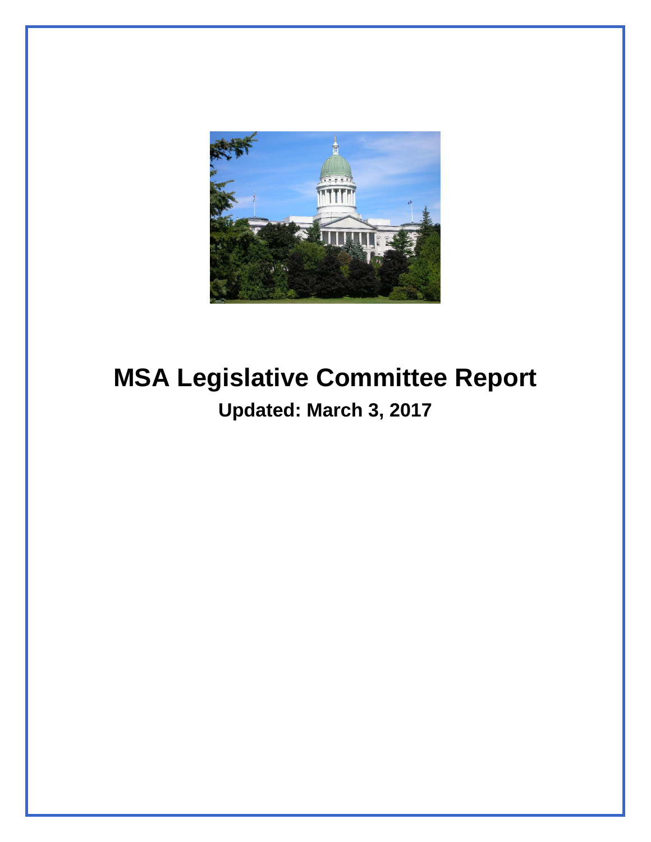

# **MSA Legislative Committee Report Updated: March 3, 2017**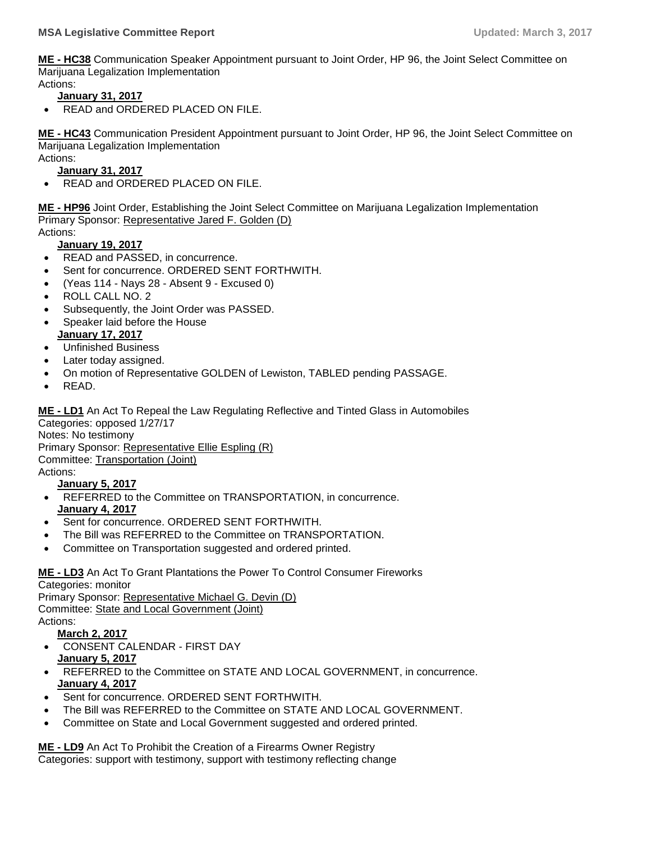**ME - [HC38](http://trak.li/b/1365114)** [Communication Speaker Appointment pursuant to Joint Order, HP 96, the Joint Select Committee on](http://trak.li/b/1365114)  [Marijuana Legalization Implementation](http://trak.li/b/1365114)

#### Actions: **January 31, 2017**

READ and ORDERED PLACED ON FILE.

**ME - [HC43](http://trak.li/b/1365119)** [Communication President Appointment pursuant to Joint Order, HP 96, the Joint Select Committee on](http://trak.li/b/1365119)  [Marijuana Legalization Implementation](http://trak.li/b/1365119) Actions:

# **January 31, 2017**

READ and ORDERED PLACED ON FILE.

**ME - [HP96](http://trak.li/b/1338727)** [Joint Order, Establishing the Joint Select Committee on Marijuana Legalization Implementation](http://trak.li/b/1338727) Primary Sponsor: [Representative Jared F. Golden \(D\)](https://trackbill.com/legislator/me-jared-f-golden/474-11724)

# Actions:

## **January 19, 2017**

- READ and PASSED, in concurrence.
- Sent for concurrence. ORDERED SENT FORTHWITH.
- (Yeas 114 Nays 28 Absent 9 Excused 0)
- ROLL CALL NO. 2
- Subsequently, the Joint Order was PASSED.
- Speaker laid before the House **January 17, 2017**
- Unfinished Business
- Later today assigned.
- On motion of Representative GOLDEN of Lewiston, TABLED pending PASSAGE.
- READ.

**[ME -](http://trak.li/b/1320205) LD1** [An Act To Repeal the Law Regulating Reflective and Tinted Glass in Automobiles](http://trak.li/b/1320205) Categories: opposed 1/27/17

Notes: No testimony

Primary Sponsor: [Representative Ellie Espling \(R\)](https://trackbill.com/legislator/me-ellie-espling/474-11729)

Committee: [Transportation \(Joint\)](https://trackbill.com/committee/me-transportation/474-5432)

Actions:

#### **January 5, 2017**

- REFERRED to the Committee on TRANSPORTATION, in concurrence. **January 4, 2017**
- Sent for concurrence. ORDERED SENT FORTHWITH.
- The Bill was REFERRED to the Committee on TRANSPORTATION.
- Committee on Transportation suggested and ordered printed.

#### **[ME -](http://trak.li/b/1320207) LD3** [An Act To Grant Plantations the Power To Control Consumer Fireworks](http://trak.li/b/1320207)

Categories: monitor Primary Sponsor: [Representative Michael G. Devin \(D\)](https://trackbill.com/legislator/me-michael-g-devin/474-11743) Committee: [State and Local Government \(Joint\)](https://trackbill.com/committee/me-state-and-local-government/474-5430) Actions: **March 2, 2017**

- 
- CONSENT CALENDAR FIRST DAY **January 5, 2017**
- REFERRED to the Committee on STATE AND LOCAL GOVERNMENT, in concurrence. **January 4, 2017**
- Sent for concurrence. ORDERED SENT FORTHWITH.
- The Bill was REFERRED to the Committee on STATE AND LOCAL GOVERNMENT.
- Committee on State and Local Government suggested and ordered printed.

**[ME -](http://trak.li/b/1322599) LD9** [An Act To Prohibit the Creation of a Firearms Owner Registry](http://trak.li/b/1322599) Categories: support with testimony, support with testimony reflecting change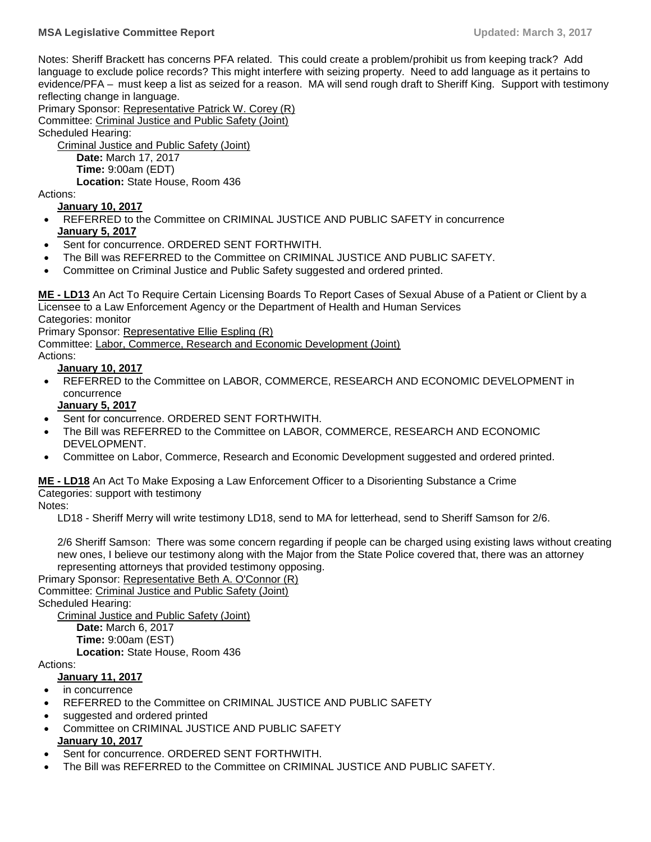Notes: Sheriff Brackett has concerns PFA related. This could create a problem/prohibit us from keeping track? Add language to exclude police records? This might interfere with seizing property. Need to add language as it pertains to evidence/PFA – must keep a list as seized for a reason. MA will send rough draft to Sheriff King. Support with testimony reflecting change in language.

Primary Sponsor: [Representative Patrick W. Corey \(R\)](https://trackbill.com/legislator/me-patrick-w-corey/474-11708) Committee: [Criminal Justice and Public Safety \(Joint\)](https://trackbill.com/committee/me-criminal-justice-and-public-safety/474-5420)

Scheduled Hearing:

[Criminal Justice and Public Safety \(Joint\)](https://trackbill.com/committee/me-criminal-justice-and-public-safety/474-5420) **Date:** March 17, 2017 **Time:** 9:00am (EDT) **Location:** State House, Room 436

Actions:

**January 10, 2017**

- REFERRED to the Committee on CRIMINAL JUSTICE AND PUBLIC SAFETY in concurrence **January 5, 2017**
- Sent for concurrence. ORDERED SENT FORTHWITH.
- The Bill was REFERRED to the Committee on CRIMINAL JUSTICE AND PUBLIC SAFETY.
- Committee on Criminal Justice and Public Safety suggested and ordered printed.

**ME - [LD13](http://trak.li/b/1322603)** [An Act To Require Certain Licensing Boards To Report Cases of Sexual Abuse of a Patient or Client by a](http://trak.li/b/1322603)  [Licensee to a Law Enforcement Agency or the Department of Health and Human Services](http://trak.li/b/1322603)

Categories: monitor

Primary Sponsor: [Representative Ellie Espling \(R\)](https://trackbill.com/legislator/me-ellie-espling/474-11729)

Committee: [Labor, Commerce, Research and Economic Development \(Joint\)](https://trackbill.com/committee/me-labor-commerce-research-and-economic-development/474-5428)

Actions:

#### **January 10, 2017**

 REFERRED to the Committee on LABOR, COMMERCE, RESEARCH AND ECONOMIC DEVELOPMENT in concurrence

#### **January 5, 2017**

- Sent for concurrence. ORDERED SENT FORTHWITH.
- The Bill was REFERRED to the Committee on LABOR, COMMERCE, RESEARCH AND ECONOMIC DEVELOPMENT.
- Committee on Labor, Commerce, Research and Economic Development suggested and ordered printed.

#### **ME - [LD18](http://trak.li/b/1325635)** [An Act To Make Exposing a Law Enforcement Officer to a Disorienting Substance a Crime](http://trak.li/b/1325635) Categories: support with testimony

Notes:

LD18 - Sheriff Merry will write testimony LD18, send to MA for letterhead, send to Sheriff Samson for 2/6.

2/6 Sheriff Samson: There was some concern regarding if people can be charged using existing laws without creating new ones, I believe our testimony along with the Major from the State Police covered that, there was an attorney representing attorneys that provided testimony opposing.

Primary Sponsor: [Representative Beth A. O'Connor \(R\)](https://trackbill.com/legislator/me-beth-a-oconnor/474-11697) Committee: [Criminal Justice and Public Safety \(Joint\)](https://trackbill.com/committee/me-criminal-justice-and-public-safety/474-5420) Scheduled Hearing: [Criminal Justice and Public Safety \(Joint\)](https://trackbill.com/committee/me-criminal-justice-and-public-safety/474-5420)

**Date:** March 6, 2017 **Time:** 9:00am (EST) **Location:** State House, Room 436

Actions:

#### **January 11, 2017**

- in concurrence
- REFERRED to the Committee on CRIMINAL JUSTICE AND PUBLIC SAFETY
- suggested and ordered printed
- Committee on CRIMINAL JUSTICE AND PUBLIC SAFETY **January 10, 2017**
- Sent for concurrence. ORDERED SENT FORTHWITH.
- The Bill was REFERRED to the Committee on CRIMINAL JUSTICE AND PUBLIC SAFETY.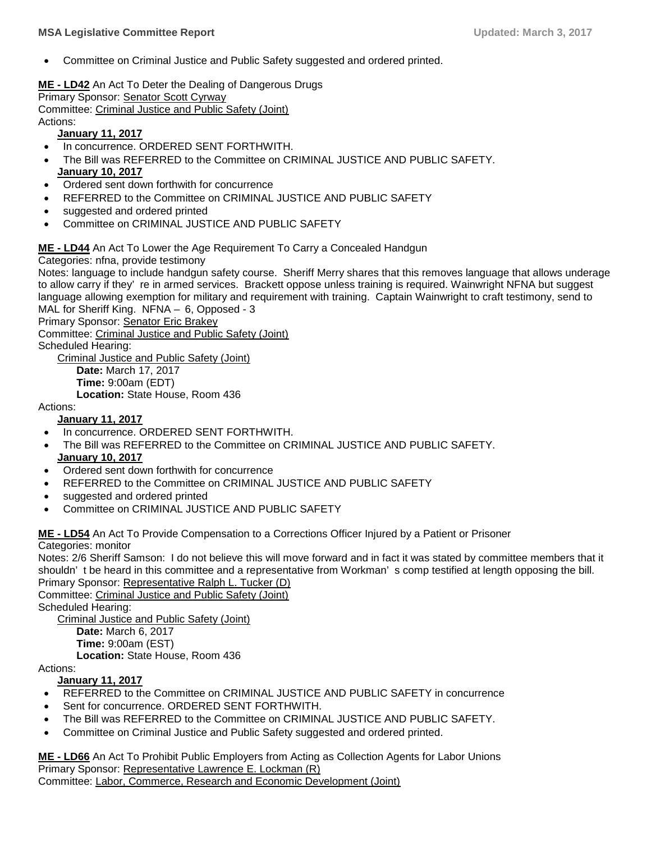Committee on Criminal Justice and Public Safety suggested and ordered printed.

**ME - [LD42](http://trak.li/b/1329945)** [An Act To Deter the Dealing of Dangerous Drugs](http://trak.li/b/1329945) Primary Sponsor: [Senator Scott Cyrway](https://trackbill.com/legislator/me-scott-cyrway/474-11667) Committee: [Criminal Justice and Public Safety \(Joint\)](https://trackbill.com/committee/me-criminal-justice-and-public-safety/474-5420) Actions:

#### **January 11, 2017**

- In concurrence. ORDERED SENT FORTHWITH.
- The Bill was REFERRED to the Committee on CRIMINAL JUSTICE AND PUBLIC SAFETY. **January 10, 2017**
- Ordered sent down forthwith for concurrence
- REFERRED to the Committee on CRIMINAL JUSTICE AND PUBLIC SAFETY
- suggested and ordered printed
- Committee on CRIMINAL JUSTICE AND PUBLIC SAFETY

#### **ME - [LD44](http://trak.li/b/1329947)** [An Act To Lower the Age Requirement To Carry a Concealed Handgun](http://trak.li/b/1329947)

#### Categories: nfna, provide testimony

Notes: language to include handgun safety course. Sheriff Merry shares that this removes language that allows underage to allow carry if they' re in armed services. Brackett oppose unless training is required. Wainwright NFNA but suggest language allowing exemption for military and requirement with training. Captain Wainwright to craft testimony, send to MAL for Sheriff King. NFNA – 6, Opposed - 3

Primary Sponsor: [Senator Eric Brakey](https://trackbill.com/legislator/me-eric-brakey/474-11662)

Committee: [Criminal Justice and Public Safety \(Joint\)](https://trackbill.com/committee/me-criminal-justice-and-public-safety/474-5420)

Scheduled Hearing:

[Criminal Justice and Public Safety \(Joint\)](https://trackbill.com/committee/me-criminal-justice-and-public-safety/474-5420) **Date:** March 17, 2017 **Time:** 9:00am (EDT) **Location:** State House, Room 436

#### Actions:

#### **January 11, 2017**

- In concurrence. ORDERED SENT FORTHWITH.
- The Bill was REFERRED to the Committee on CRIMINAL JUSTICE AND PUBLIC SAFETY. **January 10, 2017**
- Ordered sent down forthwith for concurrence
- REFERRED to the Committee on CRIMINAL JUSTICE AND PUBLIC SAFETY
- suggested and ordered printed
- Committee on CRIMINAL JUSTICE AND PUBLIC SAFETY

#### **ME - [LD54](http://trak.li/b/1331586)** [An Act To Provide Compensation to a Corrections Officer Injured by a Patient or Prisoner](http://trak.li/b/1331586) Categories: monitor

Notes: 2/6 Sheriff Samson: I do not believe this will move forward and in fact it was stated by committee members that it shouldn' t be heard in this committee and a representative from Workman' s comp testified at length opposing the bill. Primary Sponsor: [Representative Ralph L. Tucker \(D\)](https://trackbill.com/legislator/me-ralph-l-tucker/474-11718)

Committee: [Criminal Justice and Public Safety \(Joint\)](https://trackbill.com/committee/me-criminal-justice-and-public-safety/474-5420) Scheduled Hearing:

[Criminal Justice and Public Safety \(Joint\)](https://trackbill.com/committee/me-criminal-justice-and-public-safety/474-5420) **Date:** March 6, 2017 **Time:** 9:00am (EST) **Location:** State House, Room 436

#### Actions:

#### **January 11, 2017**

- REFERRED to the Committee on CRIMINAL JUSTICE AND PUBLIC SAFETY in concurrence
- Sent for concurrence. ORDERED SENT FORTHWITH.
- The Bill was REFERRED to the Committee on CRIMINAL JUSTICE AND PUBLIC SAFETY.
- Committee on Criminal Justice and Public Safety suggested and ordered printed.

**ME - [LD66](http://trak.li/b/1331598)** [An Act To Prohibit Public Employers from Acting as Collection Agents for Labor Unions](http://trak.li/b/1331598) Primary Sponsor: [Representative Lawrence E. Lockman \(R\)](https://trackbill.com/legislator/me-lawrence-e-lockman/474-9741) Committee: [Labor, Commerce, Research and Economic Development \(Joint\)](https://trackbill.com/committee/me-labor-commerce-research-and-economic-development/474-5428)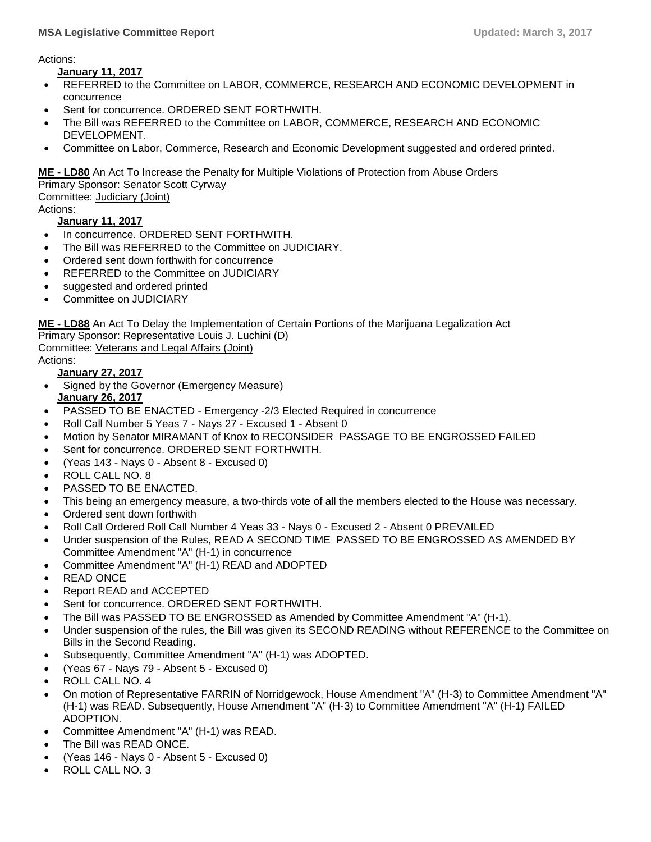Actions:

**January 11, 2017**

- REFERRED to the Committee on LABOR, COMMERCE, RESEARCH AND ECONOMIC DEVELOPMENT in concurrence
- Sent for concurrence. ORDERED SENT FORTHWITH.
- The Bill was REFERRED to the Committee on LABOR, COMMERCE, RESEARCH AND ECONOMIC DEVELOPMENT.
- Committee on Labor, Commerce, Research and Economic Development suggested and ordered printed.

**ME - [LD80](http://trak.li/b/1331657)** [An Act To Increase the Penalty for Multiple Violations of Protection from Abuse Orders](http://trak.li/b/1331657)

Primary Sponsor: [Senator Scott Cyrway](https://trackbill.com/legislator/me-scott-cyrway/474-11667)

Committee: [Judiciary \(Joint\)](https://trackbill.com/committee/me-judiciary/474-5427) Actions:

#### **January 11, 2017**

- In concurrence. ORDERED SENT FORTHWITH.
- The Bill was REFERRED to the Committee on JUDICIARY.
- Ordered sent down forthwith for concurrence
- REFERRED to the Committee on JUDICIARY
- suggested and ordered printed
- Committee on JUDICIARY

**ME - [LD88](http://trak.li/b/1331611)** [An Act To Delay the Implementation of Certain Portions of the Marijuana Legalization Act](http://trak.li/b/1331611) Primary Sponsor: [Representative Louis J. Luchini \(D\)](https://trackbill.com/legislator/me-louis-j-luchini/474-9749) Committee: [Veterans and Legal Affairs \(Joint\)](https://trackbill.com/committee/me-veterans-and-legal-affairs/474-5433)

Actions:

**January 27, 2017**

- Signed by the Governor (Emergency Measure) **January 26, 2017**
- PASSED TO BE ENACTED Emergency -2/3 Elected Required in concurrence
- Roll Call Number 5 Yeas 7 Nays 27 Excused 1 Absent 0
- Motion by Senator MIRAMANT of Knox to RECONSIDER PASSAGE TO BE ENGROSSED FAILED
- Sent for concurrence. ORDERED SENT FORTHWITH.
- (Yeas 143 Nays 0 Absent 8 Excused 0)
- ROLL CALL NO. 8
- PASSED TO BE ENACTED.
- This being an emergency measure, a two-thirds vote of all the members elected to the House was necessary.
- Ordered sent down forthwith
- Roll Call Ordered Roll Call Number 4 Yeas 33 Nays 0 Excused 2 Absent 0 PREVAILED
- Under suspension of the Rules, READ A SECOND TIME PASSED TO BE ENGROSSED AS AMENDED BY Committee Amendment "A" (H-1) in concurrence
- Committee Amendment "A" (H-1) READ and ADOPTED
- READ ONCE
- Report READ and ACCEPTED
- Sent for concurrence. ORDERED SENT FORTHWITH.
- The Bill was PASSED TO BE ENGROSSED as Amended by Committee Amendment "A" (H-1).
- Under suspension of the rules, the Bill was given its SECOND READING without REFERENCE to the Committee on Bills in the Second Reading.
- Subsequently, Committee Amendment "A" (H-1) was ADOPTED.
- (Yeas 67 Nays 79 Absent 5 Excused 0)
- ROLL CALL NO. 4
- On motion of Representative FARRIN of Norridgewock, House Amendment "A" (H-3) to Committee Amendment "A" (H-1) was READ. Subsequently, House Amendment "A" (H-3) to Committee Amendment "A" (H-1) FAILED ADOPTION.
- Committee Amendment "A" (H-1) was READ.
- The Bill was READ ONCE.
- (Yeas 146 Nays 0 Absent 5 Excused 0)
- ROLL CALL NO. 3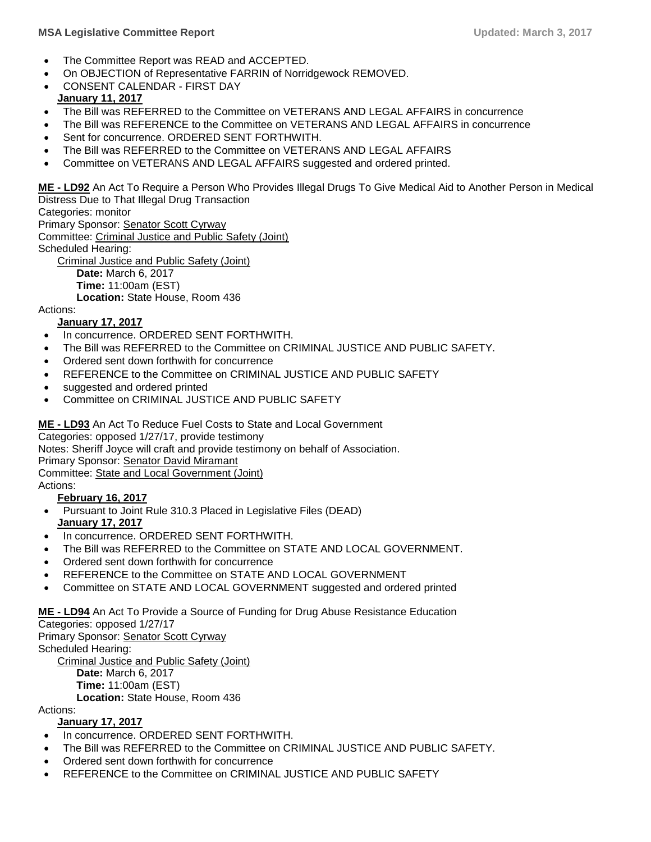- The Committee Report was READ and ACCEPTED.
- On OBJECTION of Representative FARRIN of Norridgewock REMOVED.
- CONSENT CALENDAR FIRST DAY **January 11, 2017**
- The Bill was REFERRED to the Committee on VETERANS AND LEGAL AFFAIRS in concurrence
- The Bill was REFERENCE to the Committee on VETERANS AND LEGAL AFFAIRS in concurrence
- Sent for concurrence. ORDERED SENT FORTHWITH.
- The Bill was REFERRED to the Committee on VETERANS AND LEGAL AFFAIRS
- Committee on VETERANS AND LEGAL AFFAIRS suggested and ordered printed.

**ME - [LD92](http://trak.li/b/1335714)** [An Act To Require a Person Who Provides Illegal Drugs To Give Medical Aid to Another](http://trak.li/b/1335714) Person in Medical [Distress Due to That Illegal Drug Transaction](http://trak.li/b/1335714)

Categories: monitor

Primary Sponsor: [Senator Scott Cyrway](https://trackbill.com/legislator/me-scott-cyrway/474-11667) Committee: [Criminal Justice and Public Safety \(Joint\)](https://trackbill.com/committee/me-criminal-justice-and-public-safety/474-5420) Scheduled Hearing: [Criminal Justice and Public Safety \(Joint\)](https://trackbill.com/committee/me-criminal-justice-and-public-safety/474-5420) **Date:** March 6, 2017 **Time:** 11:00am (EST)

**Location:** State House, Room 436

#### Actions:

#### **January 17, 2017**

- In concurrence. ORDERED SENT FORTHWITH.
- The Bill was REFERRED to the Committee on CRIMINAL JUSTICE AND PUBLIC SAFETY.
- Ordered sent down forthwith for concurrence
- REFERENCE to the Committee on CRIMINAL JUSTICE AND PUBLIC SAFETY
- suggested and ordered printed
- Committee on CRIMINAL JUSTICE AND PUBLIC SAFETY
- **ME - [LD93](http://trak.li/b/1335715)** [An Act To Reduce Fuel Costs to State and Local Government](http://trak.li/b/1335715)

Categories: opposed 1/27/17, provide testimony

Notes: Sheriff Joyce will craft and provide testimony on behalf of Association.

Primary Sponsor: [Senator David Miramant](https://trackbill.com/legislator/me-david-miramant/474-14572)

Committee: [State and Local Government \(Joint\)](https://trackbill.com/committee/me-state-and-local-government/474-5430)

Actions:

#### **February 16, 2017**

- Pursuant to Joint Rule 310.3 Placed in Legislative Files (DEAD) **January 17, 2017**
- In concurrence. ORDERED SENT FORTHWITH.
- The Bill was REFERRED to the Committee on STATE AND LOCAL GOVERNMENT.
- Ordered sent down forthwith for concurrence
- REFERENCE to the Committee on STATE AND LOCAL GOVERNMENT
- Committee on STATE AND LOCAL GOVERNMENT suggested and ordered printed

#### **ME - [LD94](http://trak.li/b/1335716)** [An Act To Provide a Source of Funding for Drug Abuse Resistance Education](http://trak.li/b/1335716)

#### Categories: opposed 1/27/17

Primary Sponsor: [Senator Scott Cyrway](https://trackbill.com/legislator/me-scott-cyrway/474-11667) Scheduled Hearing:

[Criminal Justice and Public Safety \(Joint\)](https://trackbill.com/committee/me-criminal-justice-and-public-safety/474-5420) **Date:** March 6, 2017 **Time:** 11:00am (EST) **Location:** State House, Room 436

Actions:

#### **January 17, 2017**

- In concurrence. ORDERED SENT FORTHWITH.
- The Bill was REFERRED to the Committee on CRIMINAL JUSTICE AND PUBLIC SAFETY.
- Ordered sent down forthwith for concurrence
- REFERENCE to the Committee on CRIMINAL JUSTICE AND PUBLIC SAFETY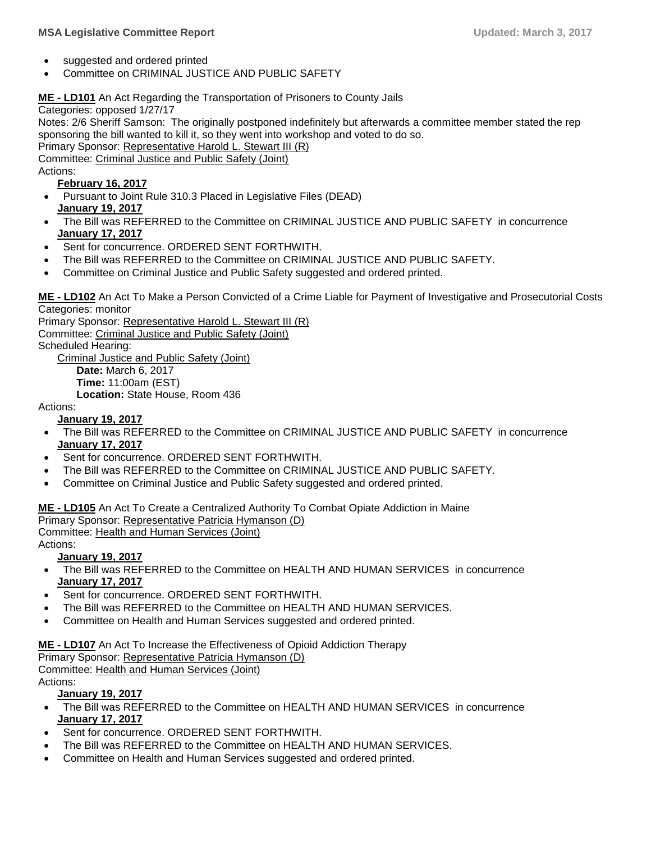- suggested and ordered printed
- Committee on CRIMINAL JUSTICE AND PUBLIC SAFETY

#### **ME - [LD101](http://trak.li/b/1336335)** An Act Regarding the [Transportation of Prisoners to County Jails](http://trak.li/b/1336335)

Categories: opposed 1/27/17

Notes: 2/6 Sheriff Samson: The originally postponed indefinitely but afterwards a committee member stated the rep sponsoring the bill wanted to kill it, so they went into workshop and voted to do so.

Primary Sponsor: [Representative Harold L. Stewart III \(R\)](https://trackbill.com/legislator/me-harold-l-stewart-iii/474-14621)

Committee: [Criminal Justice and Public Safety \(Joint\)](https://trackbill.com/committee/me-criminal-justice-and-public-safety/474-5420)

Actions:

#### **February 16, 2017**

- Pursuant to Joint Rule 310.3 Placed in Legislative Files (DEAD) **January 19, 2017**
- The Bill was REFERRED to the Committee on CRIMINAL JUSTICE AND PUBLIC SAFETY in concurrence **January 17, 2017**
- Sent for concurrence. ORDERED SENT FORTHWITH.
- The Bill was REFERRED to the Committee on CRIMINAL JUSTICE AND PUBLIC SAFETY.
- Committee on Criminal Justice and Public Safety suggested and ordered printed.

**ME - [LD102](http://trak.li/b/1336336)** [An Act To Make a Person Convicted of a Crime Liable for Payment of Investigative and Prosecutorial Costs](http://trak.li/b/1336336) Categories: monitor

Primary Sponsor: [Representative Harold L. Stewart III \(R\)](https://trackbill.com/legislator/me-harold-l-stewart-iii/474-14621) Committee: [Criminal Justice and Public Safety \(Joint\)](https://trackbill.com/committee/me-criminal-justice-and-public-safety/474-5420) Scheduled Hearing: [Criminal Justice and Public Safety \(Joint\)](https://trackbill.com/committee/me-criminal-justice-and-public-safety/474-5420) **Date:** March 6, 2017

**Time:** 11:00am (EST)

**Location:** State House, Room 436

#### Actions:

#### **January 19, 2017**

- The Bill was REFERRED to the Committee on CRIMINAL JUSTICE AND PUBLIC SAFETY in concurrence **January 17, 2017**
- Sent for concurrence. ORDERED SENT FORTHWITH.
- The Bill was REFERRED to the Committee on CRIMINAL JUSTICE AND PUBLIC SAFETY.
- Committee on Criminal Justice and Public Safety suggested and ordered printed.

**ME - [LD105](http://trak.li/b/1336339)** [An Act To Create a Centralized Authority To Combat Opiate Addiction in Maine](http://trak.li/b/1336339) Primary Sponsor: [Representative Patricia Hymanson \(D\)](https://trackbill.com/legislator/me-patricia-hymanson/474-11696) Committee: [Health and Human Services \(Joint\)](https://trackbill.com/committee/me-health-and-human-services/474-5424)

Actions:

#### **January 19, 2017**

- The Bill was REFERRED to the Committee on HEALTH AND HUMAN SERVICES in concurrence **January 17, 2017**
- Sent for concurrence. ORDERED SENT FORTHWITH.
- The Bill was REFERRED to the Committee on HEALTH AND HUMAN SERVICES.
- Committee on Health and Human Services suggested and ordered printed.

#### **ME - [LD107](http://trak.li/b/1336341)** [An Act To Increase the Effectiveness of Opioid Addiction Therapy](http://trak.li/b/1336341)

Primary Sponsor: [Representative Patricia Hymanson \(D\)](https://trackbill.com/legislator/me-patricia-hymanson/474-11696)

Committee: [Health and Human Services \(Joint\)](https://trackbill.com/committee/me-health-and-human-services/474-5424)

Actions:

#### **January 19, 2017**

- The Bill was REFERRED to the Committee on HEALTH AND HUMAN SERVICES in concurrence **January 17, 2017**
- Sent for concurrence. ORDERED SENT FORTHWITH.
- The Bill was REFERRED to the Committee on HEALTH AND HUMAN SERVICES.
- Committee on Health and Human Services suggested and ordered printed.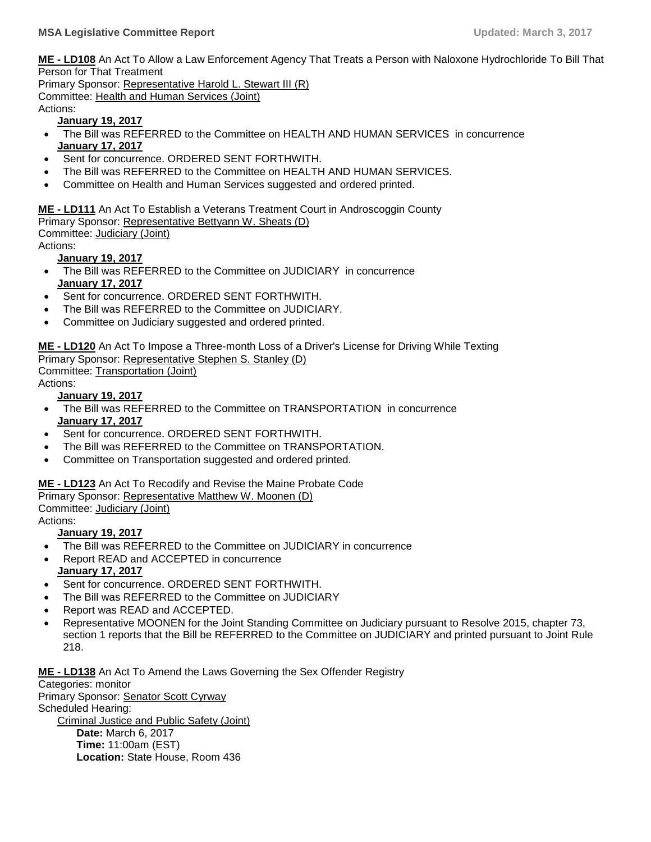**ME - [LD108](http://trak.li/b/1336342)** [An Act To Allow a Law Enforcement Agency That Treats a Person with Naloxone Hydrochloride To Bill That](http://trak.li/b/1336342)  [Person for That Treatment](http://trak.li/b/1336342)

Primary Sponsor: [Representative Harold L. Stewart III \(R\)](https://trackbill.com/legislator/me-harold-l-stewart-iii/474-14621) Committee: [Health and Human Services \(Joint\)](https://trackbill.com/committee/me-health-and-human-services/474-5424)

Actions:

#### **January 19, 2017**

- The Bill was REFERRED to the Committee on HEALTH AND HUMAN SERVICES in concurrence **January 17, 2017**
- Sent for concurrence. ORDERED SENT FORTHWITH.
- The Bill was REFERRED to the Committee on HEALTH AND HUMAN SERVICES.
- Committee on Health and Human Services suggested and ordered printed.

**ME - [LD111](http://trak.li/b/1336345)** [An Act To Establish a Veterans Treatment Court in Androscoggin County](http://trak.li/b/1336345) Primary Sponsor: [Representative Bettyann W. Sheats \(D\)](https://trackbill.com/legislator/me-bettyann-w-sheats/474-14595)

Committee: [Judiciary \(Joint\)](https://trackbill.com/committee/me-judiciary/474-5427)

Actions:

#### **January 19, 2017**

- The Bill was REFERRED to the Committee on JUDICIARY in concurrence **January 17, 2017**
- Sent for concurrence. ORDERED SENT FORTHWITH.
- The Bill was REFERRED to the Committee on JUDICIARY.
- Committee on Judiciary suggested and ordered printed.

# **ME - [LD120](http://trak.li/b/1336354)** [An Act To Impose a Three-month Loss of a Driver's License for Driving While Texting](http://trak.li/b/1336354)

Primary Sponsor: [Representative Stephen S. Stanley \(D\)](https://trackbill.com/legislator/me-stephen-s-stanley/474-9721)

Committee: [Transportation \(Joint\)](https://trackbill.com/committee/me-transportation/474-5432)

Actions:

#### **January 19, 2017**

- The Bill was REFERRED to the Committee on TRANSPORTATION in concurrence **January 17, 2017**
- Sent for concurrence. ORDERED SENT FORTHWITH.
- The Bill was REFERRED to the Committee on TRANSPORTATION.
- Committee on Transportation suggested and ordered printed.

#### **ME - [LD123](http://trak.li/b/1338437)** [An Act To Recodify and Revise the Maine Probate Code](http://trak.li/b/1338437)

Primary Sponsor: [Representative Matthew W. Moonen \(D\)](https://trackbill.com/legislator/me-matthew-w-moonen/474-9829)

Committee: [Judiciary \(Joint\)](https://trackbill.com/committee/me-judiciary/474-5427)

Actions:

#### **January 19, 2017**

- The Bill was REFERRED to the Committee on JUDICIARY in concurrence
- Report READ and ACCEPTED in concurrence **January 17, 2017**
- Sent for concurrence. ORDERED SENT FORTHWITH.
- The Bill was REFERRED to the Committee on JUDICIARY
- Report was READ and ACCEPTED.
- Representative MOONEN for the Joint Standing Committee on Judiciary pursuant to Resolve 2015, chapter 73, section 1 reports that the Bill be REFERRED to the Committee on JUDICIARY and printed pursuant to Joint Rule 218.

**ME - [LD138](http://trak.li/b/1341687)** [An Act To Amend the Laws Governing the Sex Offender Registry](http://trak.li/b/1341687)

Categories: monitor Primary Sponsor: [Senator Scott Cyrway](https://trackbill.com/legislator/me-scott-cyrway/474-11667) Scheduled Hearing: [Criminal Justice and Public Safety \(Joint\)](https://trackbill.com/committee/me-criminal-justice-and-public-safety/474-5420) **Date:** March 6, 2017 **Time:** 11:00am (EST) **Location:** State House, Room 436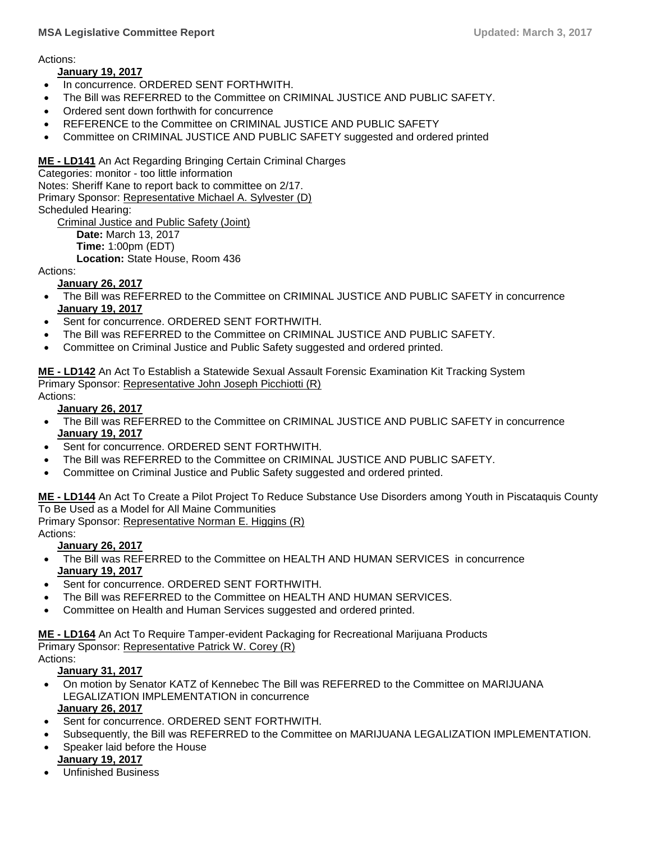Actions:

#### **January 19, 2017**

- In concurrence. ORDERED SENT FORTHWITH.
- The Bill was REFERRED to the Committee on CRIMINAL JUSTICE AND PUBLIC SAFETY.
- Ordered sent down forthwith for concurrence
- REFERENCE to the Committee on CRIMINAL JUSTICE AND PUBLIC SAFETY
- Committee on CRIMINAL JUSTICE AND PUBLIC SAFETY suggested and ordered printed

**ME - [LD141](http://trak.li/b/1341690)** [An Act Regarding Bringing Certain Criminal Charges](http://trak.li/b/1341690)

Categories: monitor - too little information Notes: Sheriff Kane to report back to committee on 2/17. Primary Sponsor: [Representative Michael A. Sylvester \(D\)](https://trackbill.com/legislator/me-michael-a-sylvester/474-14586) Scheduled Hearing:

[Criminal Justice and Public Safety \(Joint\)](https://trackbill.com/committee/me-criminal-justice-and-public-safety/474-5420) **Date:** March 13, 2017 **Time:** 1:00pm (EDT) **Location:** State House, Room 436

Actions:

#### **January 26, 2017**

- The Bill was REFERRED to the Committee on CRIMINAL JUSTICE AND PUBLIC SAFETY in concurrence **January 19, 2017**
- Sent for concurrence. ORDERED SENT FORTHWITH.
- The Bill was REFERRED to the Committee on CRIMINAL JUSTICE AND PUBLIC SAFETY.
- Committee on Criminal Justice and Public Safety suggested and ordered printed.

**ME - [LD142](http://trak.li/b/1341691)** [An Act To Establish a Statewide Sexual Assault Forensic Examination Kit Tracking System](http://trak.li/b/1341691) Primary Sponsor: [Representative John Joseph Picchiotti \(R\)](https://trackbill.com/legislator/me-john-joseph-picchiotti/474-11749)

## Actions:

#### **January 26, 2017**

- The Bill was REFERRED to the Committee on CRIMINAL JUSTICE AND PUBLIC SAFETY in concurrence **January 19, 2017**
- Sent for concurrence. ORDERED SENT FORTHWITH.
- The Bill was REFERRED to the Committee on CRIMINAL JUSTICE AND PUBLIC SAFETY.
- Committee on Criminal Justice and Public Safety suggested and ordered printed.

**ME - [LD144](http://trak.li/b/1341693)** [An Act To Create a Pilot Project To Reduce Substance Use Disorders among Youth in Piscataquis County](http://trak.li/b/1341693)  [To Be Used as a Model for All Maine Communities](http://trak.li/b/1341693)

Primary Sponsor: [Representative Norman E. Higgins \(R\)](https://trackbill.com/legislator/me-norman-e-higgins/474-11756)

Actions:

#### **January 26, 2017**

- The Bill was REFERRED to the Committee on HEALTH AND HUMAN SERVICES in concurrence **January 19, 2017**
- Sent for concurrence. ORDERED SENT FORTHWITH.
- The Bill was REFERRED to the Committee on HEALTH AND HUMAN SERVICES.
- Committee on Health and Human Services suggested and ordered printed.

**ME - [LD164](http://trak.li/b/1342969)** [An Act To Require Tamper-evident Packaging for Recreational Marijuana Products](http://trak.li/b/1342969) Primary Sponsor: [Representative Patrick W. Corey \(R\)](https://trackbill.com/legislator/me-patrick-w-corey/474-11708)

Actions:

#### **January 31, 2017**

- On motion by Senator KATZ of Kennebec The Bill was REFERRED to the Committee on MARIJUANA LEGALIZATION IMPLEMENTATION in concurrence **January 26, 2017**
- Sent for concurrence. ORDERED SENT FORTHWITH.
- Subsequently, the Bill was REFERRED to the Committee on MARIJUANA LEGALIZATION IMPLEMENTATION.
- Speaker laid before the House

# **January 19, 2017**

Unfinished Business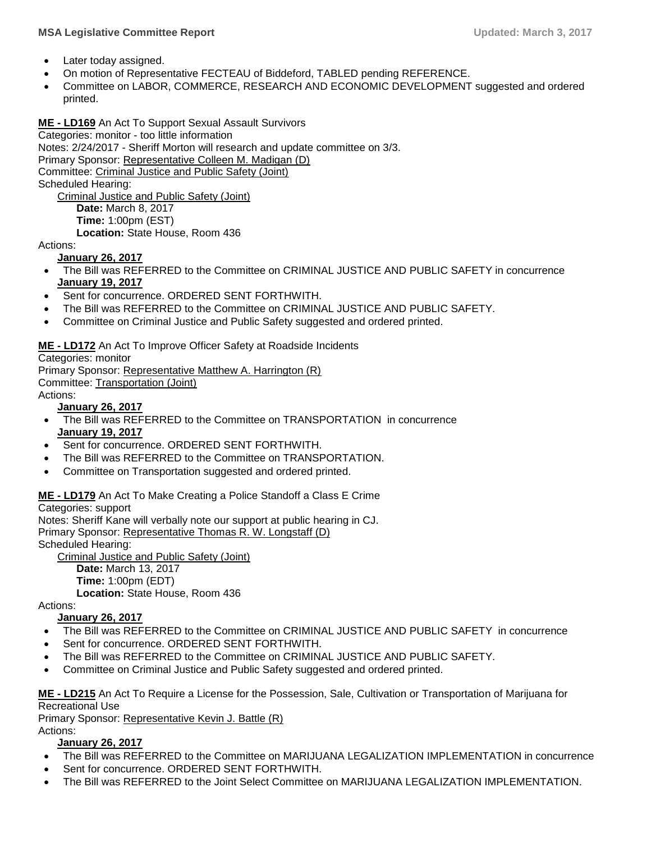#### **MSA Legislative Committee Report Updated: March 3, 2017**

- Later today assigned.
- On motion of Representative FECTEAU of Biddeford, TABLED pending REFERENCE.
- Committee on LABOR, COMMERCE, RESEARCH AND ECONOMIC DEVELOPMENT suggested and ordered printed.

#### **ME - [LD169](http://trak.li/b/1343992)** [An Act To Support Sexual Assault Survivors](http://trak.li/b/1343992)

Categories: monitor - too little information Notes: 2/24/2017 - Sheriff Morton will research and update committee on 3/3. Primary Sponsor: [Representative Colleen M. Madigan \(D\)](https://trackbill.com/legislator/me-colleen-m-madigan/474-14611) Committee: [Criminal Justice and Public Safety \(Joint\)](https://trackbill.com/committee/me-criminal-justice-and-public-safety/474-5420) Scheduled Hearing: [Criminal Justice and Public Safety \(Joint\)](https://trackbill.com/committee/me-criminal-justice-and-public-safety/474-5420) **Date:** March 8, 2017 **Time:** 1:00pm (EST)

**Location:** State House, Room 436

## Actions:

#### **January 26, 2017**

- The Bill was REFERRED to the Committee on CRIMINAL JUSTICE AND PUBLIC SAFETY in concurrence **January 19, 2017**
- Sent for concurrence. ORDERED SENT FORTHWITH.
- The Bill was REFERRED to the Committee on CRIMINAL JUSTICE AND PUBLIC SAFETY.
- Committee on Criminal Justice and Public Safety suggested and ordered printed.

#### **ME - [LD172](http://trak.li/b/1343995)** [An Act To Improve Officer Safety at Roadside Incidents](http://trak.li/b/1343995)

Categories: monitor

Primary Sponsor: [Representative Matthew A. Harrington \(R\)](https://trackbill.com/legislator/me-matthew-a-harrington/474-14579)

Committee: [Transportation \(Joint\)](https://trackbill.com/committee/me-transportation/474-5432)

Actions:

#### **January 26, 2017**

- The Bill was REFERRED to the Committee on TRANSPORTATION in concurrence **January 19, 2017**
- Sent for concurrence. ORDERED SENT FORTHWITH.
- The Bill was REFERRED to the Committee on TRANSPORTATION.
- Committee on Transportation suggested and ordered printed.

#### **ME - [LD179](http://trak.li/b/1351691)** [An Act To Make Creating a Police Standoff a Class E Crime](http://trak.li/b/1351691)

Categories: support

Notes: Sheriff Kane will verbally note our support at public hearing in CJ. Primary Sponsor: [Representative Thomas R. W. Longstaff \(D\)](https://trackbill.com/legislator/me-thomas-r-w-longstaff/474-9788)

Scheduled Hearing:

[Criminal Justice and Public Safety \(Joint\)](https://trackbill.com/committee/me-criminal-justice-and-public-safety/474-5420)

**Date:** March 13, 2017 **Time:** 1:00pm (EDT) **Location:** State House, Room 436

Actions:

#### **January 26, 2017**

- The Bill was REFERRED to the Committee on CRIMINAL JUSTICE AND PUBLIC SAFETY in concurrence
- Sent for concurrence. ORDERED SENT FORTHWITH.
- The Bill was REFERRED to the Committee on CRIMINAL JUSTICE AND PUBLIC SAFETY.
- Committee on Criminal Justice and Public Safety suggested and ordered printed.

**ME - [LD215](http://trak.li/b/1351727)** [An Act To Require a License for the Possession, Sale, Cultivation or Transportation of Marijuana for](http://trak.li/b/1351727)  [Recreational Use](http://trak.li/b/1351727)

Primary Sponsor: [Representative Kevin J. Battle \(R\)](https://trackbill.com/legislator/me-kevin-j-battle/474-11711) Actions:

#### **January 26, 2017**

- The Bill was REFERRED to the Committee on MARIJUANA LEGALIZATION IMPLEMENTATION in concurrence
- Sent for concurrence. ORDERED SENT FORTHWITH.
- The Bill was REFERRED to the Joint Select Committee on MARIJUANA LEGALIZATION IMPLEMENTATION.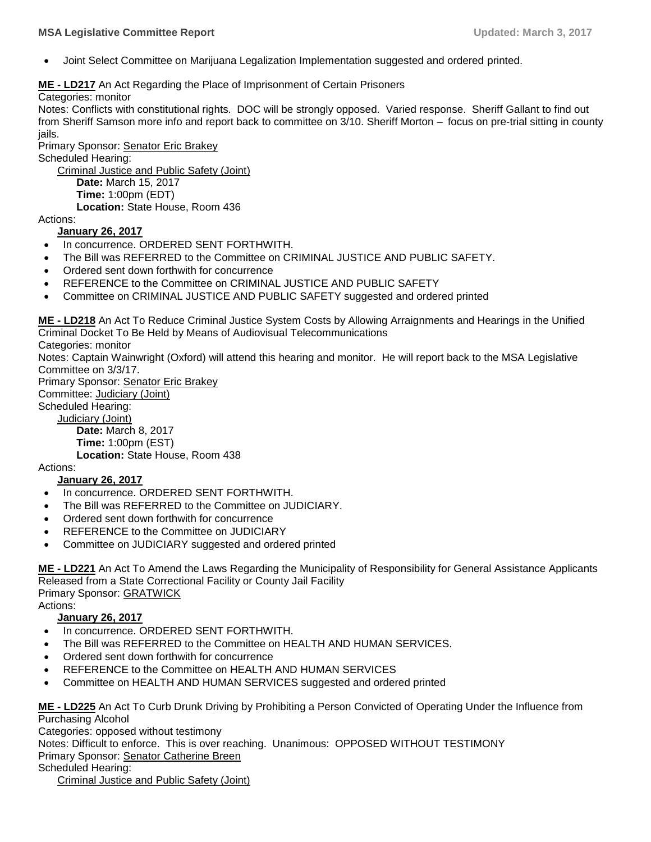Joint Select Committee on Marijuana Legalization Implementation suggested and ordered printed.

#### **ME - [LD217](http://trak.li/b/1350793)** [An Act Regarding the Place of Imprisonment of Certain Prisoners](http://trak.li/b/1350793)

Categories: monitor

Notes: Conflicts with constitutional rights. DOC will be strongly opposed. Varied response. Sheriff Gallant to find out from Sheriff Samson more info and report back to committee on 3/10. Sheriff Morton – focus on pre-trial sitting in county jails.

Primary Sponsor: [Senator Eric Brakey](https://trackbill.com/legislator/me-eric-brakey/474-11662)

Scheduled Hearing:

[Criminal Justice and Public Safety \(Joint\)](https://trackbill.com/committee/me-criminal-justice-and-public-safety/474-5420) **Date:** March 15, 2017 **Time:** 1:00pm (EDT) **Location:** State House, Room 436

Actions:

#### **January 26, 2017**

- In concurrence. ORDERED SENT FORTHWITH.
- The Bill was REFERRED to the Committee on CRIMINAL JUSTICE AND PUBLIC SAFETY.
- Ordered sent down forthwith for concurrence
- REFERENCE to the Committee on CRIMINAL JUSTICE AND PUBLIC SAFETY
- Committee on CRIMINAL JUSTICE AND PUBLIC SAFETY suggested and ordered printed

**ME - [LD218](http://trak.li/b/1350794)** [An Act To Reduce Criminal Justice System Costs by Allowing Arraignments and Hearings in the Unified](http://trak.li/b/1350794)  [Criminal Docket To Be Held by Means of Audiovisual Telecommunications](http://trak.li/b/1350794)

Categories: monitor

Notes: Captain Wainwright (Oxford) will attend this hearing and monitor. He will report back to the MSA Legislative Committee on 3/3/17.

Primary Sponsor: [Senator Eric Brakey](https://trackbill.com/legislator/me-eric-brakey/474-11662) Committee: [Judiciary \(Joint\)](https://trackbill.com/committee/me-judiciary/474-5427) Scheduled Hearing: [Judiciary \(Joint\)](https://trackbill.com/committee/me-judiciary/474-5427)

**Date:** March 8, 2017 **Time:** 1:00pm (EST) **Location:** State House, Room 438

Actions:

#### **January 26, 2017**

- In concurrence. ORDERED SENT FORTHWITH.
- The Bill was REFERRED to the Committee on JUDICIARY.
- Ordered sent down forthwith for concurrence
- REFERENCE to the Committee on JUDICIARY
- Committee on JUDICIARY suggested and ordered printed

**ME - [LD221](http://trak.li/b/1350797)** [An Act To Amend the Laws Regarding the Municipality of Responsibility for General Assistance Applicants](http://trak.li/b/1350797)  [Released from a State Correctional Facility or County Jail Facility](http://trak.li/b/1350797) Primary Sponsor: GRATWICK Actions:

#### **January 26, 2017**

- In concurrence. ORDERED SENT FORTHWITH.
- The Bill was REFERRED to the Committee on HEALTH AND HUMAN SERVICES.
- Ordered sent down forthwith for concurrence
- REFERENCE to the Committee on HEALTH AND HUMAN SERVICES
- Committee on HEALTH AND HUMAN SERVICES suggested and ordered printed

**ME - [LD225](http://trak.li/b/1350801)** [An Act To Curb Drunk Driving by Prohibiting a Person Convicted of Operating Under the Influence from](http://trak.li/b/1350801)  [Purchasing Alcohol](http://trak.li/b/1350801)

Categories: opposed without testimony

Notes: Difficult to enforce. This is over reaching. Unanimous: OPPOSED WITHOUT TESTIMONY

Primary Sponsor: [Senator Catherine Breen](https://trackbill.com/legislator/me-catherine-breen/474-11663)

Scheduled Hearing:

[Criminal Justice and Public Safety \(Joint\)](https://trackbill.com/committee/me-criminal-justice-and-public-safety/474-5420)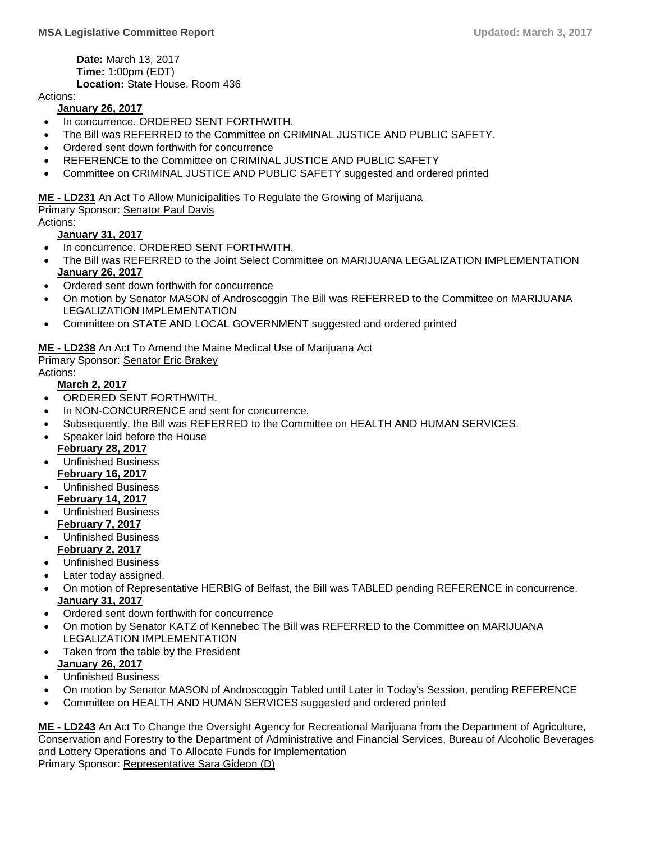**Date:** March 13, 2017 **Time:** 1:00pm (EDT) **Location:** State House, Room 436

Actions:

#### **January 26, 2017**

- In concurrence. ORDERED SENT FORTHWITH.
- The Bill was REFERRED to the Committee on CRIMINAL JUSTICE AND PUBLIC SAFETY.
- Ordered sent down forthwith for concurrence
- REFERENCE to the Committee on CRIMINAL JUSTICE AND PUBLIC SAFETY
- Committee on CRIMINAL JUSTICE AND PUBLIC SAFETY suggested and ordered printed

**ME - [LD231](http://trak.li/b/1350807)** [An Act To Allow Municipalities To Regulate the Growing of Marijuana](http://trak.li/b/1350807) Primary Sponsor: [Senator Paul Davis](https://trackbill.com/legislator/me-paul-davis/474-11668) Actions:

**January 31, 2017**

- In concurrence. ORDERED SENT FORTHWITH.
- The Bill was REFERRED to the Joint Select Committee on MARIJUANA LEGALIZATION IMPLEMENTATION **January 26, 2017**
- Ordered sent down forthwith for concurrence
- On motion by Senator MASON of Androscoggin The Bill was REFERRED to the Committee on MARIJUANA LEGALIZATION IMPLEMENTATION
- Committee on STATE AND LOCAL GOVERNMENT suggested and ordered printed

**ME - [LD238](http://trak.li/b/1359370)** [An Act To Amend the Maine Medical Use of Marijuana Act](http://trak.li/b/1359370)

Primary Sponsor: [Senator Eric Brakey](https://trackbill.com/legislator/me-eric-brakey/474-11662)

Actions:

- **March 2, 2017**
- ORDERED SENT FORTHWITH.
- In NON-CONCURRENCE and sent for concurrence.
- Subsequently, the Bill was REFERRED to the Committee on HEALTH AND HUMAN SERVICES.
- Speaker laid before the House
- **February 28, 2017** Unfinished Business
- **February 16, 2017**
- Unfinished Business **February 14, 2017**
- Unfinished Business **February 7, 2017**
- Unfinished Business **February 2, 2017**
- Unfinished Business
- Later today assigned.
- On motion of Representative HERBIG of Belfast, the Bill was TABLED pending REFERENCE in concurrence. **January 31, 2017**
- Ordered sent down forthwith for concurrence
- On motion by Senator KATZ of Kennebec The Bill was REFERRED to the Committee on MARIJUANA LEGALIZATION IMPLEMENTATION
- Taken from the table by the President **January 26, 2017**
- Unfinished Business
- On motion by Senator MASON of Androscoggin Tabled until Later in Today's Session, pending REFERENCE
- Committee on HEALTH AND HUMAN SERVICES suggested and ordered printed

**ME - [LD243](http://trak.li/b/1362170)** [An Act To Change the Oversight Agency for Recreational Marijuana from the Department of Agriculture,](http://trak.li/b/1362170)  [Conservation and Forestry to the Department of Administrative and Financial Services, Bureau of Alcoholic Beverages](http://trak.li/b/1362170)  [and Lottery Operations and To Allocate Funds for Implementation](http://trak.li/b/1362170) Primary Sponsor: [Representative Sara Gideon \(D\)](https://trackbill.com/legislator/me-sara-gideon/474-9817)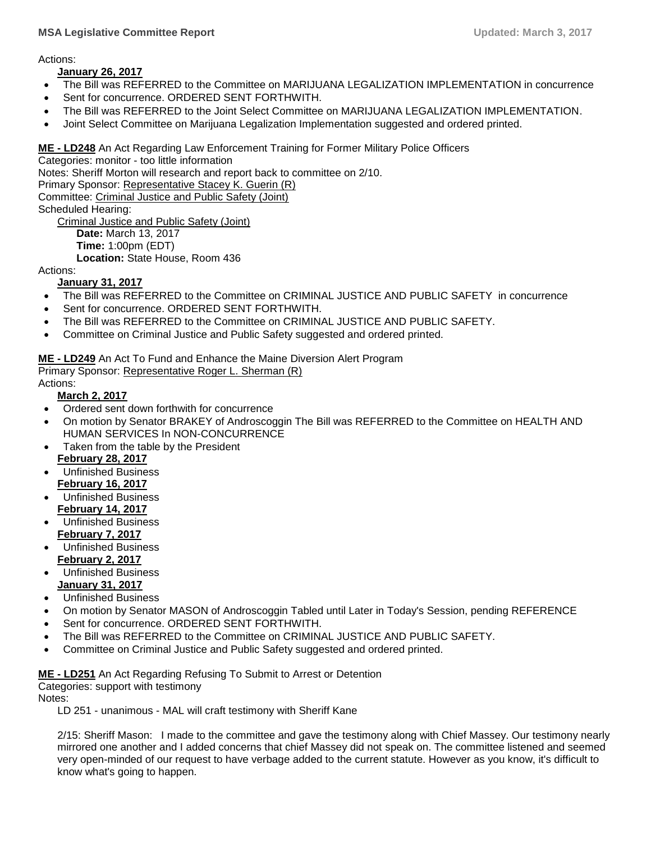#### **MSA Legislative Committee Report Updated: March 3, 2017**

Actions:

#### **January 26, 2017**

- The Bill was REFERRED to the Committee on MARIJUANA LEGALIZATION IMPLEMENTATION in concurrence
- Sent for concurrence. ORDERED SENT FORTHWITH.
- The Bill was REFERRED to the Joint Select Committee on MARIJUANA LEGALIZATION IMPLEMENTATION.
- Joint Select Committee on Marijuana Legalization Implementation suggested and ordered printed.

### **ME - [LD248](http://trak.li/b/1363441)** [An Act Regarding Law Enforcement Training for Former Military Police Officers](http://trak.li/b/1363441)

Categories: monitor - too little information Notes: Sheriff Morton will research and report back to committee on 2/10. Primary Sponsor: [Representative Stacey K. Guerin \(R\)](https://trackbill.com/legislator/me-stacey-k-guerin/474-9733) Committee: [Criminal Justice and Public Safety \(Joint\)](https://trackbill.com/committee/me-criminal-justice-and-public-safety/474-5420) Scheduled Hearing: [Criminal Justice and Public Safety \(Joint\)](https://trackbill.com/committee/me-criminal-justice-and-public-safety/474-5420)

**Date:** March 13, 2017 **Time:** 1:00pm (EDT) **Location:** State House, Room 436

Actions:

#### **January 31, 2017**

- The Bill was REFERRED to the Committee on CRIMINAL JUSTICE AND PUBLIC SAFETY in concurrence
- Sent for concurrence. ORDERED SENT FORTHWITH.
- The Bill was REFERRED to the Committee on CRIMINAL JUSTICE AND PUBLIC SAFETY.
- Committee on Criminal Justice and Public Safety suggested and ordered printed.

**ME - [LD249](http://trak.li/b/1363442)** [An Act To Fund and Enhance the Maine Diversion Alert Program](http://trak.li/b/1363442) Primary Sponsor: [Representative Roger L. Sherman \(R\)](https://trackbill.com/legislator/me-roger-l-sherman/474-11764)

Actions:

#### **March 2, 2017**

- Ordered sent down forthwith for concurrence
- On motion by Senator BRAKEY of Androscoggin The Bill was REFERRED to the Committee on HEALTH AND HUMAN SERVICES In NON-CONCURRENCE
- Taken from the table by the President **February 28, 2017**
- Unfinished Business **February 16, 2017**
- Unfinished Business **February 14, 2017**
- Unfinished Business **February 7, 2017**
- Unfinished Business **February 2, 2017**
- Unfinished Business **January 31, 2017**
- Unfinished Business
- On motion by Senator MASON of Androscoggin Tabled until Later in Today's Session, pending REFERENCE
- Sent for concurrence. ORDERED SENT FORTHWITH.
- The Bill was REFERRED to the Committee on CRIMINAL JUSTICE AND PUBLIC SAFETY.
- Committee on Criminal Justice and Public Safety suggested and ordered printed.

#### **ME - [LD251](http://trak.li/b/1363444)** [An Act Regarding Refusing To Submit to Arrest or Detention](http://trak.li/b/1363444)

Categories: support with testimony

Notes:

LD 251 - unanimous - MAL will craft testimony with Sheriff Kane

2/15: Sheriff Mason: I made to the committee and gave the testimony along with Chief Massey. Our testimony nearly mirrored one another and I added concerns that chief Massey did not speak on. The committee listened and seemed very open-minded of our request to have verbage added to the current statute. However as you know, it's difficult to know what's going to happen.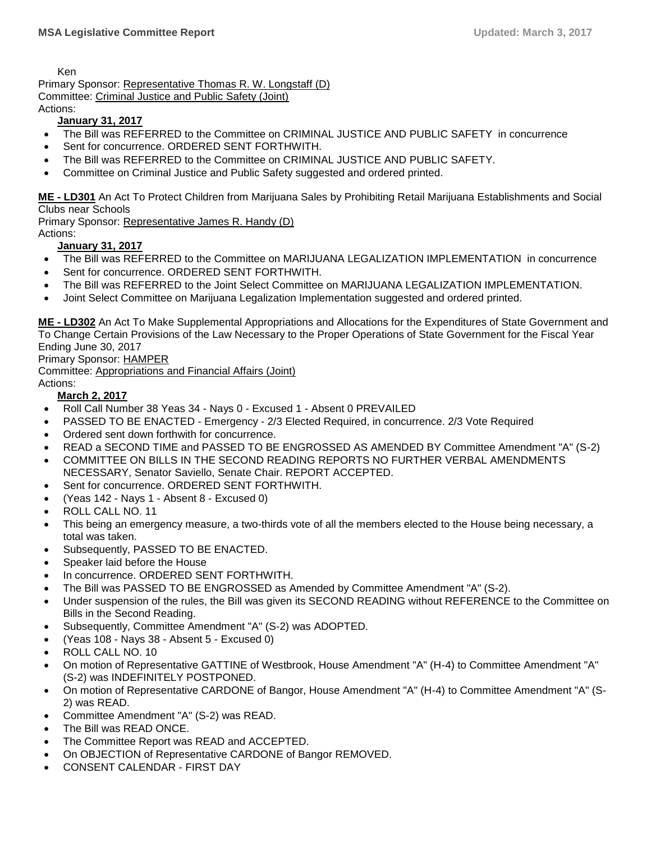Ken

Primary Sponsor: [Representative Thomas R. W. Longstaff \(D\)](https://trackbill.com/legislator/me-thomas-r-w-longstaff/474-9788) Committee: [Criminal Justice and Public Safety \(Joint\)](https://trackbill.com/committee/me-criminal-justice-and-public-safety/474-5420) Actions:

# **January 31, 2017**

- The Bill was REFERRED to the Committee on CRIMINAL JUSTICE AND PUBLIC SAFETY in concurrence
- Sent for concurrence. ORDERED SENT FORTHWITH.
- The Bill was REFERRED to the Committee on CRIMINAL JUSTICE AND PUBLIC SAFETY.
- Committee on Criminal Justice and Public Safety suggested and ordered printed.

**ME - [LD301](http://trak.li/b/1363494)** [An Act To Protect Children from Marijuana Sales by Prohibiting Retail Marijuana Establishments and Social](http://trak.li/b/1363494)  [Clubs near Schools](http://trak.li/b/1363494)

Primary Sponsor: [Representative James R. Handy \(D\)](https://trackbill.com/legislator/me-james-r-handy/474-14593) Actions:

## **January 31, 2017**

- The Bill was REFERRED to the Committee on MARIJUANA LEGALIZATION IMPLEMENTATION in concurrence
- Sent for concurrence. ORDERED SENT FORTHWITH.
- The Bill was REFERRED to the Joint Select Committee on MARIJUANA LEGALIZATION IMPLEMENTATION.
- Joint Select Committee on Marijuana Legalization Implementation suggested and ordered printed.

**ME - [LD302](http://trak.li/b/1363495)** [An Act To Make Supplemental Appropriations and Allocations for the Expenditures of State Government and](http://trak.li/b/1363495)  [To Change Certain Provisions of the Law Necessary to the Proper Operations of State Government for the Fiscal Year](http://trak.li/b/1363495)  [Ending June 30, 2017](http://trak.li/b/1363495)

#### Primary Sponsor: HAMPER

Committee: [Appropriations and Financial Affairs \(Joint\)](https://trackbill.com/committee/me-appropriations-and-financial-affairs/474-5419)

Actions:

#### **March 2, 2017**

- Roll Call Number 38 Yeas 34 Nays 0 Excused 1 Absent 0 PREVAILED
- PASSED TO BE ENACTED Emergency 2/3 Elected Required, in concurrence. 2/3 Vote Required
- Ordered sent down forthwith for concurrence.
- READ a SECOND TIME and PASSED TO BE ENGROSSED AS AMENDED BY Committee Amendment "A" (S-2)
- COMMITTEE ON BILLS IN THE SECOND READING REPORTS NO FURTHER VERBAL AMENDMENTS NECESSARY, Senator Saviello, Senate Chair. REPORT ACCEPTED.
- Sent for concurrence. ORDERED SENT FORTHWITH.
- (Yeas 142 Nays 1 Absent 8 Excused 0)
- ROLL CALL NO. 11
- This being an emergency measure, a two-thirds vote of all the members elected to the House being necessary, a total was taken.
- Subsequently, PASSED TO BE ENACTED.
- Speaker laid before the House
- In concurrence. ORDERED SENT FORTHWITH.
- The Bill was PASSED TO BE ENGROSSED as Amended by Committee Amendment "A" (S-2).
- Under suspension of the rules, the Bill was given its SECOND READING without REFERENCE to the Committee on Bills in the Second Reading.
- Subsequently, Committee Amendment "A" (S-2) was ADOPTED.
- (Yeas 108 Nays 38 Absent 5 Excused 0)
- ROLL CALL NO. 10
- On motion of Representative GATTINE of Westbrook, House Amendment "A" (H-4) to Committee Amendment "A" (S-2) was INDEFINITELY POSTPONED.
- On motion of Representative CARDONE of Bangor, House Amendment "A" (H-4) to Committee Amendment "A" (S-2) was READ.
- Committee Amendment "A" (S-2) was READ.
- The Bill was READ ONCE.
- The Committee Report was READ and ACCEPTED.
- On OBJECTION of Representative CARDONE of Bangor REMOVED.
- CONSENT CALENDAR FIRST DAY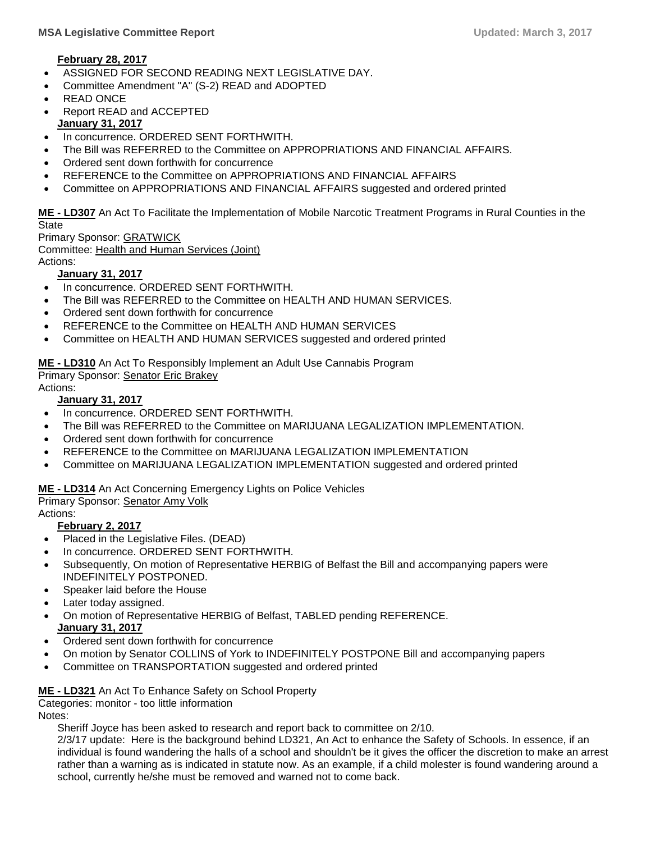#### **February 28, 2017**

- ASSIGNED FOR SECOND READING NEXT LEGISLATIVE DAY.
- Committee Amendment "A" (S-2) READ and ADOPTED
- READ ONCE
- Report READ and ACCEPTED **January 31, 2017**
- In concurrence. ORDERED SENT FORTHWITH.
- The Bill was REFERRED to the Committee on APPROPRIATIONS AND FINANCIAL AFFAIRS.
- Ordered sent down forthwith for concurrence
- REFERENCE to the Committee on APPROPRIATIONS AND FINANCIAL AFFAIRS
- Committee on APPROPRIATIONS AND FINANCIAL AFFAIRS suggested and ordered printed

**ME - [LD307](http://trak.li/b/1363500)** [An Act To Facilitate the Implementation of Mobile Narcotic Treatment Programs in Rural Counties in the](http://trak.li/b/1363500)  **[State](http://trak.li/b/1363500)** 

Primary Sponsor: GRATWICK Committee: [Health and Human Services \(Joint\)](https://trackbill.com/committee/me-health-and-human-services/474-5424) Actions:

## **January 31, 2017**

- In concurrence. ORDERED SENT FORTHWITH.
- The Bill was REFERRED to the Committee on HEALTH AND HUMAN SERVICES.
- Ordered sent down forthwith for concurrence
- REFERENCE to the Committee on HEALTH AND HUMAN SERVICES
- Committee on HEALTH AND HUMAN SERVICES suggested and ordered printed

**ME - [LD310](http://trak.li/b/1363503)** [An Act To Responsibly Implement an Adult Use Cannabis Program](http://trak.li/b/1363503) Primary Sponsor: [Senator Eric Brakey](https://trackbill.com/legislator/me-eric-brakey/474-11662)

Actions:

#### **January 31, 2017**

- In concurrence. ORDERED SENT FORTHWITH.
- The Bill was REFERRED to the Committee on MARIJUANA LEGALIZATION IMPLEMENTATION.
- Ordered sent down forthwith for concurrence
- REFERENCE to the Committee on MARIJUANA LEGALIZATION IMPLEMENTATION
- Committee on MARIJUANA LEGALIZATION IMPLEMENTATION suggested and ordered printed

#### **ME - [LD314](http://trak.li/b/1363507)** [An Act Concerning Emergency Lights on Police Vehicles](http://trak.li/b/1363507)

Primary Sponsor: [Senator Amy Volk](https://trackbill.com/legislator/me-amy-volk/474-11691)

#### Actions:

#### **February 2, 2017**

- Placed in the Legislative Files. (DEAD)
- In concurrence. ORDERED SENT FORTHWITH.
- Subsequently, On motion of Representative HERBIG of Belfast the Bill and accompanying papers were INDEFINITELY POSTPONED.
- Speaker laid before the House
- Later today assigned.
- On motion of Representative HERBIG of Belfast, TABLED pending REFERENCE. **January 31, 2017**
- Ordered sent down forthwith for concurrence
- On motion by Senator COLLINS of York to INDEFINITELY POSTPONE Bill and accompanying papers
- Committee on TRANSPORTATION suggested and ordered printed

#### **ME - [LD321](http://trak.li/b/1363514)** [An Act To Enhance Safety on School Property](http://trak.li/b/1363514)

Categories: monitor - too little information

Notes:

Sheriff Joyce has been asked to research and report back to committee on 2/10.

2/3/17 update: Here is the background behind LD321, An Act to enhance the Safety of Schools. In essence, if an individual is found wandering the halls of a school and shouldn't be it gives the officer the discretion to make an arrest rather than a warning as is indicated in statute now. As an example, if a child molester is found wandering around a school, currently he/she must be removed and warned not to come back.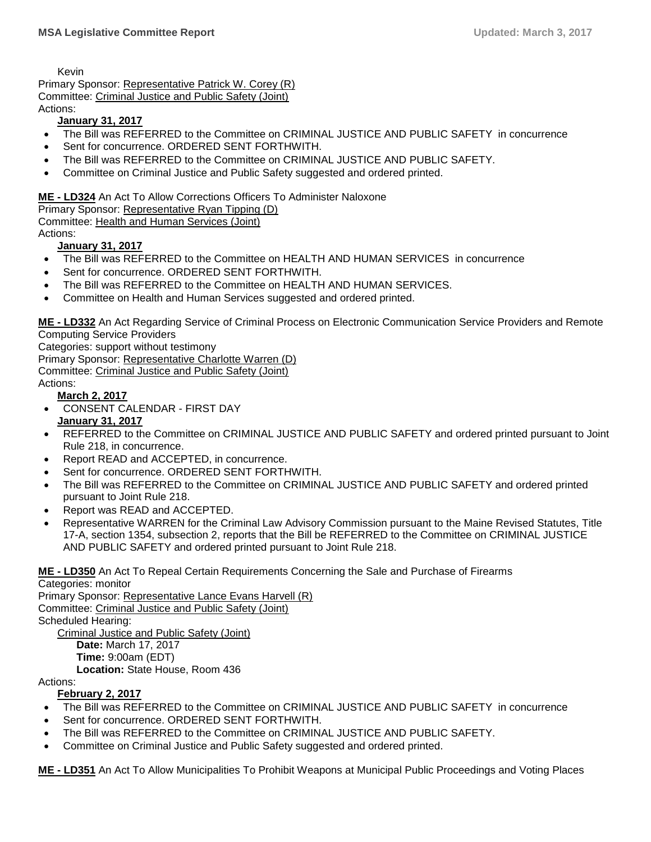Kevin

Primary Sponsor: [Representative Patrick W. Corey \(R\)](https://trackbill.com/legislator/me-patrick-w-corey/474-11708) Committee: [Criminal Justice and Public Safety \(Joint\)](https://trackbill.com/committee/me-criminal-justice-and-public-safety/474-5420) Actions:

#### **January 31, 2017**

- The Bill was REFERRED to the Committee on CRIMINAL JUSTICE AND PUBLIC SAFETY in concurrence
- Sent for concurrence. ORDERED SENT FORTHWITH.
- The Bill was REFERRED to the Committee on CRIMINAL JUSTICE AND PUBLIC SAFETY.
- Committee on Criminal Justice and Public Safety suggested and ordered printed.

#### **ME - [LD324](http://trak.li/b/1363517)** [An Act To Allow Corrections Officers To Administer Naloxone](http://trak.li/b/1363517)

Primary Sponsor: [Representative Ryan Tipping \(D\)](https://trackbill.com/legislator/me-ryan-tipping/474-14615)

Committee: [Health and Human Services \(Joint\)](https://trackbill.com/committee/me-health-and-human-services/474-5424)

Actions:

#### **January 31, 2017**

- The Bill was REFERRED to the Committee on HEALTH AND HUMAN SERVICES in concurrence
- Sent for concurrence. ORDERED SENT FORTHWITH.
- The Bill was REFERRED to the Committee on HEALTH AND HUMAN SERVICES.
- Committee on Health and Human Services suggested and ordered printed.

**ME - [LD332](http://trak.li/b/1365122)** [An Act Regarding Service of Criminal Process on Electronic Communication Service Providers and Remote](http://trak.li/b/1365122)  [Computing Service Providers](http://trak.li/b/1365122)

Categories: support without testimony

Primary Sponsor: Representative [Charlotte Warren \(D\)](https://trackbill.com/legislator/me-charlotte-warren/474-11739)

Committee: [Criminal Justice and Public Safety \(Joint\)](https://trackbill.com/committee/me-criminal-justice-and-public-safety/474-5420)

Actions:

#### **March 2, 2017**

- CONSENT CALENDAR FIRST DAY **January 31, 2017**
- REFERRED to the Committee on CRIMINAL JUSTICE AND PUBLIC SAFETY and ordered printed pursuant to Joint Rule 218, in concurrence.
- Report READ and ACCEPTED, in concurrence.
- Sent for concurrence. ORDERED SENT FORTHWITH.
- The Bill was REFERRED to the Committee on CRIMINAL JUSTICE AND PUBLIC SAFETY and ordered printed pursuant to Joint Rule 218.
- Report was READ and ACCEPTED.
- Representative WARREN for the Criminal Law Advisory Commission pursuant to the Maine Revised Statutes, Title 17-A, section 1354, subsection 2, reports that the Bill be REFERRED to the Committee on CRIMINAL JUSTICE AND PUBLIC SAFETY and ordered printed pursuant to Joint Rule 218.

**ME - [LD350](http://trak.li/b/1368652)** [An Act To Repeal Certain Requirements Concerning the Sale and Purchase of Firearms](http://trak.li/b/1368652) Categories: monitor

Primary Sponsor: [Representative Lance Evans Harvell \(R\)](https://trackbill.com/legislator/me-lance-evans-harvell/474-9800) Committee: [Criminal Justice and Public Safety \(Joint\)](https://trackbill.com/committee/me-criminal-justice-and-public-safety/474-5420) Scheduled Hearing: [Criminal Justice and Public Safety \(Joint\)](https://trackbill.com/committee/me-criminal-justice-and-public-safety/474-5420) **Date:** March 17, 2017

**Time:** 9:00am (EDT)

**Location:** State House, Room 436

Actions:

#### **February 2, 2017**

- The Bill was REFERRED to the Committee on CRIMINAL JUSTICE AND PUBLIC SAFETY in concurrence
- Sent for concurrence. ORDERED SENT FORTHWITH.
- The Bill was REFERRED to the Committee on CRIMINAL JUSTICE AND PUBLIC SAFETY.
- Committee on Criminal Justice and Public Safety suggested and ordered printed.

**ME - [LD351](http://trak.li/b/1368653)** [An Act To Allow Municipalities To Prohibit Weapons at Municipal Public Proceedings and Voting Places](http://trak.li/b/1368653)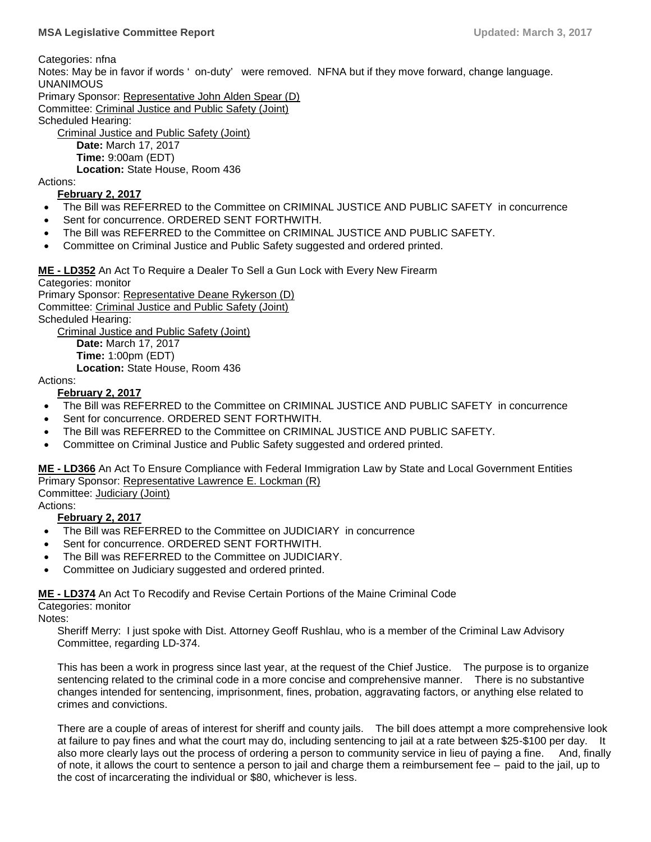Categories: nfna

Notes: May be in favor if words ' on-duty' were removed. NFNA but if they move forward, change language. UNANIMOUS

Primary Sponsor: [Representative John Alden Spear \(D\)](https://trackbill.com/legislator/me-john-alden-spear/474-14603) Committee: [Criminal Justice and Public Safety \(Joint\)](https://trackbill.com/committee/me-criminal-justice-and-public-safety/474-5420)

Scheduled Hearing:

[Criminal Justice and Public Safety \(Joint\)](https://trackbill.com/committee/me-criminal-justice-and-public-safety/474-5420)

**Date:** March 17, 2017

**Time:** 9:00am (EDT)

**Location:** State House, Room 436

#### Actions:

#### **February 2, 2017**

- The Bill was REFERRED to the Committee on CRIMINAL JUSTICE AND PUBLIC SAFETY in concurrence
- Sent for concurrence. ORDERED SENT FORTHWITH.
- The Bill was REFERRED to the Committee on CRIMINAL JUSTICE AND PUBLIC SAFETY.
- Committee on Criminal Justice and Public Safety suggested and ordered printed.

**ME - [LD352](http://trak.li/b/1368654)** [An Act To Require a Dealer To Sell a Gun Lock with Every New Firearm](http://trak.li/b/1368654)

Categories: monitor Primary Sponsor: [Representative Deane Rykerson \(D\)](https://trackbill.com/legislator/me-deane-rykerson/474-9862) Committee: [Criminal Justice and Public Safety \(Joint\)](https://trackbill.com/committee/me-criminal-justice-and-public-safety/474-5420) Scheduled Hearing:

[Criminal Justice and Public Safety \(Joint\)](https://trackbill.com/committee/me-criminal-justice-and-public-safety/474-5420) **Date:** March 17, 2017 **Time:** 1:00pm (EDT) **Location:** State House, Room 436

Actions:

#### **February 2, 2017**

- The Bill was REFERRED to the Committee on CRIMINAL JUSTICE AND PUBLIC SAFETY in concurrence
- Sent for concurrence. ORDERED SENT FORTHWITH.
- The Bill was REFERRED to the Committee on CRIMINAL JUSTICE AND PUBLIC SAFETY.
- Committee on Criminal Justice and Public Safety suggested and ordered printed.

**ME - [LD366](http://trak.li/b/1368668)** [An Act To Ensure Compliance with Federal Immigration Law by State and Local Government Entities](http://trak.li/b/1368668) Primary Sponsor: [Representative Lawrence E. Lockman \(R\)](https://trackbill.com/legislator/me-lawrence-e-lockman/474-9741)

Committee: [Judiciary \(Joint\)](https://trackbill.com/committee/me-judiciary/474-5427)

Actions:

#### **February 2, 2017**

- The Bill was REFERRED to the Committee on JUDICIARY in concurrence
- Sent for concurrence. ORDERED SENT FORTHWITH.
- The Bill was REFERRED to the Committee on JUDICIARY.
- Committee on Judiciary suggested and ordered printed.

**ME - [LD374](http://trak.li/b/1369343)** [An Act To Recodify and Revise Certain Portions of the Maine Criminal Code](http://trak.li/b/1369343) Categories: monitor

Notes:

Sheriff Merry: I just spoke with Dist. Attorney Geoff Rushlau, who is a member of the Criminal Law Advisory Committee, regarding LD-374.

This has been a work in progress since last year, at the request of the Chief Justice. The purpose is to organize sentencing related to the criminal code in a more concise and comprehensive manner. There is no substantive changes intended for sentencing, imprisonment, fines, probation, aggravating factors, or anything else related to crimes and convictions.

There are a couple of areas of interest for sheriff and county jails. The bill does attempt a more comprehensive look at failure to pay fines and what the court may do, including sentencing to jail at a rate between \$25-\$100 per day. It also more clearly lays out the process of ordering a person to community service in lieu of paying a fine. And, finally of note, it allows the court to sentence a person to jail and charge them a reimbursement fee  $-$  paid to the jail, up to the cost of incarcerating the individual or \$80, whichever is less.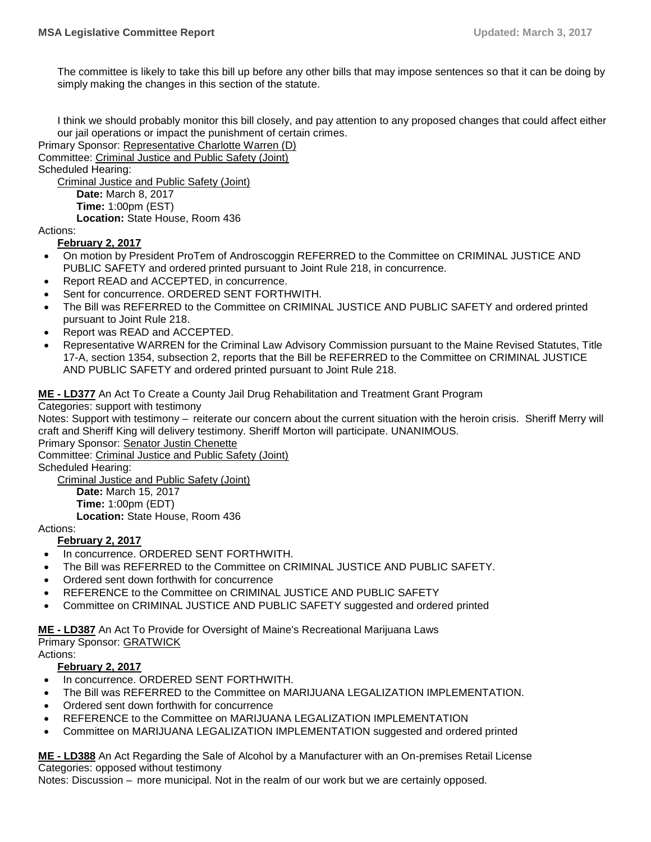The committee is likely to take this bill up before any other bills that may impose sentences so that it can be doing by simply making the changes in this section of the statute.

I think we should probably monitor this bill closely, and pay attention to any proposed changes that could affect either our jail operations or impact the punishment of certain crimes.

Primary Sponsor: [Representative Charlotte Warren \(D\)](https://trackbill.com/legislator/me-charlotte-warren/474-11739)

Committee: [Criminal Justice and Public Safety \(Joint\)](https://trackbill.com/committee/me-criminal-justice-and-public-safety/474-5420)

Scheduled Hearing:

[Criminal Justice and Public Safety \(Joint\)](https://trackbill.com/committee/me-criminal-justice-and-public-safety/474-5420)

**Date:** March 8, 2017

**Time:** 1:00pm (EST)

**Location:** State House, Room 436

Actions:

**February 2, 2017**

- On motion by President ProTem of Androscoggin REFERRED to the Committee on CRIMINAL JUSTICE AND PUBLIC SAFETY and ordered printed pursuant to Joint Rule 218, in concurrence.
- Report READ and ACCEPTED, in concurrence.
- Sent for concurrence. ORDERED SENT FORTHWITH.
- The Bill was REFERRED to the Committee on CRIMINAL JUSTICE AND PUBLIC SAFETY and ordered printed pursuant to Joint Rule 218.
- Report was READ and ACCEPTED.
- Representative WARREN for the Criminal Law Advisory Commission pursuant to the Maine Revised Statutes, Title 17-A, section 1354, subsection 2, reports that the Bill be REFERRED to the Committee on CRIMINAL JUSTICE AND PUBLIC SAFETY and ordered printed pursuant to Joint Rule 218.

**ME - [LD377](http://trak.li/b/1369346)** [An Act To Create a County Jail Drug Rehabilitation and Treatment Grant Program](http://trak.li/b/1369346)

Categories: support with testimony

Notes: Support with testimony – reiterate our concern about the current situation with the heroin crisis. Sheriff Merry will craft and Sheriff King will delivery testimony. Sheriff Morton will participate. UNANIMOUS.

Primary Sponsor: [Senator Justin Chenette](https://trackbill.com/legislator/me-justin-chenette/474-14564)

Committee: [Criminal Justice and Public Safety \(Joint\)](https://trackbill.com/committee/me-criminal-justice-and-public-safety/474-5420)

Scheduled Hearing:

[Criminal Justice and Public Safety \(Joint\)](https://trackbill.com/committee/me-criminal-justice-and-public-safety/474-5420) **Date:** March 15, 2017 **Time:** 1:00pm (EDT) **Location:** State House, Room 436

Actions:

**February 2, 2017**

- In concurrence. ORDERED SENT FORTHWITH.
- The Bill was REFERRED to the Committee on CRIMINAL JUSTICE AND PUBLIC SAFETY.
- Ordered sent down forthwith for concurrence
- REFERENCE to the Committee on CRIMINAL JUSTICE AND PUBLIC SAFETY
- Committee on CRIMINAL JUSTICE AND PUBLIC SAFETY suggested and ordered printed

**ME - [LD387](http://trak.li/b/1369356)** [An Act To Provide for Oversight of Maine's Recreational Marijuana Laws](http://trak.li/b/1369356)

Primary Sponsor: GRATWICK

Actions:

#### **February 2, 2017**

- In concurrence. ORDERED SENT FORTHWITH.
- The Bill was REFERRED to the Committee on MARIJUANA LEGALIZATION IMPLEMENTATION.
- Ordered sent down forthwith for concurrence
- REFERENCE to the Committee on MARIJUANA LEGALIZATION IMPLEMENTATION
- Committee on MARIJUANA LEGALIZATION IMPLEMENTATION suggested and ordered printed

**ME - [LD388](http://trak.li/b/1369357)** [An Act Regarding the Sale of Alcohol by a Manufacturer with an On-premises Retail](http://trak.li/b/1369357) License Categories: opposed without testimony

Notes: Discussion – more municipal. Not in the realm of our work but we are certainly opposed.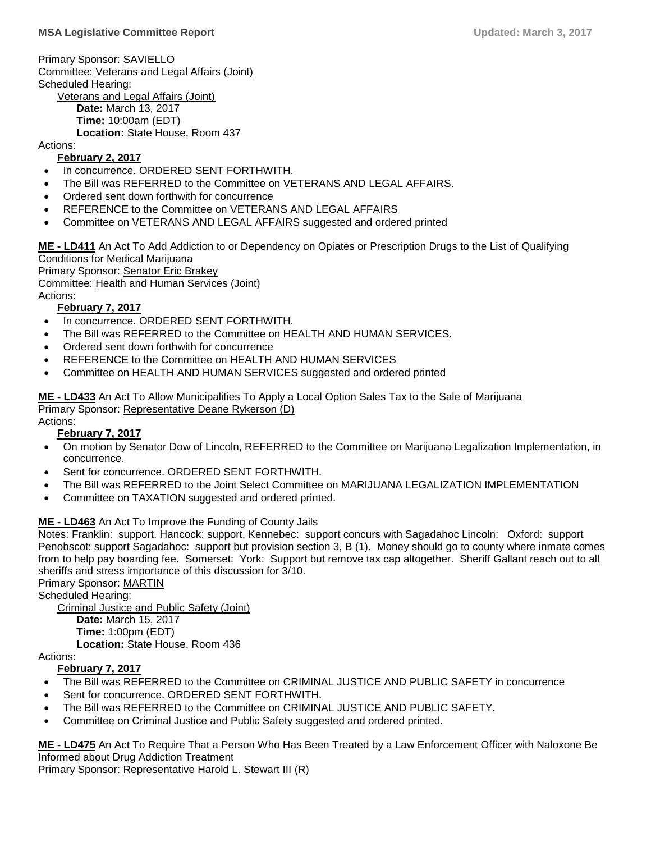Primary Sponsor: SAVIELLO Committee: [Veterans and Legal Affairs \(Joint\)](https://trackbill.com/committee/me-veterans-and-legal-affairs/474-5433) Scheduled Hearing: [Veterans and Legal Affairs \(Joint\)](https://trackbill.com/committee/me-veterans-and-legal-affairs/474-5433) **Date:** March 13, 2017 **Time:** 10:00am (EDT) **Location:** State House, Room 437

Actions:

#### **February 2, 2017**

- In concurrence. ORDERED SENT FORTHWITH.
- The Bill was REFERRED to the Committee on VETERANS AND LEGAL AFFAIRS.
- Ordered sent down forthwith for concurrence
- REFERENCE to the Committee on VETERANS AND LEGAL AFFAIRS
- Committee on VETERANS AND LEGAL AFFAIRS suggested and ordered printed

**ME - [LD411](http://trak.li/b/1372475)** [An Act To Add Addiction to or Dependency on Opiates or Prescription Drugs to the List of](http://trak.li/b/1372475) Qualifying [Conditions for Medical Marijuana](http://trak.li/b/1372475) Primary Sponsor: [Senator Eric Brakey](https://trackbill.com/legislator/me-eric-brakey/474-11662)

Committee: [Health and Human Services \(Joint\)](https://trackbill.com/committee/me-health-and-human-services/474-5424)

Actions:

#### **February 7, 2017**

- In concurrence. ORDERED SENT FORTHWITH.
- The Bill was REFERRED to the Committee on HEALTH AND HUMAN SERVICES.
- Ordered sent down forthwith for concurrence
- REFERENCE to the Committee on HEALTH AND HUMAN SERVICES
- Committee on HEALTH AND HUMAN SERVICES suggested and ordered printed

**ME - [LD433](http://trak.li/b/1374242)** [An Act To Allow Municipalities To Apply a Local Option Sales Tax to the Sale of](http://trak.li/b/1374242) Marijuana Primary Sponsor: [Representative Deane Rykerson \(D\)](https://trackbill.com/legislator/me-deane-rykerson/474-9862)

#### Actions: **February 7, 2017**

- On motion by Senator Dow of Lincoln, REFERRED to the Committee on Marijuana Legalization Implementation, in concurrence.
- Sent for concurrence. ORDERED SENT FORTHWITH.
- The Bill was REFERRED to the Joint Select Committee on MARIJUANA LEGALIZATION IMPLEMENTATION
- Committee on TAXATION suggested and ordered printed.

#### **ME - [LD463](http://trak.li/b/1376315)** [An Act To Improve the Funding of County Jails](http://trak.li/b/1376315)

Notes: Franklin: support. Hancock: support. Kennebec: support concurs with Sagadahoc Lincoln: Oxford: support Penobscot: support Sagadahoc: support but provision section 3, B (1). Money should go to county where inmate comes from to help pay boarding fee. Somerset: York: Support but remove tax cap altogether. Sheriff Gallant reach out to all sheriffs and stress importance of this discussion for 3/10.

Primary Sponsor: MARTIN

Scheduled Hearing:

[Criminal Justice and Public Safety \(Joint\)](https://trackbill.com/committee/me-criminal-justice-and-public-safety/474-5420) **Date:** March 15, 2017 **Time:** 1:00pm (EDT) **Location:** State House, Room 436

Actions:

#### **February 7, 2017**

- The Bill was REFERRED to the Committee on CRIMINAL JUSTICE AND PUBLIC SAFETY in concurrence
- Sent for concurrence. ORDERED SENT FORTHWITH.
- The Bill was REFERRED to the Committee on CRIMINAL JUSTICE AND PUBLIC SAFETY.
- Committee on Criminal Justice and Public Safety suggested and ordered printed.

**ME - [LD475](http://trak.li/b/1379898)** [An Act To Require That a Person Who Has Been Treated by a Law Enforcement Officer with Naloxone Be](http://trak.li/b/1379898)  [Informed about Drug Addiction Treatment](http://trak.li/b/1379898)

Primary Sponsor: [Representative Harold L. Stewart III \(R\)](https://trackbill.com/legislator/me-harold-l-stewart-iii/474-14621)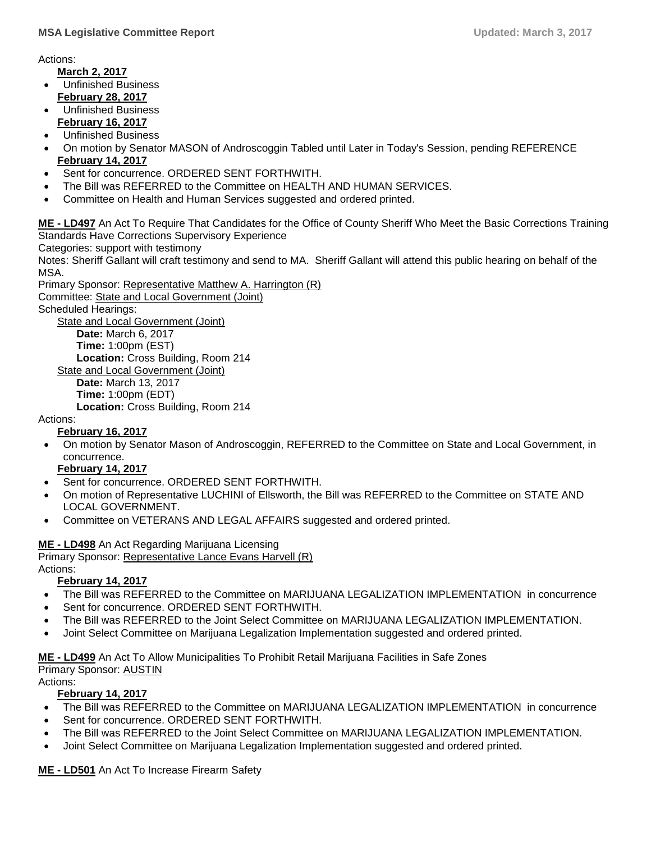Actions:

**March 2, 2017**

- Unfinished Business **February 28, 2017**
- Unfinished Business **February 16, 2017**
- Unfinished Business
- On motion by Senator MASON of Androscoggin Tabled until Later in Today's Session, pending REFERENCE **February 14, 2017**
- Sent for concurrence. ORDERED SENT FORTHWITH.
- The Bill was REFERRED to the Committee on HEALTH AND HUMAN SERVICES.
- Committee on Health and Human Services suggested and ordered printed.

**ME - [LD497](http://trak.li/b/1379920)** An Act To Require That [Candidates for the Office of County Sheriff Who Meet the Basic Corrections Training](http://trak.li/b/1379920)  [Standards Have Corrections Supervisory Experience](http://trak.li/b/1379920)

Categories: support with testimony

Notes: Sheriff Gallant will craft testimony and send to MA. Sheriff Gallant will attend this public hearing on behalf of the MSA.

Primary Sponsor: [Representative Matthew A. Harrington \(R\)](https://trackbill.com/legislator/me-matthew-a-harrington/474-14579) Committee: [State and Local Government \(Joint\)](https://trackbill.com/committee/me-state-and-local-government/474-5430) Scheduled Hearings: **[State and Local Government \(Joint\)](https://trackbill.com/committee/me-state-and-local-government/474-5430) Date:** March 6, 2017 **Time:** 1:00pm (EST) **Location:** Cross Building, Room 214 [State and Local Government \(Joint\)](https://trackbill.com/committee/me-state-and-local-government/474-5430) **Date:** March 13, 2017

**Time:** 1:00pm (EDT)

**Location:** Cross Building, Room 214

## Actions:

#### **February 16, 2017**

 On motion by Senator Mason of Androscoggin, REFERRED to the Committee on State and Local Government, in concurrence.

#### **February 14, 2017**

- Sent for concurrence. ORDERED SENT FORTHWITH.
- On motion of Representative LUCHINI of Ellsworth, the Bill was REFERRED to the Committee on STATE AND LOCAL GOVERNMENT.
- Committee on VETERANS AND LEGAL AFFAIRS suggested and ordered printed.

## **ME - [LD498](http://trak.li/b/1379921)** [An Act Regarding Marijuana Licensing](http://trak.li/b/1379921)

Primary Sponsor: [Representative Lance Evans Harvell \(R\)](https://trackbill.com/legislator/me-lance-evans-harvell/474-9800)

Actions:

## **February 14, 2017**

- The Bill was REFERRED to the Committee on MARIJUANA LEGALIZATION IMPLEMENTATION in concurrence
- Sent for concurrence. ORDERED SENT FORTHWITH.
- The Bill was REFERRED to the Joint Select Committee on MARIJUANA LEGALIZATION IMPLEMENTATION.
- Joint Select Committee on Marijuana Legalization Implementation suggested and ordered printed.

**ME - [LD499](http://trak.li/b/1379922)** [An Act To Allow Municipalities To Prohibit Retail Marijuana Facilities in Safe Zones](http://trak.li/b/1379922) Primary Sponsor: AUSTIN

Actions:

#### **February 14, 2017**

- The Bill was REFERRED to the Committee on MARIJUANA LEGALIZATION IMPLEMENTATION in concurrence
- Sent for concurrence. ORDERED SENT FORTHWITH.
- The Bill was REFERRED to the Joint Select Committee on MARIJUANA LEGALIZATION IMPLEMENTATION.
- Joint Select Committee on Marijuana Legalization Implementation suggested and ordered printed.

**ME - [LD501](http://trak.li/b/1379262)** [An Act To Increase Firearm Safety](http://trak.li/b/1379262)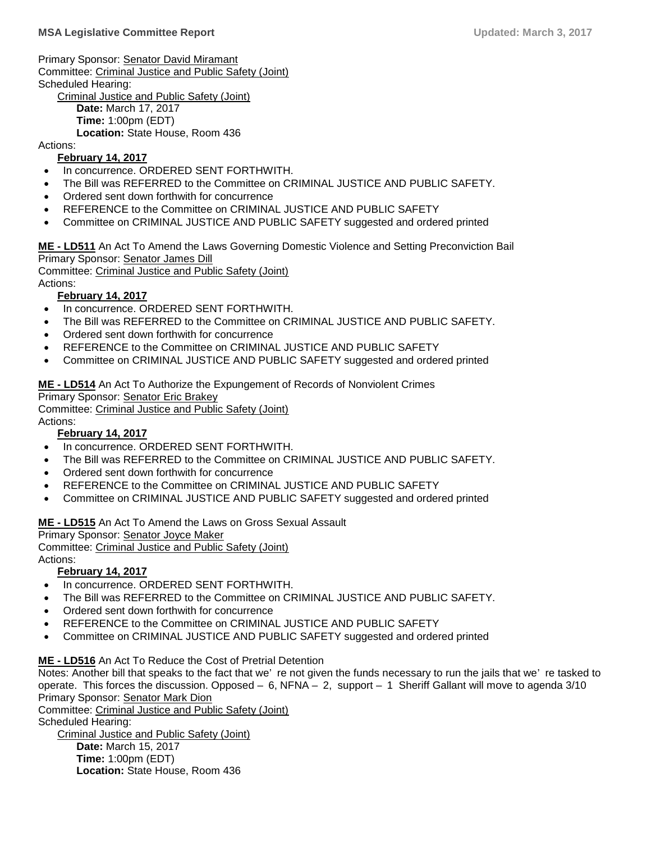Primary Sponsor: [Senator David Miramant](https://trackbill.com/legislator/me-david-miramant/474-14572) Committee: [Criminal Justice and Public Safety \(Joint\)](https://trackbill.com/committee/me-criminal-justice-and-public-safety/474-5420) Scheduled Hearing: [Criminal Justice and Public Safety \(Joint\)](https://trackbill.com/committee/me-criminal-justice-and-public-safety/474-5420)

**Date:** March 17, 2017 **Time:** 1:00pm (EDT) **Location:** State House, Room 436

Actions:

#### **February 14, 2017**

- In concurrence. ORDERED SENT FORTHWITH.
- The Bill was REFERRED to the Committee on CRIMINAL JUSTICE AND PUBLIC SAFETY.
- Ordered sent down forthwith for concurrence
- REFERENCE to the Committee on CRIMINAL JUSTICE AND PUBLIC SAFETY
- Committee on CRIMINAL JUSTICE AND PUBLIC SAFETY suggested and ordered printed

**ME - [LD511](http://trak.li/b/1380999)** [An Act To Amend the Laws Governing Domestic Violence and Setting Preconviction Bail](http://trak.li/b/1380999) Primary Sponsor: [Senator James Dill](https://trackbill.com/legislator/me-james-dill/474-14567)

Committee: [Criminal Justice and Public Safety \(Joint\)](https://trackbill.com/committee/me-criminal-justice-and-public-safety/474-5420)

Actions:

#### **February 14, 2017**

- In concurrence. ORDERED SENT FORTHWITH.
- The Bill was REFERRED to the Committee on CRIMINAL JUSTICE AND PUBLIC SAFETY.
- Ordered sent down forthwith for concurrence
- REFERENCE to the Committee on CRIMINAL JUSTICE AND PUBLIC SAFETY
- Committee on CRIMINAL JUSTICE AND PUBLIC SAFETY suggested and ordered printed

**ME - [LD514](http://trak.li/b/1381002)** [An Act To Authorize the Expungement of Records of Nonviolent Crimes](http://trak.li/b/1381002)

Primary Sponsor: [Senator Eric Brakey](https://trackbill.com/legislator/me-eric-brakey/474-11662)

Committee: [Criminal Justice and Public Safety \(Joint\)](https://trackbill.com/committee/me-criminal-justice-and-public-safety/474-5420)

#### Actions: **February 14, 2017**

- In concurrence. ORDERED SENT FORTHWITH.
- The Bill was REFERRED to the Committee on CRIMINAL JUSTICE AND PUBLIC SAFETY.
- Ordered sent down forthwith for concurrence
- REFERENCE to the Committee on CRIMINAL JUSTICE AND PUBLIC SAFETY
- Committee on CRIMINAL JUSTICE AND PUBLIC SAFETY suggested and ordered printed

#### **ME - [LD515](http://trak.li/b/1381003)** [An Act To Amend the Laws on Gross Sexual Assault](http://trak.li/b/1381003)

Primary Sponsor: [Senator Joyce Maker](https://trackbill.com/legislator/me-joyce-maker/474-14571)

Committee: [Criminal Justice and Public Safety \(Joint\)](https://trackbill.com/committee/me-criminal-justice-and-public-safety/474-5420)

Actions:

#### **February 14, 2017**

- In concurrence. ORDERED SENT FORTHWITH.
- The Bill was REFERRED to the Committee on CRIMINAL JUSTICE AND PUBLIC SAFETY.
- Ordered sent down forthwith for concurrence
- REFERENCE to the Committee on CRIMINAL JUSTICE AND PUBLIC SAFETY
- Committee on CRIMINAL JUSTICE AND PUBLIC SAFETY suggested and ordered printed

#### **ME - [LD516](http://trak.li/b/1381004)** [An Act To Reduce the Cost of Pretrial Detention](http://trak.li/b/1381004)

Notes: Another bill that speaks to the fact that we' re not given the funds necessary to run the jails that we' re tasked to operate. This forces the discussion. Opposed – 6, NFNA – 2, support – 1 Sheriff Gallant will move to agenda 3/10 Primary Sponsor: [Senator Mark Dion](https://trackbill.com/legislator/me-mark-dion/474-14568)

Committee: [Criminal Justice and Public Safety \(Joint\)](https://trackbill.com/committee/me-criminal-justice-and-public-safety/474-5420)

Scheduled Hearing:

[Criminal Justice and Public Safety \(Joint\)](https://trackbill.com/committee/me-criminal-justice-and-public-safety/474-5420) **Date:** March 15, 2017 **Time:** 1:00pm (EDT) **Location:** State House, Room 436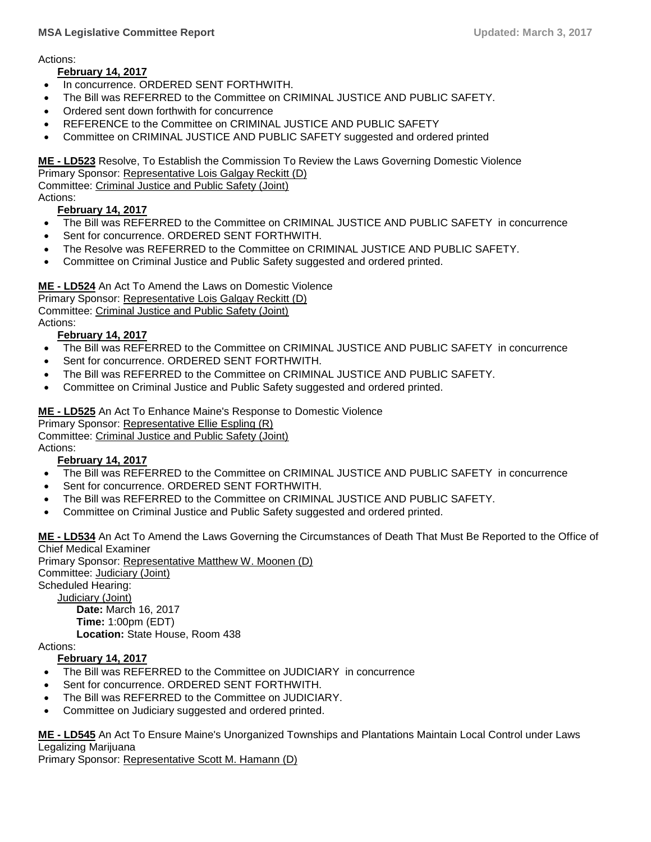Actions:

#### **February 14, 2017**

- In concurrence. ORDERED SENT FORTHWITH.
- The Bill was REFERRED to the Committee on CRIMINAL JUSTICE AND PUBLIC SAFETY.
- Ordered sent down forthwith for concurrence
- REFERENCE to the Committee on CRIMINAL JUSTICE AND PUBLIC SAFETY
- Committee on CRIMINAL JUSTICE AND PUBLIC SAFETY suggested and ordered printed

**ME - [LD523](http://trak.li/b/1381287)** [Resolve, To Establish the Commission To Review the Laws Governing Domestic Violence](http://trak.li/b/1381287) Primary Sponsor: [Representative Lois Galgay Reckitt \(D\)](https://trackbill.com/legislator/me-lois-galgay-reckitt/474-14584) Committee: [Criminal Justice and Public Safety \(Joint\)](https://trackbill.com/committee/me-criminal-justice-and-public-safety/474-5420) Actions:

## **February 14, 2017**

- The Bill was REFERRED to the Committee on CRIMINAL JUSTICE AND PUBLIC SAFETY in concurrence
- Sent for concurrence. ORDERED SENT FORTHWITH.
- The Resolve was REFERRED to the Committee on CRIMINAL JUSTICE AND PUBLIC SAFETY.
- Committee on Criminal Justice and Public Safety suggested and ordered printed.

#### **ME - [LD524](http://trak.li/b/1381288)** [An Act To Amend the Laws on Domestic Violence](http://trak.li/b/1381288)

Primary Sponsor: [Representative Lois Galgay Reckitt \(D\)](https://trackbill.com/legislator/me-lois-galgay-reckitt/474-14584)

Committee: [Criminal Justice and Public Safety \(Joint\)](https://trackbill.com/committee/me-criminal-justice-and-public-safety/474-5420)

Actions:

#### **February 14, 2017**

- The Bill was REFERRED to the Committee on CRIMINAL JUSTICE AND PUBLIC SAFETY in concurrence
- Sent for concurrence. ORDERED SENT FORTHWITH.
- The Bill was REFERRED to the Committee on CRIMINAL JUSTICE AND PUBLIC SAFETY.
- Committee on Criminal Justice and Public Safety suggested and ordered printed.

#### **ME - [LD525](http://trak.li/b/1381289)** [An Act To Enhance Maine's Response to Domestic Violence](http://trak.li/b/1381289)

Primary Sponsor: [Representative Ellie Espling \(R\)](https://trackbill.com/legislator/me-ellie-espling/474-11729)

Committee: [Criminal Justice and Public Safety \(Joint\)](https://trackbill.com/committee/me-criminal-justice-and-public-safety/474-5420)

Actions:

#### **February 14, 2017**

- The Bill was REFERRED to the Committee on CRIMINAL JUSTICE AND PUBLIC SAFETY in concurrence
- Sent for concurrence. ORDERED SENT FORTHWITH.
- The Bill was REFERRED to the Committee on CRIMINAL JUSTICE AND PUBLIC SAFETY.
- Committee on Criminal Justice and Public Safety suggested and ordered printed.

**ME - [LD534](http://trak.li/b/1381298)** [An Act To Amend the Laws Governing the Circumstances of Death That Must Be Reported to the Office of](http://trak.li/b/1381298)  [Chief Medical Examiner](http://trak.li/b/1381298)

Primary Sponsor: [Representative Matthew W. Moonen \(D\)](https://trackbill.com/legislator/me-matthew-w-moonen/474-9829) Committee: [Judiciary \(Joint\)](https://trackbill.com/committee/me-judiciary/474-5427) Scheduled Hearing: [Judiciary \(Joint\)](https://trackbill.com/committee/me-judiciary/474-5427) **Date:** March 16, 2017 **Time:** 1:00pm (EDT)

**Location:** State House, Room 438

Actions:

#### **February 14, 2017**

- The Bill was REFERRED to the Committee on JUDICIARY in concurrence
- Sent for concurrence. ORDERED SENT FORTHWITH.
- The Bill was REFERRED to the Committee on JUDICIARY.
- Committee on Judiciary suggested and ordered printed.

**ME - [LD545](http://trak.li/b/1381309)** [An Act To Ensure Maine's Unorganized Townships and Plantations Maintain Local Control under Laws](http://trak.li/b/1381309)  [Legalizing Marijuana](http://trak.li/b/1381309)

Primary Sponsor: [Representative Scott M. Hamann \(D\)](https://trackbill.com/legislator/me-scott-m-hamann/474-9834)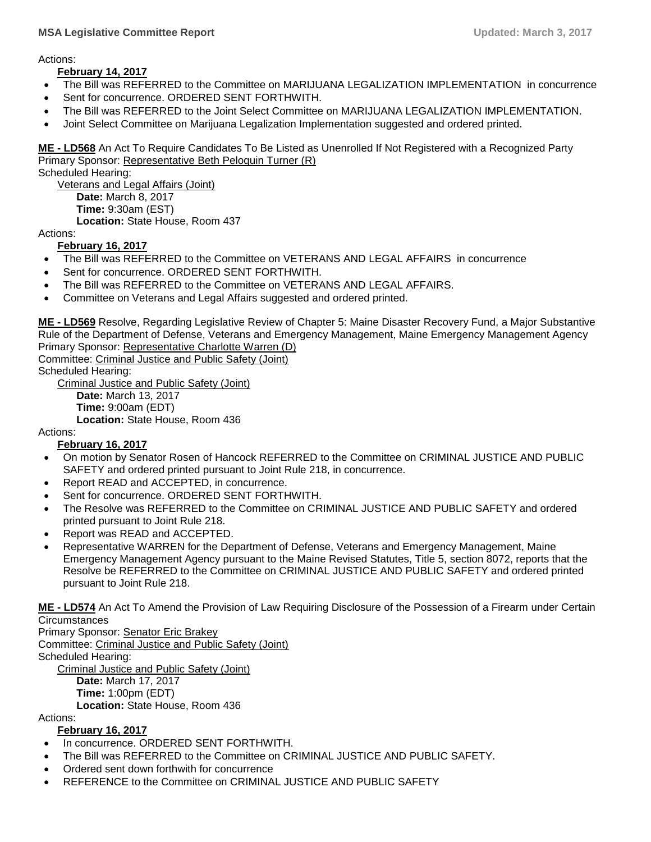#### **MSA Legislative Committee Report Updated: March 3, 2017**

Actions:

#### **February 14, 2017**

- The Bill was REFERRED to the Committee on MARIJUANA LEGALIZATION IMPLEMENTATION in concurrence
- Sent for concurrence. ORDERED SENT FORTHWITH.
- The Bill was REFERRED to the Joint Select Committee on MARIJUANA LEGALIZATION IMPLEMENTATION.
- Joint Select Committee on Marijuana Legalization Implementation suggested and ordered printed.

**ME - [LD568](http://trak.li/b/1390672)** [An Act To Require Candidates To Be Listed as Unenrolled If Not Registered with a Recognized Party](http://trak.li/b/1390672) Primary Sponsor: [Representative Beth Peloquin Turner \(R\)](https://trackbill.com/legislator/me-beth-peloquin-turner/474-14619) Scheduled Hearing:

[Veterans and Legal Affairs \(Joint\)](https://trackbill.com/committee/me-veterans-and-legal-affairs/474-5433) **Date:** March 8, 2017 **Time:** 9:30am (EST) **Location:** State House, Room 437

Actions:

#### **February 16, 2017**

- The Bill was REFERRED to the Committee on VETERANS AND LEGAL AFFAIRS in concurrence
- Sent for concurrence. ORDERED SENT FORTHWITH.
- The Bill was REFERRED to the Committee on VETERANS AND LEGAL AFFAIRS.
- Committee on Veterans and Legal Affairs suggested and ordered printed.

**ME - [LD569](http://trak.li/b/1390673)** [Resolve, Regarding Legislative Review of Chapter 5: Maine Disaster Recovery Fund, a Major Substantive](http://trak.li/b/1390673)  [Rule of the Department of Defense, Veterans and Emergency Management, Maine Emergency Management Agency](http://trak.li/b/1390673) Primary Sponsor: [Representative Charlotte Warren \(D\)](https://trackbill.com/legislator/me-charlotte-warren/474-11739)

Committee: [Criminal Justice and Public Safety \(Joint\)](https://trackbill.com/committee/me-criminal-justice-and-public-safety/474-5420) Scheduled Hearing:

[Criminal Justice and Public Safety \(Joint\)](https://trackbill.com/committee/me-criminal-justice-and-public-safety/474-5420) **Date:** March 13, 2017 **Time:** 9:00am (EDT)

**Location:** State House, Room 436

#### Actions:

#### **February 16, 2017**

- On motion by Senator Rosen of Hancock REFERRED to the Committee on CRIMINAL JUSTICE AND PUBLIC SAFETY and ordered printed pursuant to Joint Rule 218, in concurrence.
- Report READ and ACCEPTED, in concurrence.
- Sent for concurrence. ORDERED SENT FORTHWITH.
- The Resolve was REFERRED to the Committee on CRIMINAL JUSTICE AND PUBLIC SAFETY and ordered printed pursuant to Joint Rule 218.
- Report was READ and ACCEPTED.
- Representative WARREN for the Department of Defense, Veterans and Emergency Management, Maine Emergency Management Agency pursuant to the Maine Revised Statutes, Title 5, section 8072, reports that the Resolve be REFERRED to the Committee on CRIMINAL JUSTICE AND PUBLIC SAFETY and ordered printed pursuant to Joint Rule 218.

**ME - [LD574](http://trak.li/b/1392912)** [An Act To Amend the Provision of Law Requiring Disclosure of the Possession of a Firearm under Certain](http://trak.li/b/1392912)  **[Circumstances](http://trak.li/b/1392912)** 

Primary Sponsor: [Senator Eric Brakey](https://trackbill.com/legislator/me-eric-brakey/474-11662) Committee: [Criminal Justice and Public Safety \(Joint\)](https://trackbill.com/committee/me-criminal-justice-and-public-safety/474-5420) Scheduled Hearing: [Criminal Justice and Public Safety \(Joint\)](https://trackbill.com/committee/me-criminal-justice-and-public-safety/474-5420) **Date:** March 17, 2017 **Time:** 1:00pm (EDT) **Location:** State House, Room 436

Actions:

#### **February 16, 2017**

- In concurrence. ORDERED SENT FORTHWITH.
- The Bill was REFERRED to the Committee on CRIMINAL JUSTICE AND PUBLIC SAFETY.
- Ordered sent down forthwith for concurrence
- REFERENCE to the Committee on CRIMINAL JUSTICE AND PUBLIC SAFETY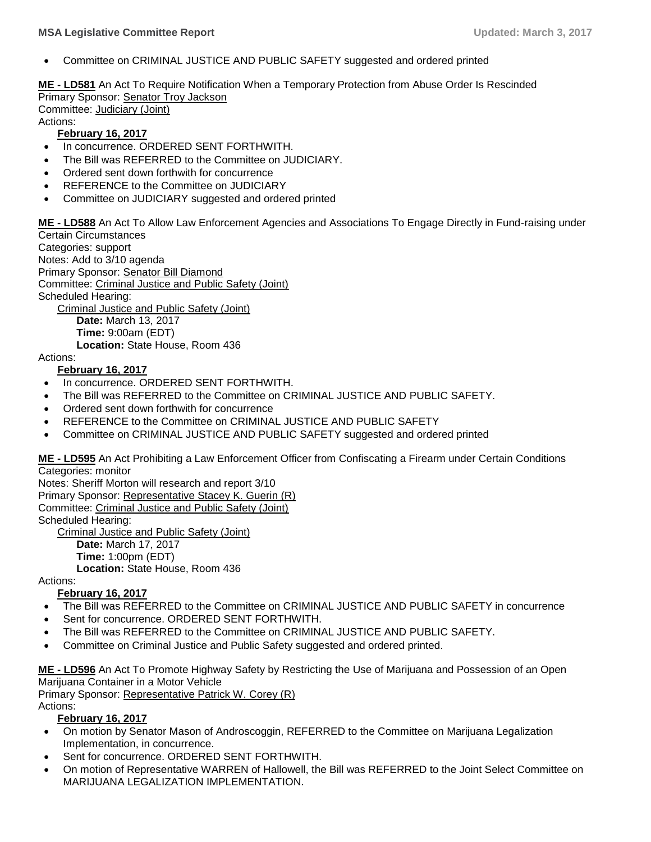Committee on CRIMINAL JUSTICE AND PUBLIC SAFETY suggested and ordered printed

**ME - [LD581](http://trak.li/b/1392919)** [An Act To Require Notification When a Temporary Protection from Abuse Order Is Rescinded](http://trak.li/b/1392919) Primary Sponsor: [Senator Troy Jackson](https://trackbill.com/legislator/me-troy-jackson/474-9692) Committee: [Judiciary \(Joint\)](https://trackbill.com/committee/me-judiciary/474-5427)

Actions:

#### **February 16, 2017**

- In concurrence. ORDERED SENT FORTHWITH.
- The Bill was REFERRED to the Committee on JUDICIARY.
- Ordered sent down forthwith for concurrence
- REFERENCE to the Committee on JUDICIARY
- Committee on JUDICIARY suggested and ordered printed

**ME - [LD588](http://trak.li/b/1392926)** [An Act To Allow Law Enforcement Agencies and Associations To Engage Directly in Fund-raising under](http://trak.li/b/1392926)  [Certain Circumstances](http://trak.li/b/1392926)

Categories: support Notes: Add to 3/10 agenda Primary Sponsor: [Senator Bill Diamond](https://trackbill.com/legislator/me-bill-diamond/474-11669) Committee: [Criminal Justice and Public Safety \(Joint\)](https://trackbill.com/committee/me-criminal-justice-and-public-safety/474-5420) Scheduled Hearing: [Criminal Justice and Public Safety \(Joint\)](https://trackbill.com/committee/me-criminal-justice-and-public-safety/474-5420)

**Date:** March 13, 2017 **Time:** 9:00am (EDT)

**Location:** State House, Room 436

#### Actions:

#### **February 16, 2017**

- In concurrence. ORDERED SENT FORTHWITH.
- The Bill was REFERRED to the Committee on CRIMINAL JUSTICE AND PUBLIC SAFETY.
- Ordered sent down forthwith for concurrence
- REFERENCE to the Committee on CRIMINAL JUSTICE AND PUBLIC SAFETY
- Committee on CRIMINAL JUSTICE AND PUBLIC SAFETY suggested and ordered printed

**ME - [LD595](http://trak.li/b/1392933)** [An Act Prohibiting a Law Enforcement Officer from Confiscating a Firearm under Certain Conditions](http://trak.li/b/1392933) Categories: monitor

Notes: Sheriff Morton will research and report 3/10 Primary Sponsor: [Representative Stacey K. Guerin \(R\)](https://trackbill.com/legislator/me-stacey-k-guerin/474-9733) Committee: [Criminal Justice and Public Safety \(Joint\)](https://trackbill.com/committee/me-criminal-justice-and-public-safety/474-5420) Scheduled Hearing: [Criminal Justice and Public Safety \(Joint\)](https://trackbill.com/committee/me-criminal-justice-and-public-safety/474-5420) **Date:** March 17, 2017 **Time:** 1:00pm (EDT) **Location:** State House, Room 436

Actions:

#### **February 16, 2017**

- The Bill was REFERRED to the Committee on CRIMINAL JUSTICE AND PUBLIC SAFETY in concurrence
- Sent for concurrence. ORDERED SENT FORTHWITH.
- The Bill was REFERRED to the Committee on CRIMINAL JUSTICE AND PUBLIC SAFETY.
- Committee on Criminal Justice and Public Safety suggested and ordered printed.

**ME - [LD596](http://trak.li/b/1392934)** [An Act To Promote Highway Safety by Restricting the Use of Marijuana and Possession of an Open](http://trak.li/b/1392934)  [Marijuana Container in a Motor Vehicle](http://trak.li/b/1392934)

Primary Sponsor: [Representative Patrick W. Corey \(R\)](https://trackbill.com/legislator/me-patrick-w-corey/474-11708)

Actions:

#### **February 16, 2017**

- On motion by Senator Mason of Androscoggin, REFERRED to the Committee on Marijuana Legalization Implementation, in concurrence.
- Sent for concurrence. ORDERED SENT FORTHWITH.
- On motion of Representative WARREN of Hallowell, the Bill was REFERRED to the Joint Select Committee on MARIJUANA LEGALIZATION IMPLEMENTATION.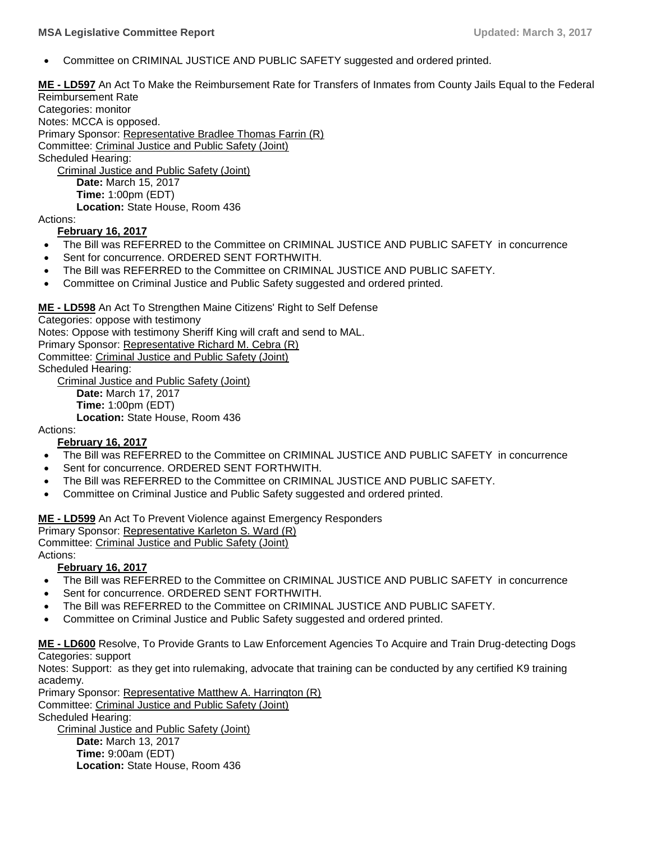Committee on CRIMINAL JUSTICE AND PUBLIC SAFETY suggested and ordered printed.

**ME - [LD597](http://trak.li/b/1392935)** [An Act To Make the Reimbursement Rate for Transfers of Inmates from County Jails Equal to the Federal](http://trak.li/b/1392935)  [Reimbursement Rate](http://trak.li/b/1392935)

Categories: monitor Notes: MCCA is opposed. Primary Sponsor: [Representative Bradlee Thomas Farrin \(R\)](https://trackbill.com/legislator/me-bradlee-thomas-farrin/474-11750) Committee: [Criminal Justice and Public Safety \(Joint\)](https://trackbill.com/committee/me-criminal-justice-and-public-safety/474-5420) Scheduled Hearing: [Criminal Justice and Public Safety \(Joint\)](https://trackbill.com/committee/me-criminal-justice-and-public-safety/474-5420)

**Date:** March 15, 2017 **Time:** 1:00pm (EDT) **Location:** State House, Room 436

Actions:

#### **February 16, 2017**

- The Bill was REFERRED to the Committee on CRIMINAL JUSTICE AND PUBLIC SAFETY in concurrence
- Sent for concurrence. ORDERED SENT FORTHWITH.
- The Bill was REFERRED to the Committee on CRIMINAL JUSTICE AND PUBLIC SAFETY.
- Committee on Criminal Justice and Public Safety suggested and ordered printed.

**ME - [LD598](http://trak.li/b/1392936)** [An Act To Strengthen Maine Citizens' Right to Self Defense](http://trak.li/b/1392936)

Categories: oppose with testimony Notes: Oppose with testimony Sheriff King will craft and send to MAL. Primary Sponsor: [Representative Richard M. Cebra \(R\)](https://trackbill.com/legislator/me-richard-m-cebra/474-14597) Committee: [Criminal Justice and Public Safety \(Joint\)](https://trackbill.com/committee/me-criminal-justice-and-public-safety/474-5420) Scheduled Hearing:

[Criminal Justice and Public Safety \(Joint\)](https://trackbill.com/committee/me-criminal-justice-and-public-safety/474-5420)

**Date:** March 17, 2017 **Time:** 1:00pm (EDT)

**Location:** State House, Room 436

Actions:

#### **February 16, 2017**

- The Bill was REFERRED to the Committee on CRIMINAL JUSTICE AND PUBLIC SAFETY in concurrence
- Sent for concurrence. ORDERED SENT FORTHWITH.
- The Bill was REFERRED to the Committee on CRIMINAL JUSTICE AND PUBLIC SAFETY.
- Committee on Criminal Justice and Public Safety suggested and ordered printed.

**ME - [LD599](http://trak.li/b/1392937)** [An Act To Prevent Violence against Emergency Responders](http://trak.li/b/1392937)

Primary Sponsor: [Representative Karleton S. Ward \(R\)](https://trackbill.com/legislator/me-karleton-s-ward/474-11760)

Committee: [Criminal Justice and Public Safety \(Joint\)](https://trackbill.com/committee/me-criminal-justice-and-public-safety/474-5420)

Actions:

#### **February 16, 2017**

- The Bill was REFERRED to the Committee on CRIMINAL JUSTICE AND PUBLIC SAFETY in concurrence
- Sent for concurrence. ORDERED SENT FORTHWITH.
- The Bill was REFERRED to the Committee on CRIMINAL JUSTICE AND PUBLIC SAFETY.
- Committee on Criminal Justice and Public Safety suggested and ordered printed.

**ME - [LD600](http://trak.li/b/1392938)** [Resolve, To Provide Grants to Law Enforcement Agencies To Acquire and Train Drug-detecting Dogs](http://trak.li/b/1392938) Categories: support

Notes: Support: as they get into rulemaking, advocate that training can be conducted by any certified K9 training academy.

Primary Sponsor: [Representative Matthew A. Harrington \(R\)](https://trackbill.com/legislator/me-matthew-a-harrington/474-14579) Committee: [Criminal Justice and Public Safety \(Joint\)](https://trackbill.com/committee/me-criminal-justice-and-public-safety/474-5420) Scheduled Hearing: [Criminal Justice and Public Safety \(Joint\)](https://trackbill.com/committee/me-criminal-justice-and-public-safety/474-5420)

**Date:** March 13, 2017 **Time:** 9:00am (EDT) **Location:** State House, Room 436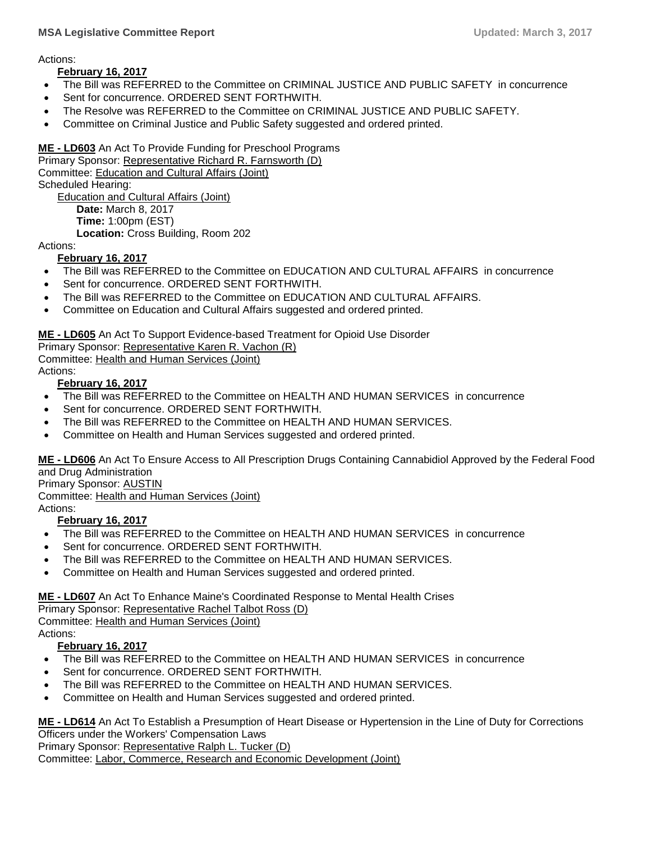#### **MSA Legislative Committee Report Updated: March 3, 2017**

Actions:

#### **February 16, 2017**

- The Bill was REFERRED to the Committee on CRIMINAL JUSTICE AND PUBLIC SAFETY in concurrence
- Sent for concurrence. ORDERED SENT FORTHWITH.
- The Resolve was REFERRED to the Committee on CRIMINAL JUSTICE AND PUBLIC SAFETY.
- Committee on Criminal Justice and Public Safety suggested and ordered printed.

**ME - [LD603](http://trak.li/b/1392941)** [An Act To Provide Funding for Preschool Programs](http://trak.li/b/1392941)

Primary Sponsor: [Representative Richard R. Farnsworth \(D\)](https://trackbill.com/legislator/me-richard-r-farnsworth/474-9828) Committee: [Education and Cultural Affairs \(Joint\)](https://trackbill.com/committee/me-education-and-cultural-affairs/474-5421) Scheduled Hearing: [Education and Cultural Affairs \(Joint\)](https://trackbill.com/committee/me-education-and-cultural-affairs/474-5421) **Date:** March 8, 2017 **Time:** 1:00pm (EST)

**Location:** Cross Building, Room 202

Actions:

#### **February 16, 2017**

- The Bill was REFERRED to the Committee on EDUCATION AND CULTURAL AFFAIRS in concurrence
- Sent for concurrence. ORDERED SENT FORTHWITH.
- The Bill was REFERRED to the Committee on EDUCATION AND CULTURAL AFFAIRS.
- Committee on Education and Cultural Affairs suggested and ordered printed.

#### **ME - [LD605](http://trak.li/b/1392943)** [An Act To Support Evidence-based Treatment for Opioid Use Disorder](http://trak.li/b/1392943)

Primary Sponsor: [Representative Karen R. Vachon \(R\)](https://trackbill.com/legislator/me-karen-r-vachon/474-14583)

Committee: [Health and Human Services \(Joint\)](https://trackbill.com/committee/me-health-and-human-services/474-5424) Actions:

#### **February 16, 2017**

- The Bill was REFERRED to the Committee on HEALTH AND HUMAN SERVICES in concurrence
- Sent for concurrence. ORDERED SENT FORTHWITH.
- The Bill was REFERRED to the Committee on HEALTH AND HUMAN SERVICES.
- Committee on Health and Human Services suggested and ordered printed.

**ME - [LD606](http://trak.li/b/1392944)** [An Act To Ensure Access to All Prescription Drugs Containing Cannabidiol Approved by the Federal Food](http://trak.li/b/1392944)  [and Drug Administration](http://trak.li/b/1392944)

Primary Sponsor: AUSTIN

Committee: [Health and Human Services \(Joint\)](https://trackbill.com/committee/me-health-and-human-services/474-5424)

Actions:

#### **February 16, 2017**

- The Bill was REFERRED to the Committee on HEALTH AND HUMAN SERVICES in concurrence
- Sent for concurrence. ORDERED SENT FORTHWITH.
- The Bill was REFERRED to the Committee on HEALTH AND HUMAN SERVICES.
- Committee on Health and Human Services suggested and ordered printed.

## **ME - [LD607](http://trak.li/b/1392945)** [An Act To Enhance Maine's Coordinated Response to Mental Health Crises](http://trak.li/b/1392945)

Primary Sponsor: [Representative Rachel Talbot Ross \(D\)](https://trackbill.com/legislator/me-rachel-talbot-ross/474-14587)

Committee: [Health and Human Services \(Joint\)](https://trackbill.com/committee/me-health-and-human-services/474-5424) Actions:

#### **February 16, 2017**

- The Bill was REFERRED to the Committee on HEALTH AND HUMAN SERVICES in concurrence
- Sent for concurrence. ORDERED SENT FORTHWITH.
- The Bill was REFERRED to the Committee on HEALTH AND HUMAN SERVICES.
- Committee on Health and Human Services suggested and ordered printed.

**ME - [LD614](http://trak.li/b/1392952)** [An Act To Establish a Presumption of Heart Disease or Hypertension in the Line of Duty for Corrections](http://trak.li/b/1392952)  [Officers under the Workers' Compensation Laws](http://trak.li/b/1392952)

Primary Sponsor: [Representative Ralph L. Tucker \(D\)](https://trackbill.com/legislator/me-ralph-l-tucker/474-11718) Committee: [Labor, Commerce, Research and Economic Development \(Joint\)](https://trackbill.com/committee/me-labor-commerce-research-and-economic-development/474-5428)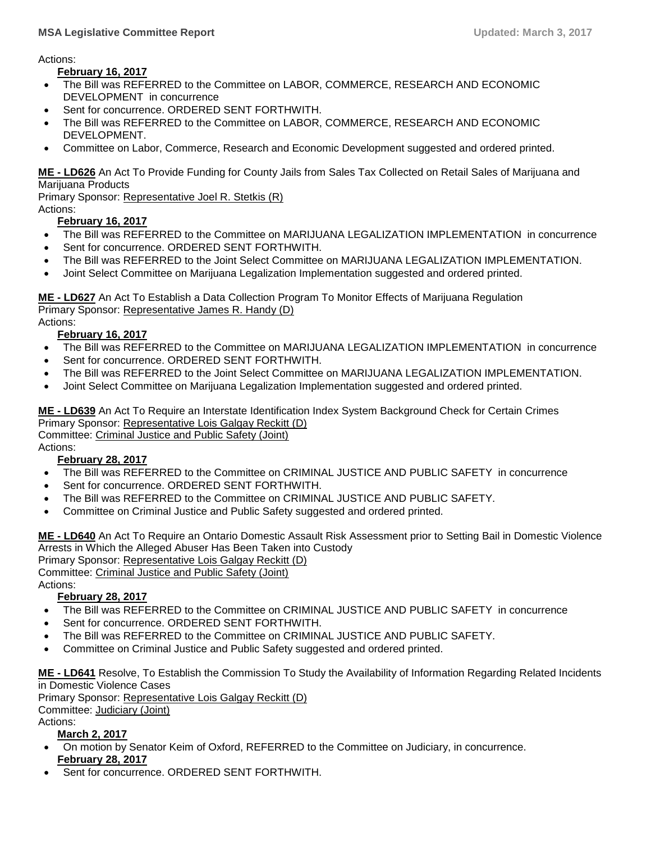Actions:

**February 16, 2017**

- The Bill was REFERRED to the Committee on LABOR, COMMERCE, RESEARCH AND ECONOMIC DEVELOPMENT in concurrence
- Sent for concurrence. ORDERED SENT FORTHWITH.
- The Bill was REFERRED to the Committee on LABOR, COMMERCE, RESEARCH AND ECONOMIC DEVELOPMENT.
- Committee on Labor, Commerce, Research and Economic Development suggested and ordered printed.

**ME - [LD626](http://trak.li/b/1392964)** [An Act To Provide Funding for County Jails from Sales Tax Collected on Retail Sales of Marijuana and](http://trak.li/b/1392964)  [Marijuana Products](http://trak.li/b/1392964)

Primary Sponsor: [Representative Joel R. Stetkis \(R\)](https://trackbill.com/legislator/me-joel-r-stetkis/474-11748) Actions:

#### **February 16, 2017**

- The Bill was REFERRED to the Committee on MARIJUANA LEGALIZATION IMPLEMENTATION in concurrence
- Sent for concurrence. ORDERED SENT FORTHWITH.
- The Bill was REFERRED to the Joint Select Committee on MARIJUANA LEGALIZATION IMPLEMENTATION.
- Joint Select Committee on Marijuana Legalization Implementation suggested and ordered printed.

**ME - [LD627](http://trak.li/b/1392965)** [An Act To Establish a Data Collection Program To Monitor Effects of Marijuana Regulation](http://trak.li/b/1392965) Primary Sponsor: [Representative James R. Handy \(D\)](https://trackbill.com/legislator/me-james-r-handy/474-14593)

Actions:

#### **February 16, 2017**

- The Bill was REFERRED to the Committee on MARIJUANA LEGALIZATION IMPLEMENTATION in concurrence
- Sent for concurrence. ORDERED SENT FORTHWITH.
- The Bill was REFERRED to the Joint Select Committee on MARIJUANA LEGALIZATION IMPLEMENTATION.
- Joint Select Committee on Marijuana Legalization Implementation suggested and ordered printed.

**ME - [LD639](http://trak.li/b/1407702)** [An Act To Require an Interstate Identification Index System Background Check for Certain Crimes](http://trak.li/b/1407702) Primary Sponsor: [Representative Lois Galgay Reckitt \(D\)](https://trackbill.com/legislator/me-lois-galgay-reckitt/474-14584)

Committee: [Criminal Justice and Public Safety \(Joint\)](https://trackbill.com/committee/me-criminal-justice-and-public-safety/474-5420)

Actions:

#### **February 28, 2017**

- The Bill was REFERRED to the Committee on CRIMINAL JUSTICE AND PUBLIC SAFETY in concurrence
- Sent for concurrence. ORDERED SENT FORTHWITH.
- The Bill was REFERRED to the Committee on CRIMINAL JUSTICE AND PUBLIC SAFETY.
- Committee on Criminal Justice and Public Safety suggested and ordered printed.

**ME - [LD640](http://trak.li/b/1407703)** [An Act To Require an Ontario Domestic Assault Risk Assessment prior to Setting Bail in Domestic Violence](http://trak.li/b/1407703)  [Arrests in Which the Alleged Abuser Has Been Taken into Custody](http://trak.li/b/1407703)

Primary Sponsor: [Representative Lois Galgay Reckitt \(D\)](https://trackbill.com/legislator/me-lois-galgay-reckitt/474-14584)

Committee: [Criminal Justice and Public Safety \(Joint\)](https://trackbill.com/committee/me-criminal-justice-and-public-safety/474-5420) Actions:

#### **February 28, 2017**

- The Bill was REFERRED to the Committee on CRIMINAL JUSTICE AND PUBLIC SAFETY in concurrence
- Sent for concurrence. ORDERED SENT FORTHWITH.
- The Bill was REFERRED to the Committee on CRIMINAL JUSTICE AND PUBLIC SAFETY.
- Committee on Criminal Justice and Public Safety suggested and ordered printed.

**ME - [LD641](http://trak.li/b/1407704)** [Resolve, To Establish the Commission To Study the Availability of Information Regarding Related Incidents](http://trak.li/b/1407704)  [in Domestic Violence Cases](http://trak.li/b/1407704)

Primary Sponsor: [Representative Lois Galgay Reckitt \(D\)](https://trackbill.com/legislator/me-lois-galgay-reckitt/474-14584)

Committee: [Judiciary \(Joint\)](https://trackbill.com/committee/me-judiciary/474-5427)

Actions:

**March 2, 2017**

- On motion by Senator Keim of Oxford, REFERRED to the Committee on Judiciary, in concurrence. **February 28, 2017**
- Sent for concurrence. ORDERED SENT FORTHWITH.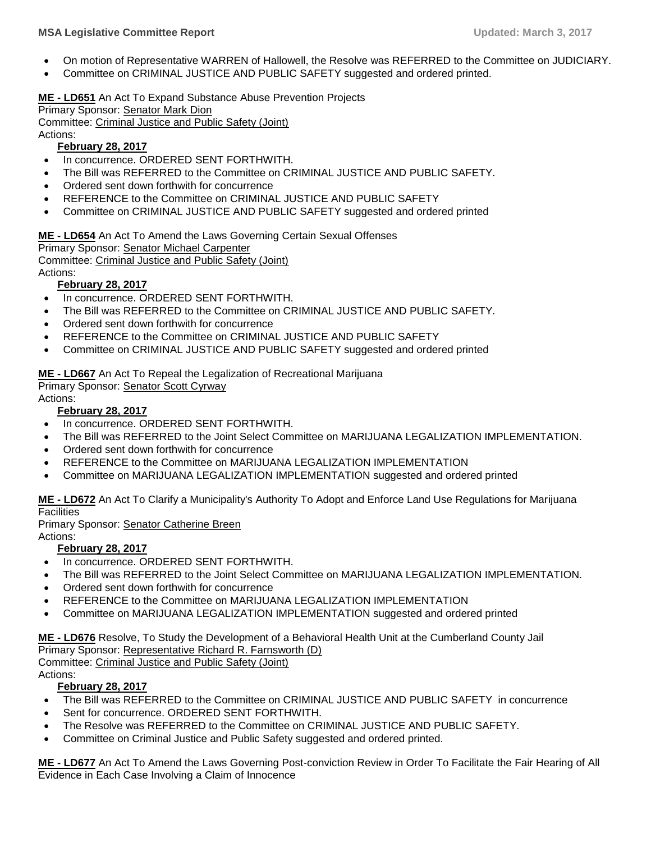- On motion of Representative WARREN of Hallowell, the Resolve was REFERRED to the Committee on JUDICIARY.
- Committee on CRIMINAL JUSTICE AND PUBLIC SAFETY suggested and ordered printed.

#### **ME - [LD651](http://trak.li/b/1401780)** [An Act To Expand Substance Abuse Prevention Projects](http://trak.li/b/1401780)

Primary Sponsor: [Senator Mark Dion](https://trackbill.com/legislator/me-mark-dion/474-14568) Committee: [Criminal Justice and Public Safety \(Joint\)](https://trackbill.com/committee/me-criminal-justice-and-public-safety/474-5420) Actions:

#### **February 28, 2017**

- In concurrence. ORDERED SENT FORTHWITH.
- The Bill was REFERRED to the Committee on CRIMINAL JUSTICE AND PUBLIC SAFETY.
- Ordered sent down forthwith for concurrence
- REFERENCE to the Committee on CRIMINAL JUSTICE AND PUBLIC SAFETY
- Committee on CRIMINAL JUSTICE AND PUBLIC SAFETY suggested and ordered printed

#### **ME - [LD654](http://trak.li/b/1401783)** [An Act To Amend the Laws Governing Certain Sexual Offenses](http://trak.li/b/1401783)

Primary Sponsor: [Senator Michael Carpenter](https://trackbill.com/legislator/me-michael-carpenter/474-14562)

Committee: [Criminal Justice and Public Safety \(Joint\)](https://trackbill.com/committee/me-criminal-justice-and-public-safety/474-5420)

Actions:

#### **February 28, 2017**

- In concurrence. ORDERED SENT FORTHWITH.
- The Bill was REFERRED to the Committee on CRIMINAL JUSTICE AND PUBLIC SAFETY.
- Ordered sent down forthwith for concurrence
- REFERENCE to the Committee on CRIMINAL JUSTICE AND PUBLIC SAFETY
- Committee on CRIMINAL JUSTICE AND PUBLIC SAFETY suggested and ordered printed

**ME - [LD667](http://trak.li/b/1401796)** [An Act To Repeal the Legalization of Recreational Marijuana](http://trak.li/b/1401796) Primary Sponsor: [Senator Scott Cyrway](https://trackbill.com/legislator/me-scott-cyrway/474-11667)

Actions:

#### **February 28, 2017**

- In concurrence. ORDERED SENT FORTHWITH.
- The Bill was REFERRED to the Joint Select Committee on MARIJUANA LEGALIZATION IMPLEMENTATION.
- Ordered sent down forthwith for concurrence
- REFERENCE to the Committee on MARIJUANA LEGALIZATION IMPLEMENTATION
- Committee on MARIJUANA LEGALIZATION IMPLEMENTATION suggested and ordered printed

**ME - [LD672](http://trak.li/b/1401801)** [An Act To Clarify a Municipality's Authority To Adopt and Enforce Land Use Regulations for Marijuana](http://trak.li/b/1401801)  **[Facilities](http://trak.li/b/1401801)** 

Primary Sponsor: [Senator Catherine Breen](https://trackbill.com/legislator/me-catherine-breen/474-11663)

Actions:

#### **February 28, 2017**

- In concurrence. ORDERED SENT FORTHWITH.
- The Bill was REFERRED to the Joint Select Committee on MARIJUANA LEGALIZATION IMPLEMENTATION.
- Ordered sent down forthwith for concurrence
- REFERENCE to the Committee on MARIJUANA LEGALIZATION IMPLEMENTATION
- Committee on MARIJUANA LEGALIZATION IMPLEMENTATION suggested and ordered printed

#### **ME - [LD676](http://trak.li/b/1407714)** [Resolve, To Study the Development of a Behavioral Health Unit at the Cumberland County Jail](http://trak.li/b/1407714) Primary Sponsor: [Representative Richard R. Farnsworth \(D\)](https://trackbill.com/legislator/me-richard-r-farnsworth/474-9828)

Committee: [Criminal Justice and Public Safety \(Joint\)](https://trackbill.com/committee/me-criminal-justice-and-public-safety/474-5420)

Actions:

#### **February 28, 2017**

- The Bill was REFERRED to the Committee on CRIMINAL JUSTICE AND PUBLIC SAFETY in concurrence
- Sent for concurrence. ORDERED SENT FORTHWITH.
- The Resolve was REFERRED to the Committee on CRIMINAL JUSTICE AND PUBLIC SAFETY.
- Committee on Criminal Justice and Public Safety suggested and ordered printed.

**ME - [LD677](http://trak.li/b/1407715)** [An Act To Amend the Laws Governing Post-conviction Review in Order To Facilitate the Fair Hearing of All](http://trak.li/b/1407715)  [Evidence in Each Case Involving a Claim of Innocence](http://trak.li/b/1407715)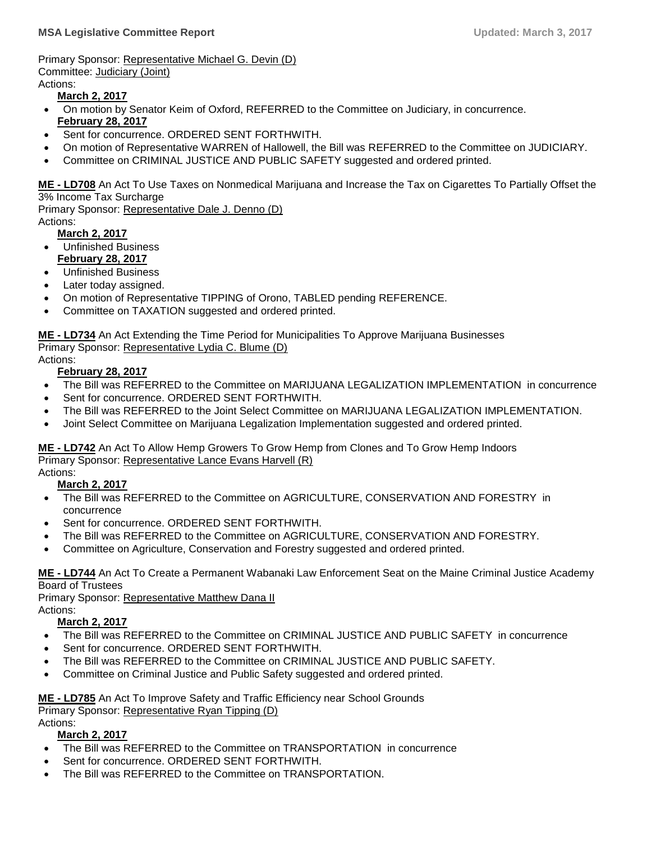Primary Sponsor: [Representative Michael G. Devin \(D\)](https://trackbill.com/legislator/me-michael-g-devin/474-11743) Committee: [Judiciary \(Joint\)](https://trackbill.com/committee/me-judiciary/474-5427) Actions:

#### **March 2, 2017**

- On motion by Senator Keim of Oxford, REFERRED to the Committee on Judiciary, in concurrence. **February 28, 2017**
- Sent for concurrence. ORDERED SENT FORTHWITH.
- On motion of Representative WARREN of Hallowell, the Bill was REFERRED to the Committee on JUDICIARY.
- Committee on CRIMINAL JUSTICE AND PUBLIC SAFETY suggested and ordered printed.

**ME - [LD708](http://trak.li/b/1407746)** [An Act To Use Taxes on Nonmedical Marijuana and Increase the Tax on Cigarettes To Partially Offset the](http://trak.li/b/1407746)  [3% Income Tax Surcharge](http://trak.li/b/1407746)

Primary Sponsor: [Representative Dale J. Denno \(D\)](https://trackbill.com/legislator/me-dale-j-denno/474-14590) Actions:

#### **March 2, 2017**

- Unfinished Business **February 28, 2017**
- Unfinished Business
- Later today assigned.
- On motion of Representative TIPPING of Orono, TABLED pending REFERENCE.
- Committee on TAXATION suggested and ordered printed.

**ME - [LD734](http://trak.li/b/1409435)** [An Act Extending the Time Period for Municipalities To Approve Marijuana Businesses](http://trak.li/b/1409435) Primary Sponsor: [Representative Lydia C. Blume \(D\)](https://trackbill.com/legislator/me-lydia-c-blume/474-14575)

Actions:

#### **February 28, 2017**

- The Bill was REFERRED to the Committee on MARIJUANA LEGALIZATION IMPLEMENTATION in concurrence
- Sent for concurrence. ORDERED SENT FORTHWITH.
- The Bill was REFERRED to the Joint Select Committee on MARIJUANA LEGALIZATION IMPLEMENTATION.
- Joint Select Committee on Marijuana Legalization Implementation suggested and ordered printed.

**ME - [LD742](http://trak.li/b/1412032)** [An Act To Allow Hemp Growers To Grow Hemp from Clones and To Grow Hemp Indoors](http://trak.li/b/1412032) Primary Sponsor: [Representative Lance Evans Harvell \(R\)](https://trackbill.com/legislator/me-lance-evans-harvell/474-9800)

#### Actions: **March 2, 2017**

- The Bill was REFERRED to the Committee on AGRICULTURE, CONSERVATION AND FORESTRY in concurrence
- Sent for concurrence. ORDERED SENT FORTHWITH.
- The Bill was REFERRED to the Committee on AGRICULTURE, CONSERVATION AND FORESTRY.
- Committee on Agriculture, Conservation and Forestry suggested and ordered printed.

**ME - [LD744](http://trak.li/b/1412034)** [An Act To Create a Permanent Wabanaki Law Enforcement Seat on the Maine Criminal Justice Academy](http://trak.li/b/1412034)  [Board of Trustees](http://trak.li/b/1412034)

Primary Sponsor: [Representative Matthew Dana II](https://trackbill.com/legislator/me-matthew-dana-ii/474-11769)

# Actions:

#### **March 2, 2017**

- The Bill was REFERRED to the Committee on CRIMINAL JUSTICE AND PUBLIC SAFETY in concurrence
- Sent for concurrence. ORDERED SENT FORTHWITH.
- The Bill was REFERRED to the Committee on CRIMINAL JUSTICE AND PUBLIC SAFETY.
- Committee on Criminal Justice and Public Safety suggested and ordered printed.

#### **ME - [LD785](http://trak.li/b/1412075)** [An Act To Improve Safety and Traffic Efficiency near School Grounds](http://trak.li/b/1412075)

Primary Sponsor: [Representative Ryan Tipping \(D\)](https://trackbill.com/legislator/me-ryan-tipping/474-14615)

Actions:

## **March 2, 2017**

- The Bill was REFERRED to the Committee on TRANSPORTATION in concurrence
- Sent for concurrence. ORDERED SENT FORTHWITH.
- The Bill was REFERRED to the Committee on TRANSPORTATION.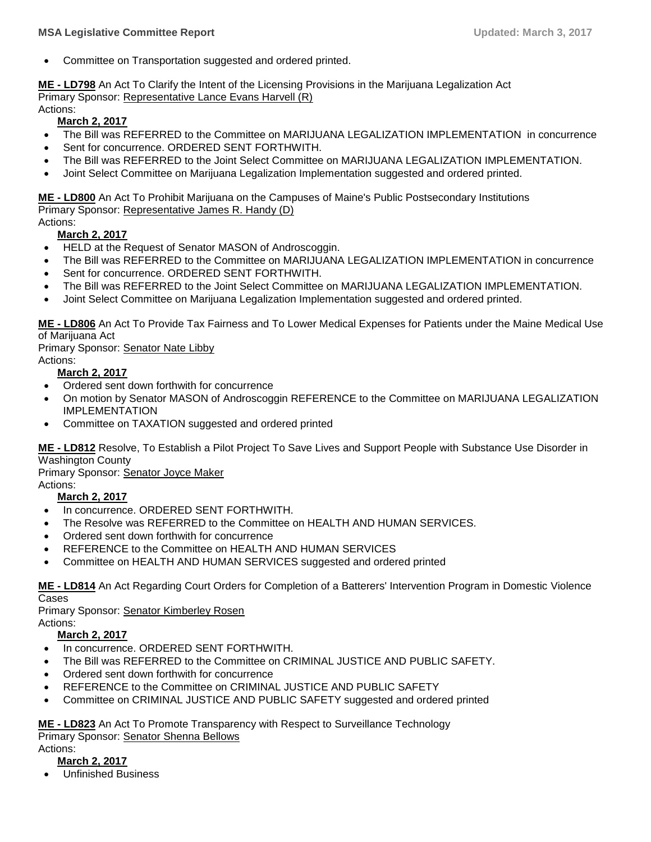Committee on Transportation suggested and ordered printed.

**ME - [LD798](http://trak.li/b/1412088)** [An Act To Clarify the Intent of the Licensing Provisions in the Marijuana Legalization Act](http://trak.li/b/1412088) Primary Sponsor: [Representative Lance Evans Harvell \(R\)](https://trackbill.com/legislator/me-lance-evans-harvell/474-9800)

Actions:

**March 2, 2017**

- The Bill was REFERRED to the Committee on MARIJUANA LEGALIZATION IMPLEMENTATION in concurrence
- Sent for concurrence. ORDERED SENT FORTHWITH.
- The Bill was REFERRED to the Joint Select Committee on MARIJUANA LEGALIZATION IMPLEMENTATION.
- Joint Select Committee on Marijuana Legalization Implementation suggested and ordered printed.

**ME - [LD800](http://trak.li/b/1412090)** [An Act To Prohibit Marijuana on the Campuses of Maine's Public Postsecondary Institutions](http://trak.li/b/1412090) Primary Sponsor: [Representative James R. Handy \(D\)](https://trackbill.com/legislator/me-james-r-handy/474-14593)

#### Actions: **March 2, 2017**

- HELD at the Request of Senator MASON of Androscoggin.
- The Bill was REFERRED to the Committee on MARIJUANA LEGALIZATION IMPLEMENTATION in concurrence
- Sent for concurrence. ORDERED SENT FORTHWITH.
- The Bill was REFERRED to the Joint Select Committee on MARIJUANA LEGALIZATION IMPLEMENTATION.
- Joint Select Committee on Marijuana Legalization Implementation suggested and ordered printed.

**ME - [LD806](http://trak.li/b/1413437)** An Act To Provide Tax Fairness and [To Lower Medical Expenses for Patients under the Maine Medical Use](http://trak.li/b/1413437)  [of Marijuana Act](http://trak.li/b/1413437)

Primary Sponsor: [Senator Nate Libby](https://trackbill.com/legislator/me-nate-libby/474-11681)

Actions:

#### **March 2, 2017**

- Ordered sent down forthwith for concurrence
- On motion by Senator MASON of Androscoggin REFERENCE to the Committee on MARIJUANA LEGALIZATION IMPLEMENTATION
- Committee on TAXATION suggested and ordered printed

**ME - [LD812](http://trak.li/b/1413443)** [Resolve, To Establish a Pilot Project To Save Lives and Support People with Substance Use Disorder in](http://trak.li/b/1413443)  [Washington County](http://trak.li/b/1413443)

Primary Sponsor: [Senator Joyce Maker](https://trackbill.com/legislator/me-joyce-maker/474-14571)

Actions:

#### **March 2, 2017**

- In concurrence. ORDERED SENT FORTHWITH.
- The Resolve was REFERRED to the Committee on HEALTH AND HUMAN SERVICES.
- Ordered sent down forthwith for concurrence
- REFERENCE to the Committee on HEALTH AND HUMAN SERVICES
- Committee on HEALTH AND HUMAN SERVICES suggested and ordered printed

**ME - [LD814](http://trak.li/b/1413445)** [An Act Regarding Court Orders for Completion of a Batterers' Intervention Program in Domestic](http://trak.li/b/1413445) Violence [Cases](http://trak.li/b/1413445)

Primary Sponsor: [Senator Kimberley Rosen](https://trackbill.com/legislator/me-kimberley-rosen/474-14573) Actions:

#### **March 2, 2017**

- In concurrence. ORDERED SENT FORTHWITH.
- The Bill was REFERRED to the Committee on CRIMINAL JUSTICE AND PUBLIC SAFETY.
- Ordered sent down forthwith for concurrence
- REFERENCE to the Committee on CRIMINAL JUSTICE AND PUBLIC SAFETY
- Committee on CRIMINAL JUSTICE AND PUBLIC SAFETY suggested and ordered printed

**ME - [LD823](http://trak.li/b/1413454)** [An Act To Promote Transparency with Respect to Surveillance Technology](http://trak.li/b/1413454) Primary Sponsor: [Senator Shenna Bellows](https://trackbill.com/legislator/me-shenna-bellows/474-14561)

### Actions:

#### **March 2, 2017**

Unfinished Business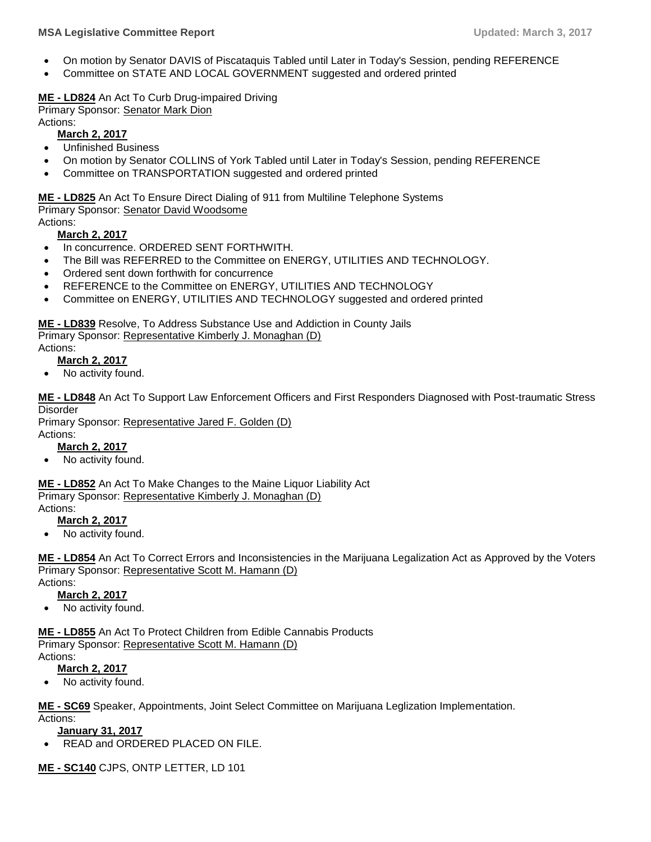- On motion by Senator DAVIS of Piscataquis Tabled until Later in Today's Session, pending REFERENCE
- Committee on STATE AND LOCAL GOVERNMENT suggested and ordered printed

#### **ME - [LD824](http://trak.li/b/1413455)** [An Act To Curb Drug-impaired Driving](http://trak.li/b/1413455)

Primary Sponsor: [Senator Mark Dion](https://trackbill.com/legislator/me-mark-dion/474-14568)

Actions:

- **March 2, 2017**
- Unfinished Business
- On motion by Senator COLLINS of York Tabled until Later in Today's Session, pending REFERENCE
- Committee on TRANSPORTATION suggested and ordered printed

**ME - [LD825](http://trak.li/b/1413456)** [An Act To Ensure Direct Dialing of 911 from Multiline Telephone Systems](http://trak.li/b/1413456) Primary Sponsor: [Senator David Woodsome](https://trackbill.com/legislator/me-david-woodsome/474-11694)

#### Actions: **March 2, 2017**

- In concurrence. ORDERED SENT FORTHWITH.
- The Bill was REFERRED to the Committee on ENERGY, UTILITIES AND TECHNOLOGY.
- Ordered sent down forthwith for concurrence
- REFERENCE to the Committee on ENERGY, UTILITIES AND TECHNOLOGY
- Committee on ENERGY, UTILITIES AND TECHNOLOGY suggested and ordered printed

# **ME - [LD839](http://trak.li/b/1419137)** [Resolve, To Address Substance Use and Addiction in County Jails](http://trak.li/b/1419137)

Primary Sponsor: [Representative Kimberly J. Monaghan \(D\)](https://trackbill.com/legislator/me-kimberly-j-monaghan/474-11710) Actions:

#### **March 2, 2017**

• No activity found.

**ME - [LD848](http://trak.li/b/1419146)** [An Act To Support Law Enforcement Officers and First Responders Diagnosed with Post-traumatic Stress](http://trak.li/b/1419146)  [Disorder](http://trak.li/b/1419146)

Primary Sponsor: [Representative Jared F. Golden \(D\)](https://trackbill.com/legislator/me-jared-f-golden/474-11724) Actions:

#### **March 2, 2017**

No activity found.

**ME - [LD852](http://trak.li/b/1419150)** [An Act To Make Changes to the Maine Liquor Liability Act](http://trak.li/b/1419150) Primary Sponsor: [Representative Kimberly J. Monaghan \(D\)](https://trackbill.com/legislator/me-kimberly-j-monaghan/474-11710) Actions:

# **March 2, 2017**

No activity found.

**ME - [LD854](http://trak.li/b/1419152)** [An Act To Correct Errors and Inconsistencies in the Marijuana Legalization Act as Approved by the Voters](http://trak.li/b/1419152) Primary Sponsor: [Representative Scott M. Hamann \(D\)](https://trackbill.com/legislator/me-scott-m-hamann/474-9834)

Actions:

- **March 2, 2017**
- No activity found.

**ME - [LD855](http://trak.li/b/1419153)** [An Act To Protect Children from Edible Cannabis Products](http://trak.li/b/1419153) Primary Sponsor: [Representative Scott M. Hamann \(D\)](https://trackbill.com/legislator/me-scott-m-hamann/474-9834)

#### Actions:

#### **March 2, 2017**

No activity found.

**ME - [SC69](http://trak.li/b/1367386)** [Speaker, Appointments, Joint Select Committee on Marijuana Leglization Implementation.](http://trak.li/b/1367386)

Actions:

- **January 31, 2017**
- READ and ORDERED PLACED ON FILE.

**ME - [SC140](http://trak.li/b/1395631)** [CJPS, ONTP LETTER, LD 101](http://trak.li/b/1395631)